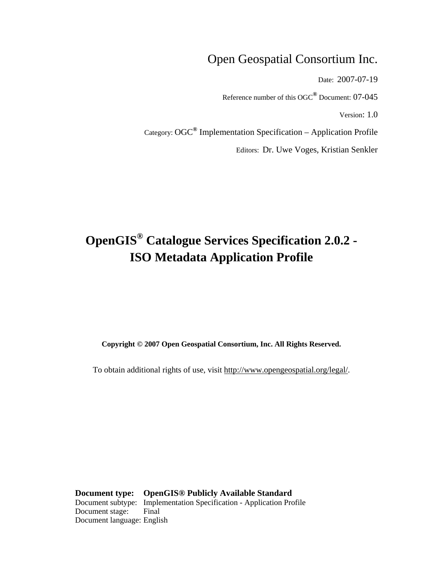## Open Geospatial Consortium Inc.

Date: 2007-07-19

Reference number of this OGC**®** Document: 07-045

Version: 1.0

Category: OGC**®** Implementation Specification – Application Profile

Editors: Dr. Uwe Voges, Kristian Senkler

# **OpenGIS® Catalogue Services Specification 2.0.2 - ISO Metadata Application Profile**

**Copyright © 2007 Open Geospatial Consortium, Inc. All Rights Reserved.**

To obtain additional rights of use, visit [http://www.opengeospatial.org/legal/.](http://www.opengeospatial.org/legal/)

**Document type: OpenGIS® Publicly Available Standard** Document subtype: Implementation Specification - Application Profile Document stage: Final Document language: English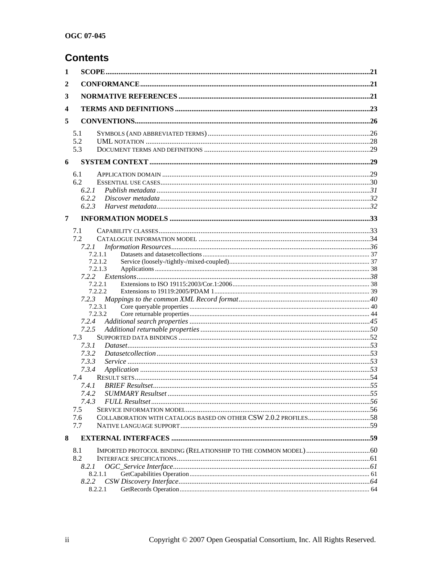# **Contents**

| 1              |                    |  |
|----------------|--------------------|--|
| 2              |                    |  |
| 3              |                    |  |
| 4              |                    |  |
| 5              |                    |  |
|                | 5.1                |  |
|                | 5.2                |  |
|                | 5.3                |  |
| 6              |                    |  |
|                | 6.1                |  |
|                | 6.2                |  |
|                | 6.2.1              |  |
|                | 6.2.2              |  |
|                | 6.2.3              |  |
| $\overline{7}$ |                    |  |
|                | 7.1                |  |
|                | 7.2                |  |
|                | 7.2.1              |  |
|                | 7.2.1.1            |  |
|                | 7.2.1.2            |  |
|                | 7.2.1.3            |  |
|                | 7.2.2              |  |
|                | 7.2.2.1<br>7.2.2.2 |  |
|                | 7.2.3              |  |
|                | 7.2.3.1            |  |
|                | 7.2.3.2            |  |
|                | 7.2.4              |  |
|                | 7.2.5              |  |
|                | 7.3                |  |
|                | 7.3.1              |  |
|                | 7.3.2              |  |
|                | 7.3.3              |  |
|                | 7.3.4              |  |
|                | 7.4                |  |
|                | 7.4.1              |  |
|                | 7.4.3              |  |
|                | 7.5                |  |
|                | 7.6                |  |
|                | 7.7                |  |
| 8              |                    |  |
|                |                    |  |
|                | 8.1<br>8.2         |  |
|                | 8.2.1              |  |
|                | 8.2.1.1            |  |
|                | 8.2.2              |  |
|                | 8.2.2.1            |  |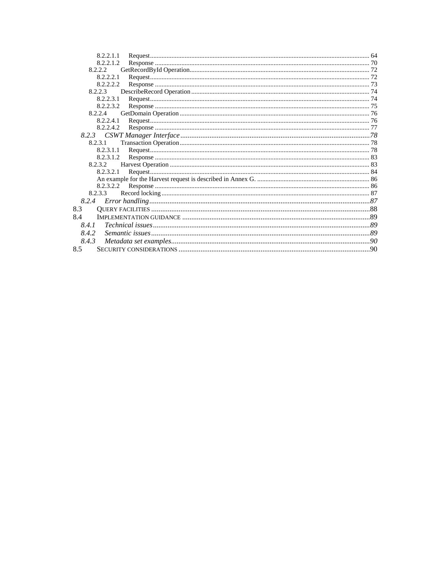| 8.2.2.1.1 |  |
|-----------|--|
| 8.2.2.1.2 |  |
| 8.2.2.2   |  |
| 8.2.2.2.1 |  |
| 8.2.2.2.2 |  |
| 8.2.2.3   |  |
| 8.2.2.3.1 |  |
| 8.2.2.3.2 |  |
| 8.2.2.4   |  |
| 8.2.2.4.1 |  |
| 8.2.2.4.2 |  |
|           |  |
| 8.2.3.1   |  |
| 8.2.3.1.1 |  |
| 8.2.3.1.2 |  |
| 8.2.3.2   |  |
| 8.2.3.2.1 |  |
|           |  |
|           |  |
| 8.2.3.3   |  |
| 8.2.4     |  |
| 8.3       |  |
| 8.4       |  |
| 8.4.1     |  |
| 8.4.2     |  |
| 8.4.3     |  |
| 8.5       |  |
|           |  |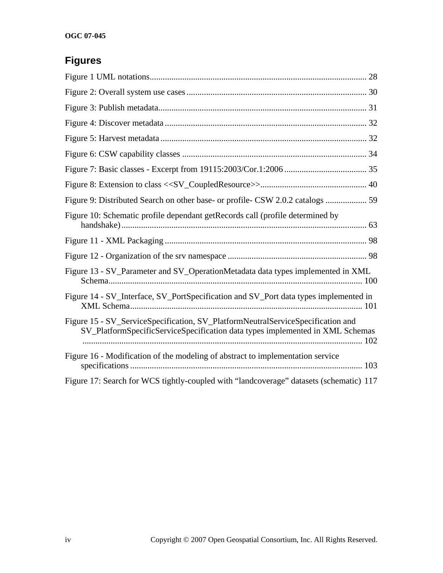# **Figures**

| Figure 9: Distributed Search on other base- or profile- CSW 2.0.2 catalogs  59                                                                                   |
|------------------------------------------------------------------------------------------------------------------------------------------------------------------|
| Figure 10: Schematic profile dependant getRecords call (profile determined by                                                                                    |
|                                                                                                                                                                  |
|                                                                                                                                                                  |
| Figure 13 - SV_Parameter and SV_OperationMetadata data types implemented in XML                                                                                  |
| Figure 14 - SV_Interface, SV_PortSpecification and SV_Port data types implemented in                                                                             |
| Figure 15 - SV_ServiceSpecification, SV_PlatformNeutralServiceSpecification and<br>SV_PlatformSpecificServiceSpecification data types implemented in XML Schemas |
| Figure 16 - Modification of the modeling of abstract to implementation service                                                                                   |
| Figure 17: Search for WCS tightly-coupled with "landcoverage" datasets (schematic) 117                                                                           |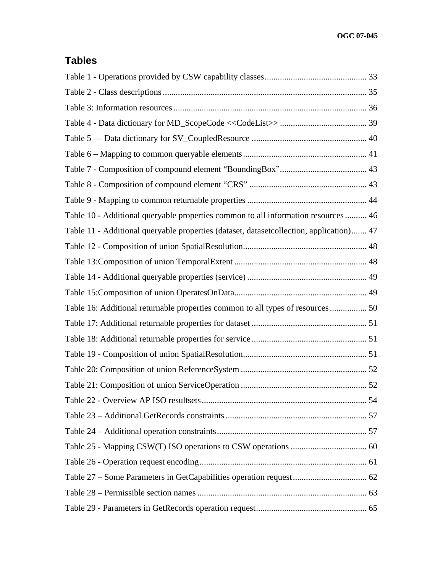# **Tables**

| Table 10 - Additional queryable properties common to all information resources  46<br>Table 11 - Additional queryable properties (dataset, datasetcollection, application) 47<br>Table 16: Additional returnable properties common to all types of resources 50 |  |
|-----------------------------------------------------------------------------------------------------------------------------------------------------------------------------------------------------------------------------------------------------------------|--|
|                                                                                                                                                                                                                                                                 |  |
|                                                                                                                                                                                                                                                                 |  |
|                                                                                                                                                                                                                                                                 |  |
|                                                                                                                                                                                                                                                                 |  |
|                                                                                                                                                                                                                                                                 |  |
|                                                                                                                                                                                                                                                                 |  |
|                                                                                                                                                                                                                                                                 |  |
|                                                                                                                                                                                                                                                                 |  |
|                                                                                                                                                                                                                                                                 |  |
|                                                                                                                                                                                                                                                                 |  |
|                                                                                                                                                                                                                                                                 |  |
|                                                                                                                                                                                                                                                                 |  |
|                                                                                                                                                                                                                                                                 |  |
|                                                                                                                                                                                                                                                                 |  |
|                                                                                                                                                                                                                                                                 |  |
|                                                                                                                                                                                                                                                                 |  |
|                                                                                                                                                                                                                                                                 |  |
|                                                                                                                                                                                                                                                                 |  |
|                                                                                                                                                                                                                                                                 |  |
|                                                                                                                                                                                                                                                                 |  |
|                                                                                                                                                                                                                                                                 |  |
|                                                                                                                                                                                                                                                                 |  |
|                                                                                                                                                                                                                                                                 |  |
|                                                                                                                                                                                                                                                                 |  |
|                                                                                                                                                                                                                                                                 |  |
|                                                                                                                                                                                                                                                                 |  |
|                                                                                                                                                                                                                                                                 |  |
|                                                                                                                                                                                                                                                                 |  |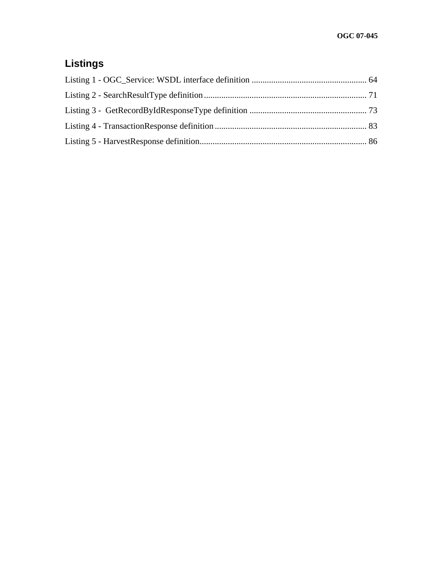# **Listings**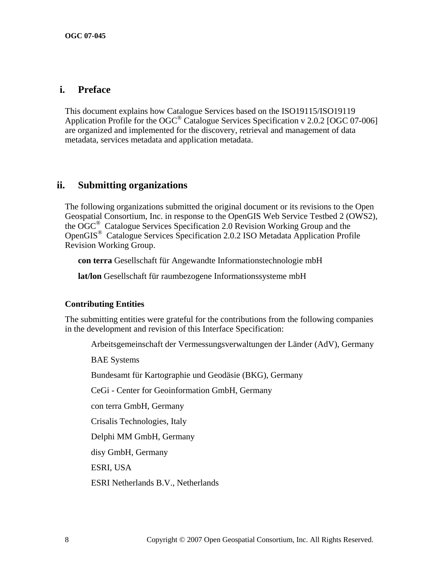## **i. Preface**

This document explains how Catalogue Services based on the ISO19115/ISO19119 Application Profile for the OGC® Catalogue Services Specification v 2.0.2 [OGC 07-006] are organized and implemented for the discovery, retrieval and management of data metadata, services metadata and application metadata.

## **ii. Submitting organizations**

The following organizations submitted the original document or its revisions to the Open Geospatial Consortium, Inc. in response to the OpenGIS Web Service Testbed 2 (OWS2), the OGC® Catalogue Services Specification 2.0 Revision Working Group and the OpenGIS® Catalogue Services Specification 2.0.2 ISO Metadata Application Profile Revision Working Group.

**con terra** Gesellschaft für Angewandte Informationstechnologie mbH

**lat/lon** Gesellschaft für raumbezogene Informationssysteme mbH

## **Contributing Entities**

The submitting entities were grateful for the contributions from the following companies in the development and revision of this Interface Specification:

Arbeitsgemeinschaft der Vermessungsverwaltungen der Länder (AdV), Germany

BAE Systems

Bundesamt für Kartographie und Geodäsie (BKG), Germany

CeGi - Center for Geoinformation GmbH, Germany

con terra GmbH, Germany

Crisalis Technologies, Italy

Delphi MM GmbH, Germany

disy GmbH, Germany

ESRI, USA

ESRI Netherlands B.V., Netherlands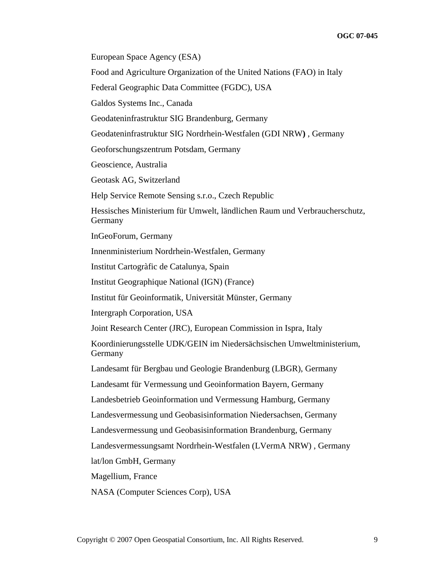European Space Agency (ESA)

Food and Agriculture Organization of the United Nations (FAO) in Italy

Federal Geographic Data Committee (FGDC), USA

Galdos Systems Inc., Canada

Geodateninfrastruktur SIG Brandenburg, Germany

Geodateninfrastruktur SIG Nordrhein-Westfalen (GDI NRW**)** , Germany

Geoforschungszentrum Potsdam, Germany

Geoscience, Australia

Geotask AG, Switzerland

Help Service Remote Sensing s.r.o., Czech Republic

Hessisches Ministerium für Umwelt, ländlichen Raum und Verbraucherschutz, Germany

InGeoForum, Germany

Innenministerium Nordrhein-Westfalen, Germany

Institut Cartogràfic de Catalunya, Spain

Institut Geographique National (IGN) (France)

Institut für Geoinformatik, Universität Münster, Germany

Intergraph Corporation, USA

Joint Research Center (JRC), European Commission in Ispra, Italy

Koordinierungsstelle UDK/GEIN im Niedersächsischen Umweltministerium, Germany

Landesamt für Bergbau und Geologie Brandenburg (LBGR), Germany

Landesamt für Vermessung und Geoinformation Bayern, Germany

Landesbetrieb Geoinformation und Vermessung Hamburg, Germany

Landesvermessung und Geobasisinformation Niedersachsen, Germany

Landesvermessung und Geobasisinformation Brandenburg, Germany

Landesvermessungsamt Nordrhein-Westfalen (LVermA NRW) , Germany

lat/lon GmbH, Germany

Magellium, France

NASA (Computer Sciences Corp), USA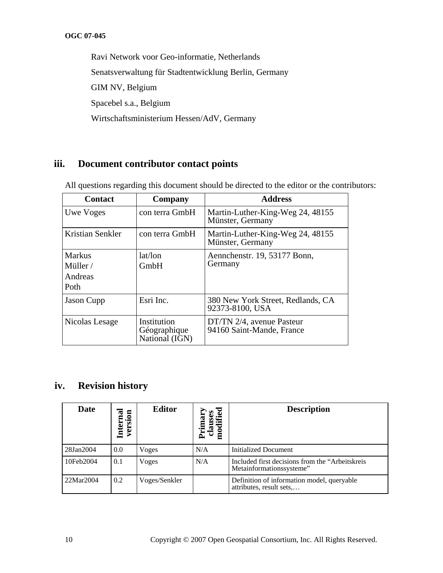Ravi Network voor Geo-informatie, Netherlands Senatsverwaltung für Stadtentwicklung Berlin, Germany GIM NV, Belgium Spacebel s.a., Belgium Wirtschaftsministerium Hessen/AdV, Germany

## **iii. Document contributor contact points**

All questions regarding this document should be directed to the editor or the contributors:

| <b>Contact</b><br>Company                                      |                                               | <b>Address</b>                                         |  |
|----------------------------------------------------------------|-----------------------------------------------|--------------------------------------------------------|--|
| Uwe Voges                                                      | con terra GmbH                                | Martin-Luther-King-Weg 24, 48155<br>Münster, Germany   |  |
| Kristian Senkler<br>con terra GmbH                             |                                               | Martin-Luther-King-Weg 24, 48155<br>Münster, Germany   |  |
| lat/lon<br><b>Markus</b><br>GmbH<br>Miller/<br>Andreas<br>Poth |                                               | Aennchenstr. 19, 53177 Bonn,<br>Germany                |  |
| <b>Jason Cupp</b>                                              | Esri Inc.                                     | 380 New York Street, Redlands, CA<br>92373-8100, USA   |  |
| Nicolas Lesage                                                 | Institution<br>Géographique<br>National (IGN) | DT/TN 2/4, avenue Pasteur<br>94160 Saint-Mande, France |  |

## **iv. Revision history**

| <b>Date</b> | version<br>$\overline{\mathbf{c}}$<br>Interi | <b>Editor</b> | modified<br>clauses<br>Primar | <b>Description</b>                                                           |
|-------------|----------------------------------------------|---------------|-------------------------------|------------------------------------------------------------------------------|
| 28Jan2004   | 0.0                                          | Voges         | N/A                           | Initialized Document                                                         |
| 10Feb2004   | 0.1                                          | Voges         | N/A                           | Included first decisions from the "Arbeitskreis"<br>Metainformationssysteme" |
| 22Mar2004   | 0.2                                          | Voges/Senkler |                               | Definition of information model, queryable<br>attributes, result sets        |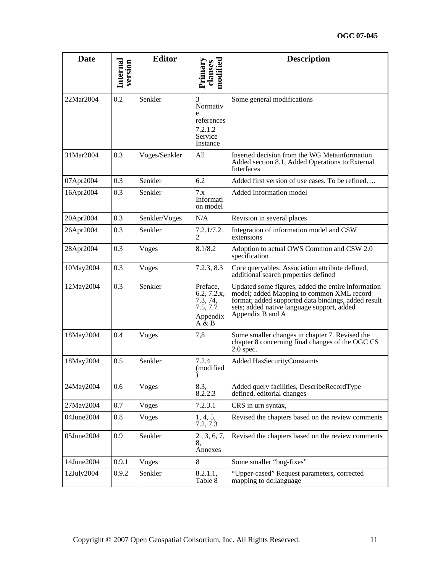| <b>Date</b> | Internal<br>version | <b>Editor</b> | modified<br>Primary<br>clauses                                                     | <b>Description</b>                                                                                                                                                                                                       |
|-------------|---------------------|---------------|------------------------------------------------------------------------------------|--------------------------------------------------------------------------------------------------------------------------------------------------------------------------------------------------------------------------|
|             |                     |               |                                                                                    |                                                                                                                                                                                                                          |
| 22Mar2004   | 0.2                 | Senkler       | 3<br>Normativ<br>e                                                                 | Some general modifications                                                                                                                                                                                               |
|             |                     |               | references                                                                         |                                                                                                                                                                                                                          |
|             |                     |               | 7.2.1.2<br>Service<br>Instance                                                     |                                                                                                                                                                                                                          |
| 31Mar2004   | 0.3                 | Voges/Senkler | All                                                                                | Inserted decision from the WG Metainformation.<br>Added section 8.1, Added Operations to External<br>Interfaces                                                                                                          |
| 07Apr2004   | 0.3                 | Senkler       | 6.2                                                                                | Added first version of use cases. To be refined                                                                                                                                                                          |
| 16Apr2004   | 0.3                 | Senkler       | 7.x<br>Informati<br>on model                                                       | Added Information model                                                                                                                                                                                                  |
| 20Apr2004   | 0.3                 | Senkler/Voges | N/A                                                                                | Revision in several places                                                                                                                                                                                               |
| 26Apr2004   | 0.3                 | Senkler       | 7.2.1/7.2.<br>2                                                                    | Integration of information model and CSW<br>extensions                                                                                                                                                                   |
| 28Apr2004   | 0.3                 | Voges         | 8.1/8.2                                                                            | Adoption to actual OWS Common and CSW 2.0<br>specification                                                                                                                                                               |
| 10May2004   | 0.3                 | Voges         | 7.2.3, 8.3                                                                         | Core queryables: Association attribute defined,<br>additional search properties defined                                                                                                                                  |
| 12May2004   | 0.3                 | Senkler       | Preface,<br>6.2, 7.2.x,<br>7.3, 74,<br>7.5, 7.7<br>Appendix<br>$\overline{A} \& B$ | Updated some figures, added the entire information<br>model; added Mapping to common XML record<br>format; added supported data bindings, added result<br>sets; added native language support, added<br>Appendix B and A |
| 18May2004   | 0.4                 | Voges         | 7,8                                                                                | Some smaller changes in chapter 7. Revised the<br>chapter 8 concerning final changes of the OGC CS<br>$2.0$ spec.                                                                                                        |
| 18May2004   | 0.5                 | Senkler       | 7.2.4<br>(modified<br>,                                                            | <b>Added HasSecurityConstaints</b>                                                                                                                                                                                       |
| 24May2004   | 0.6                 | Voges         | 8.3,<br>8.2.2.3                                                                    | Added query facilities, DescribeRecordType<br>defined, editorial changes                                                                                                                                                 |
| 27May2004   | 0.7                 | Voges         | 7.2.3.1                                                                            | CRS in urn syntax,                                                                                                                                                                                                       |
| 04June2004  | 0.8                 | Voges         | 1, 4, 5,<br>7.2, 7.3                                                               | Revised the chapters based on the review comments                                                                                                                                                                        |
| 05June2004  | 0.9                 | Senkler       | 2, 3, 6, 7,<br>8,<br>Annexes                                                       | Revised the chapters based on the review comments                                                                                                                                                                        |
| 14June2004  | 0.9.1               | Voges         | $\,8\,$                                                                            | Some smaller "bug-fixes"                                                                                                                                                                                                 |
| 12July2004  | 0.9.2               | Senkler       | 8.2.1.1,<br>Table 8                                                                | "Upper-cased" Request parameters, corrected<br>mapping to dc:language                                                                                                                                                    |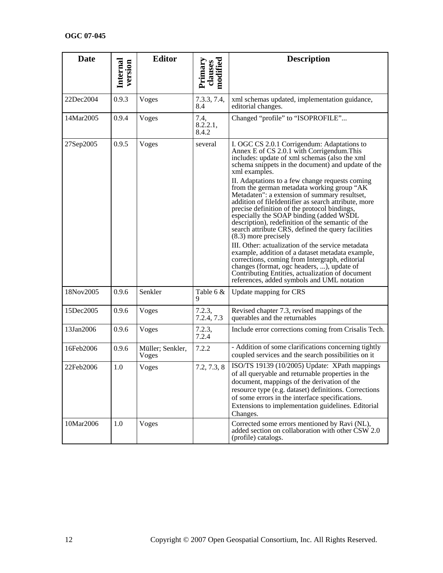| <b>Date</b> | Internal<br>version | <b>Editor</b>             | modified<br>Primary<br>clauses | <b>Description</b>                                                                                                                                                                                                                                                                                                                                                                                                                                                                                                                                                                                                                                                                                                                                                                                                                                                                                                                                                     |
|-------------|---------------------|---------------------------|--------------------------------|------------------------------------------------------------------------------------------------------------------------------------------------------------------------------------------------------------------------------------------------------------------------------------------------------------------------------------------------------------------------------------------------------------------------------------------------------------------------------------------------------------------------------------------------------------------------------------------------------------------------------------------------------------------------------------------------------------------------------------------------------------------------------------------------------------------------------------------------------------------------------------------------------------------------------------------------------------------------|
| 22Dec2004   | 0.9.3               | Voges                     | 7.3.3, 7.4,<br>8.4             | xml schemas updated, implementation guidance,<br>editorial changes.                                                                                                                                                                                                                                                                                                                                                                                                                                                                                                                                                                                                                                                                                                                                                                                                                                                                                                    |
| 14Mar2005   | 0.9.4               | Voges                     | 7.4,<br>8.2.2.1,<br>8.4.2      | Changed "profile" to "ISOPROFILE"                                                                                                                                                                                                                                                                                                                                                                                                                                                                                                                                                                                                                                                                                                                                                                                                                                                                                                                                      |
| 27Sep2005   | 0.9.5               | Voges                     | several                        | I. OGC CS 2.0.1 Corrigendum: Adaptations to<br>Annex E of CS 2.0.1 with Corrigendum. This<br>includes: update of xml schemas (also the xml<br>schema snippets in the document) and update of the<br>xml examples.<br>II. Adaptations to a few change requests coming<br>from the german metadata working group "AK<br>Metadaten": a extension of summary resultset,<br>addition of fileIdentifier as search attribute, more<br>precise definition of the protocol bindings,<br>especially the SOAP binding (added WSDL<br>description), redefinition of the semantic of the<br>search attribute CRS, defined the query facilities<br>$(8.3)$ more precisely<br>III. Other: actualization of the service metadata<br>example, addition of a dataset metadata example,<br>corrections, coming from Intergraph, editorial<br>changes (format, ogc headers, ), update of<br>Contributing Entities, actualization of document<br>references, added symbols and UML notation |
| 18Nov2005   | 0.9.6               | Senkler                   | Table $6 &$<br>9               | Update mapping for CRS                                                                                                                                                                                                                                                                                                                                                                                                                                                                                                                                                                                                                                                                                                                                                                                                                                                                                                                                                 |
| 15Dec2005   | 0.9.6               | Voges                     | 7.2.3,<br>7.2.4, 7.3           | Revised chapter 7.3, revised mappings of the<br>querables and the returnables                                                                                                                                                                                                                                                                                                                                                                                                                                                                                                                                                                                                                                                                                                                                                                                                                                                                                          |
| 13Jan2006   | 0.9.6               | Voges                     | 7.2.3,<br>7.2.4                | Include error corrections coming from Crisalis Tech.                                                                                                                                                                                                                                                                                                                                                                                                                                                                                                                                                                                                                                                                                                                                                                                                                                                                                                                   |
| 16Feb2006   | 0.9.6               | Müller; Senkler,<br>Voges | 7.2.2                          | - Addition of some clarifications concerning tightly<br>coupled services and the search possibilities on it                                                                                                                                                                                                                                                                                                                                                                                                                                                                                                                                                                                                                                                                                                                                                                                                                                                            |
| 22Feb2006   | 1.0                 | Voges                     | 7.2, 7.3, 8                    | ISO/TS 19139 (10/2005) Update: XPath mappings<br>of all queryable and returnable properties in the<br>document, mappings of the derivation of the<br>resource type (e.g. dataset) definitions. Corrections<br>of some errors in the interface specifications.<br>Extensions to implementation guidelines. Editorial<br>Changes.                                                                                                                                                                                                                                                                                                                                                                                                                                                                                                                                                                                                                                        |
| 10Mar2006   | 1.0                 | Voges                     |                                | Corrected some errors mentioned by Ravi (NL),<br>added section on collaboration with other CSW 2.0<br>(profile) catalogs.                                                                                                                                                                                                                                                                                                                                                                                                                                                                                                                                                                                                                                                                                                                                                                                                                                              |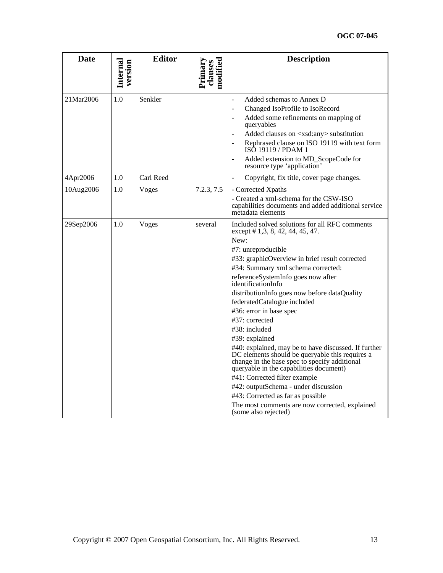| <b>Date</b> | Internal<br>version | <b>Editor</b> | modified<br>Primary<br>clauses | <b>Description</b>                                                                                                                                                                                                                                                                                                                                                                                                                                                                                                                                                                                                                                                                                                                                                                                                                 |
|-------------|---------------------|---------------|--------------------------------|------------------------------------------------------------------------------------------------------------------------------------------------------------------------------------------------------------------------------------------------------------------------------------------------------------------------------------------------------------------------------------------------------------------------------------------------------------------------------------------------------------------------------------------------------------------------------------------------------------------------------------------------------------------------------------------------------------------------------------------------------------------------------------------------------------------------------------|
| 21Mar2006   | 1.0                 | Senkler       |                                | Added schemas to Annex D<br>$\overline{a}$<br>Changed IsoProfile to IsoRecord<br>$\overline{a}$<br>Added some refinements on mapping of<br>$\overline{\phantom{a}}$<br>queryables<br>Added clauses on <xsd:any> substitution<br/><math>\overline{a}</math><br/>Rephrased clause on ISO 19119 with text form<br/><math>\overline{a}</math><br/>ISO 19119 / PDAM 1<br/>Added extension to MD_ScopeCode for<br/>resource type 'application'</xsd:any>                                                                                                                                                                                                                                                                                                                                                                                 |
| 4Apr2006    | 1.0                 | Carl Reed     |                                | Copyright, fix title, cover page changes.<br>$\frac{1}{2}$                                                                                                                                                                                                                                                                                                                                                                                                                                                                                                                                                                                                                                                                                                                                                                         |
| 10Aug2006   | 1.0                 | Voges         | 7.2.3, 7.5                     | - Corrected Xpaths<br>- Created a xml-schema for the CSW-ISO<br>capabilities documents and added additional service<br>metadata elements                                                                                                                                                                                                                                                                                                                                                                                                                                                                                                                                                                                                                                                                                           |
| 29Sep2006   | 1.0                 | Voges         | several                        | Included solved solutions for all RFC comments<br>except # 1,3, 8, 42, 44, 45, 47.<br>New:<br>#7: unreproducible<br>#33: graphicOverview in brief result corrected<br>#34: Summary xml schema corrected:<br>referenceSystemInfo goes now after<br>identificationInfo<br>distributionInfo goes now before dataQuality<br>federatedCatalogue included<br>#36: error in base spec<br>#37: corrected<br>#38: included<br>#39: explained<br>#40: explained, may be to have discussed. If further<br>DC elements should be queryable this requires a<br>change in the base spec to specify additional<br>queryable in the capabilities document)<br>#41: Corrected filter example<br>#42: outputSchema - under discussion<br>#43: Corrected as far as possible<br>The most comments are now corrected, explained<br>(some also rejected) |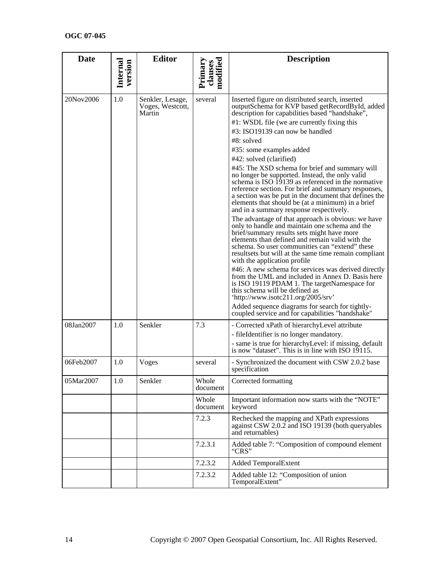| <b>Date</b> | Internal<br>version | <b>Editor</b>                                  | clauses<br>modified<br>Primary | <b>Description</b>                                                                                                                                                                                                                                                                                                                                                                                                                                                              |
|-------------|---------------------|------------------------------------------------|--------------------------------|---------------------------------------------------------------------------------------------------------------------------------------------------------------------------------------------------------------------------------------------------------------------------------------------------------------------------------------------------------------------------------------------------------------------------------------------------------------------------------|
|             |                     |                                                |                                |                                                                                                                                                                                                                                                                                                                                                                                                                                                                                 |
| 20Nov2006   | 1.0                 | Senkler, Lesage,<br>Voges, Westcott,<br>Martin | several                        | Inserted figure on distributed search, inserted<br>outputSchema for KVP based getRecordById, added<br>description for capabilities based "handshake",                                                                                                                                                                                                                                                                                                                           |
|             |                     |                                                |                                | #1: WSDL file (we are currently fixing this                                                                                                                                                                                                                                                                                                                                                                                                                                     |
|             |                     |                                                |                                | #3: ISO19139 can now be handled                                                                                                                                                                                                                                                                                                                                                                                                                                                 |
|             |                     |                                                |                                | #8: solved                                                                                                                                                                                                                                                                                                                                                                                                                                                                      |
|             |                     |                                                |                                | #35: some examples added                                                                                                                                                                                                                                                                                                                                                                                                                                                        |
|             |                     |                                                |                                | #42: solved (clarified)                                                                                                                                                                                                                                                                                                                                                                                                                                                         |
|             |                     |                                                |                                | #45: The XSD schema for brief and summary will<br>no longer be supported. Instead, the only valid<br>schema is ISO 19139 as referenced in the normative<br>reference section. For brief and summary responses,<br>a section was be put in the document that defines the<br>elements that should be (at a minimum) in a brief<br>and in a summary response respectively.<br>The advantage of that approach is obvious: we have<br>only to handle and maintain one schema and the |
|             |                     |                                                |                                | brief/summary results sets might have more<br>elements than defined and remain valid with the<br>schema. So user communities can "extend" these<br>resultsets but will at the same time remain compliant<br>with the application profile                                                                                                                                                                                                                                        |
|             |                     |                                                |                                | #46: A new schema for services was derived directly<br>from the UML and included in Annex D. Basis here<br>is ISO 19119 PDAM 1. The targetNamespace for<br>this schema will be defined as<br>'http://www.isotc211.org/2005/srv'<br>Added sequence diagrams for search for tightly-<br>coupled service and for capabilities "handshake"                                                                                                                                          |
| 08Jan2007   | 1.0                 | Senkler                                        | 7.3                            | - Corrected xPath of hierarchyLevel attribute                                                                                                                                                                                                                                                                                                                                                                                                                                   |
|             |                     |                                                |                                | - fileIdentifier is no longer mandatory.                                                                                                                                                                                                                                                                                                                                                                                                                                        |
|             |                     |                                                |                                | - same is true for hierarchyLevel: if missing, default<br>is now "dataset". This is in line with ISO 19115.                                                                                                                                                                                                                                                                                                                                                                     |
| 06Feb2007   | 1.0                 | Voges                                          | several                        | - Synchronized the document with CSW 2.0.2 base<br>specification                                                                                                                                                                                                                                                                                                                                                                                                                |
| 05Mar2007   | 1.0                 | Senkler                                        | Whole<br>document              | Corrected formatting                                                                                                                                                                                                                                                                                                                                                                                                                                                            |
|             |                     |                                                | Whole<br>document              | Important information now starts with the "NOTE"<br>keyword                                                                                                                                                                                                                                                                                                                                                                                                                     |
|             |                     |                                                | 7.2.3                          | Rechecked the mapping and XPath expressions<br>against CSW 2.0.2 and ISO 19139 (both queryables<br>and returnables)                                                                                                                                                                                                                                                                                                                                                             |
|             |                     |                                                | 7.2.3.1                        | Added table 7: "Composition of compound element<br>"CRS"                                                                                                                                                                                                                                                                                                                                                                                                                        |
|             |                     |                                                | 7.2.3.2                        | <b>Added TemporalExtent</b>                                                                                                                                                                                                                                                                                                                                                                                                                                                     |
|             |                     |                                                | 7.2.3.2                        | Added table 12: "Composition of union<br>TemporalExtent"                                                                                                                                                                                                                                                                                                                                                                                                                        |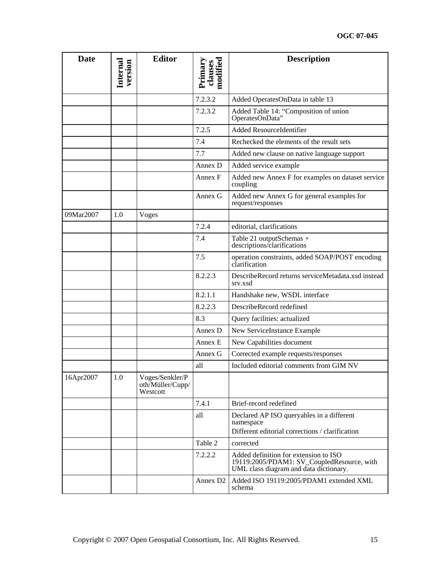| <b>Date</b> | Internal<br>version | <b>Editor</b>                                   | clauses<br>modified<br>Primary | <b>Description</b>                                                                                                            |
|-------------|---------------------|-------------------------------------------------|--------------------------------|-------------------------------------------------------------------------------------------------------------------------------|
|             |                     |                                                 | 7.2.3.2                        | Added OperatesOnData in table 13                                                                                              |
|             |                     |                                                 | 7.2.3.2                        | Added Table 14: "Composition of union<br>OperatesOnData"                                                                      |
|             |                     |                                                 | 7.2.5                          | Added ResourceIdentifier                                                                                                      |
|             |                     |                                                 | 7.4                            | Rechecked the elements of the result sets                                                                                     |
|             |                     |                                                 | 7.7                            | Added new clause on native language support                                                                                   |
|             |                     |                                                 | Annex D                        | Added service example                                                                                                         |
|             |                     |                                                 | Annex F                        | Added new Annex F for examples on dataset service<br>coupling                                                                 |
|             |                     |                                                 | Annex G                        | Added new Annex G for general examples for<br>request/responses                                                               |
| 09Mar2007   | 1.0                 | <b>Voges</b>                                    |                                |                                                                                                                               |
|             |                     |                                                 | 7.2.4                          | editorial, clarifications                                                                                                     |
|             |                     |                                                 | 7.4                            | Table 21 outputSchemas +<br>descriptions/clarifications                                                                       |
|             |                     |                                                 | 7.5                            | operation constraints, added SOAP/POST encoding<br>clarification                                                              |
|             |                     |                                                 | 8.2.2.3                        | DescribeRecord returns serviceMetadata.xsd instead<br>srv.xsd                                                                 |
|             |                     |                                                 | 8.2.1.1                        | Handshake new, WSDL interface                                                                                                 |
|             |                     |                                                 | 8.2.2.3                        | DescribeRecord redefined                                                                                                      |
|             |                     |                                                 | 8.3                            | Query facilities: actualized                                                                                                  |
|             |                     |                                                 | Annex D                        | New ServiceInstance Example                                                                                                   |
|             |                     |                                                 | Annex E                        | New Capabilities document                                                                                                     |
|             |                     |                                                 | Annex G                        | Corrected example requests/responses                                                                                          |
|             |                     |                                                 | all                            | Included editorial comments from GIM NV                                                                                       |
| 16Apr2007   | 1.0                 | Voges/Senkler/P<br>oth/Müller/Cupp/<br>Westcott |                                |                                                                                                                               |
|             |                     |                                                 | 7.4.1                          | Brief-record redefined                                                                                                        |
|             |                     |                                                 | all                            | Declared AP ISO queryables in a different<br>namespace<br>Different editorial corrections / clarification                     |
|             |                     |                                                 | Table 2                        | corrected                                                                                                                     |
|             |                     |                                                 | 7.2.2.2                        | Added definition for extension to ISO<br>19119:2005/PDAM1: SV_CoupledResource, with<br>UML class diagram and data dictionary. |
|             |                     |                                                 | Annex D <sub>2</sub>           | Added ISO 19119:2005/PDAM1 extended XML<br>schema                                                                             |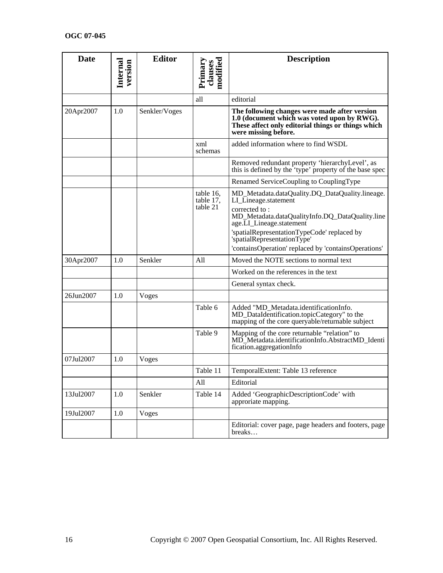| <b>Date</b> |                     | <b>Editor</b> |                                | <b>Description</b>                                                                                                                                                                                                                 |
|-------------|---------------------|---------------|--------------------------------|------------------------------------------------------------------------------------------------------------------------------------------------------------------------------------------------------------------------------------|
|             | Internal<br>version |               | modified<br>Primary<br>clauses |                                                                                                                                                                                                                                    |
|             |                     |               | all                            | editorial                                                                                                                                                                                                                          |
| 20Apr2007   | 1.0                 | Senkler/Voges |                                | The following changes were made after version<br>1.0 (document which was voted upon by RWG).<br>These affect only editorial things or things which<br>were missing before.                                                         |
|             |                     |               | xml<br>schemas                 | added information where to find WSDL                                                                                                                                                                                               |
|             |                     |               |                                | Removed redundant property 'hierarchyLevel', as<br>this is defined by the 'type' property of the base spec                                                                                                                         |
|             |                     |               |                                | Renamed ServiceCoupling to CouplingType                                                                                                                                                                                            |
|             |                     |               | table 16.<br>table 17,         | MD_Metadata.dataQuality.DQ_DataQuality.lineage.<br>LI_Lineage.statement                                                                                                                                                            |
|             |                     |               | table 21                       | corrected to:<br>MD_Metadata.dataQualityInfo.DQ_DataQuality.line<br>age.LI_Lineage.statement<br>'spatialRepresentationTypeCode' replaced by<br>'spatialRepresentationType'<br>'containsOperation' replaced by 'containsOperations' |
| 30Apr2007   | 1.0                 | Senkler       | All                            | Moved the NOTE sections to normal text                                                                                                                                                                                             |
|             |                     |               |                                | Worked on the references in the text                                                                                                                                                                                               |
|             |                     |               |                                | General syntax check.                                                                                                                                                                                                              |
| 26Jun2007   | 1.0                 | Voges         |                                |                                                                                                                                                                                                                                    |
|             |                     |               | Table 6                        | Added "MD_Metadata.identificationInfo.<br>MD_DataIdentification.topicCategory" to the<br>mapping of the core queryable/returnable subject                                                                                          |
|             |                     |               | Table 9                        | Mapping of the core returnable "relation" to<br>MD_Metadata.identificationInfo.AbstractMD_Identi<br>fication.aggregationInfo                                                                                                       |
| 07Jul2007   | 1.0                 | Voges         |                                |                                                                                                                                                                                                                                    |
|             |                     |               | Table 11                       | TemporalExtent: Table 13 reference                                                                                                                                                                                                 |
|             |                     |               | All                            | Editorial                                                                                                                                                                                                                          |
| 13Jul2007   | 1.0                 | Senkler       | Table 14                       | Added 'GeographicDescriptionCode' with<br>approriate mapping.                                                                                                                                                                      |
| 19Jul2007   | $1.0\,$             | Voges         |                                |                                                                                                                                                                                                                                    |
|             |                     |               |                                | Editorial: cover page, page headers and footers, page<br>breaks                                                                                                                                                                    |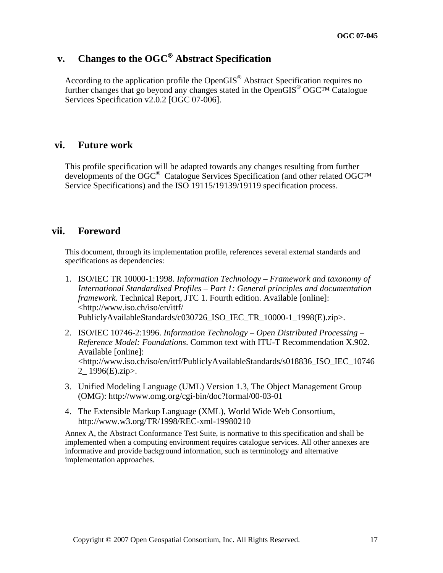## **v. Changes to the OGC**® **Abstract Specification**

According to the application profile the OpenGIS® Abstract Specification requires no further changes that go beyond any changes stated in the OpenGIS® OGC™ Catalogue Services Specification v2.0.2 [OGC 07-006].

## **vi. Future work**

This profile specification will be adapted towards any changes resulting from further developments of the OGC<sup>®</sup> Catalogue Services Specification (and other related OGC™ Service Specifications) and the ISO 19115/19139/19119 specification process.

## **vii. Foreword**

This document, through its implementation profile, references several external standards and specifications as dependencies:

- 1. ISO/IEC TR 10000-1:1998. *Information Technology Framework and taxonomy of International Standardised Profiles – Part 1: General principles and documentation framework*. Technical Report, JTC 1. Fourth edition. Available [online]: <http://www.iso.ch/iso/en/ittf/ PubliclyAvailableStandards/c030726\_ISO\_IEC\_TR\_10000-1\_1998(E).zip>.
- 2. ISO/IEC 10746-2:1996. *Information Technology Open Distributed Processing Reference Model: Foundations*. Common text with ITU-T Recommendation X.902. Available [online]: <http://www.iso.ch/iso/en/ittf/PubliclyAvailableStandards/s018836\_ISO\_IEC\_10746 2\_ 1996(E).zip>.
- 3. Unified Modeling Language (UML) Version 1.3, The Object Management Group (OMG):<http://www.omg.org/cgi-bin/doc?formal/00-03-01>
- 4. The Extensible Markup Language (XML), World Wide Web Consortium, <http://www.w3.org/TR/1998/REC-xml-19980210>

Annex A, the Abstract Conformance Test Suite, is normative to this specification and shall be implemented when a computing environment requires catalogue services. All other annexes are informative and provide background information, such as terminology and alternative implementation approaches.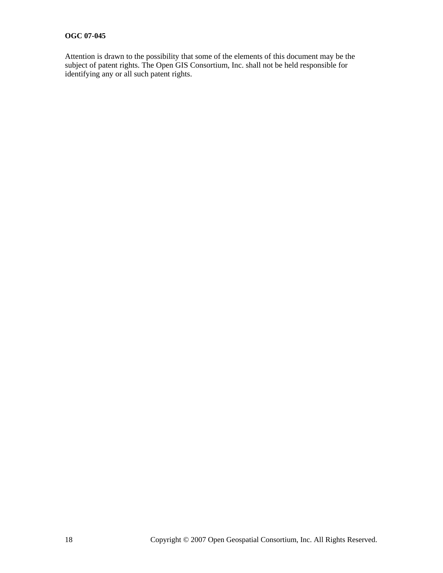Attention is drawn to the possibility that some of the elements of this document may be the subject of patent rights. The Open GIS Consortium, Inc. shall not be held responsible for identifying any or all such patent rights.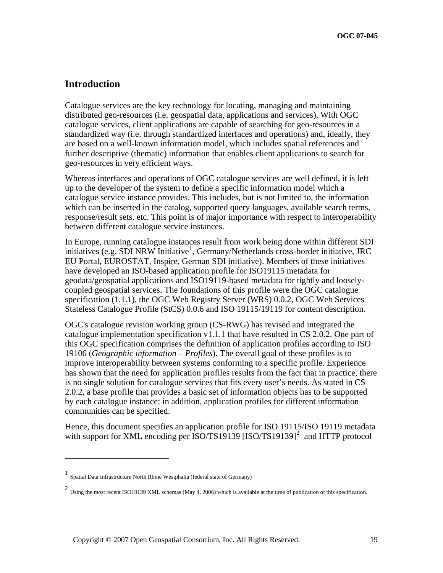## **Introduction**

Catalogue services are the key technology for locating, managing and maintaining distributed geo-resources (i.e. geospatial data, applications and services). With OGC catalogue services, client applications are capable of searching for geo-resources in a standardized way (i.e. through standardized interfaces and operations) and, ideally, they are based on a well-known information model, which includes spatial references and further descriptive (thematic) information that enables client applications to search for geo-resources in very efficient ways.

Whereas interfaces and operations of OGC catalogue services are well defined, it is left up to the developer of the system to define a specific information model which a catalogue service instance provides. This includes, but is not limited to, the information which can be inserted in the catalog, supported query languages, available search terms, response/result sets, etc. This point is of major importance with respect to interoperability between different catalogue service instances.

In Europe, running catalogue instances result from work being done within different SDI initiatives (e.g. SDI NRW Initiative<sup>[1](#page-18-0)</sup>, Germany/Netherlands cross-border initiative, JRC EU Portal, EUROSTAT, Inspire, German SDI initiative). Members of these initiatives have developed an ISO-based application profile for ISO19115 metadata for geodata/geospatial applications and ISO19119-based metadata for tightly and looselycoupled geospatial services. The foundations of this profile were the OGC catalogue specification (1.1.1), the OGC Web Registry Server (WRS) 0.0.2, OGC Web Services Stateless Catalogue Profile (StCS) 0.0.6 and ISO 19115/19119 for content description.

OGC's catalogue revision working group (CS-RWG) has revised and integrated the catalogue implementation specification v1.1.1 that have resulted in CS 2.0.2. One part of this OGC specification comprises the definition of application profiles according to ISO 19106 (*Geographic information – Profiles*). The overall goal of these profiles is to improve interoperability between systems conforming to a specific profile. Experience has shown that the need for application profiles results from the fact that in practice, there is no single solution for catalogue services that fits every user's needs. As stated in CS 2.0.2, a base profile that provides a basic set of information objects has to be supported by each catalogue instance; in addition, application profiles for different information communities can be specified.

Hence, this document specifies an application profile for ISO 19115/ISO 19119 metadata with support for XML encoding per  $ISO/TS19139$   $[ISO/TS19139]$ <sup>[2](#page-18-1)</sup> and HTTP protocol

 $\overline{a}$ 

<span id="page-18-0"></span><sup>1</sup> Spatial Data Infrastructure North Rhine Westphalia (federal state of Germany)

<span id="page-18-1"></span><sup>&</sup>lt;sup>2</sup> Using the most recent ISO19139 XML schemas (May 4, 2006) which is available at the time of publication of this specification.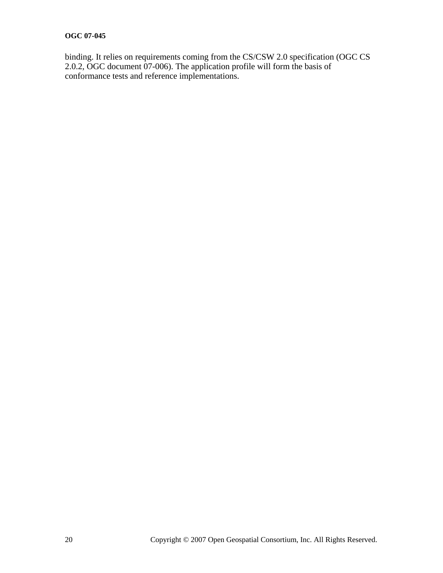binding. It relies on requirements coming from the CS/CSW 2.0 specification (OGC CS 2.0.2, OGC document 07-006). The application profile will form the basis of conformance tests and reference implementations.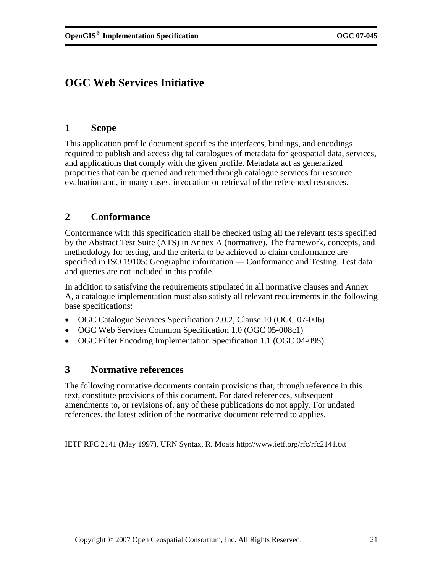## <span id="page-20-0"></span>**OGC Web Services Initiative**

## **1 Scope**

This application profile document specifies the interfaces, bindings, and encodings required to publish and access digital catalogues of metadata for geospatial data, services, and applications that comply with the given profile. Metadata act as generalized properties that can be queried and returned through catalogue services for resource evaluation and, in many cases, invocation or retrieval of the referenced resources.

## **2 Conformance**

Conformance with this specification shall be checked using all the relevant tests specified by the Abstract Test Suite (ATS) in Annex A (normative). The framework, concepts, and methodology for testing, and the criteria to be achieved to claim conformance are specified in ISO 19105: Geographic information — Conformance and Testing. Test data and queries are not included in this profile.

In addition to satisfying the requirements stipulated in all normative clauses and Annex A, a catalogue implementation must also satisfy all relevant requirements in the following base specifications:

- OGC Catalogue Services Specification 2.0.2, Clause 10 (OGC 07-006)
- OGC Web Services Common Specification 1.0 (OGC 05-008c1)
- OGC Filter Encoding Implementation Specification 1.1 (OGC 04-095)

## **3 Normative references**

The following normative documents contain provisions that, through reference in this text, constitute provisions of this document. For dated references, subsequent amendments to, or revisions of, any of these publications do not apply. For undated references, the latest edition of the normative document referred to applies.

IETF RFC 2141 (May 1997), URN Syntax, R. Moats <http://www.ietf.org/rfc/rfc2141.txt>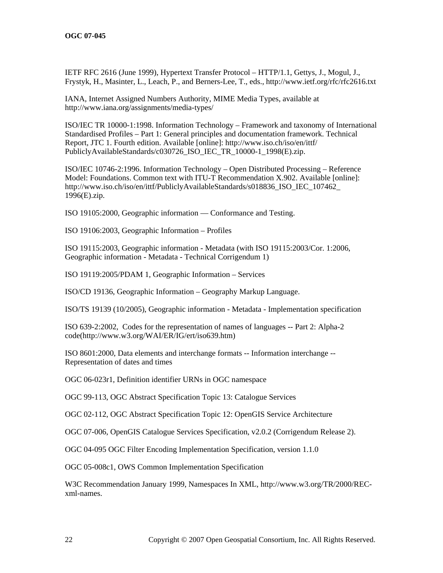IETF RFC 2616 (June 1999), Hypertext Transfer Protocol – HTTP/1.1, Gettys, J., Mogul, J., Frystyk, H., Masinter, L., Leach, P., and Berners-Lee, T., eds.,<http://www.ietf.org/rfc/rfc2616.txt>

IANA, Internet Assigned Numbers Authority, MIME Media Types, available at <http://www.iana.org/assignments/media-types/>

ISO/IEC TR 10000-1:1998. Information Technology – Framework and taxonomy of International Standardised Profiles – Part 1: General principles and documentation framework. Technical Report, JTC 1. Fourth edition. Available [online]: [http://www.iso.ch/iso/en/ittf/](http://www.iso.ch/iso/en/ittf/%20PubliclyAvailableStandards/c030726_ISO_IEC_TR_10000-1_1998(E).zip)  [PubliclyAvailableStandards/c030726\\_ISO\\_IEC\\_TR\\_10000-1\\_1998\(E\).zip.](http://www.iso.ch/iso/en/ittf/%20PubliclyAvailableStandards/c030726_ISO_IEC_TR_10000-1_1998(E).zip)

ISO/IEC 10746-2:1996. Information Technology – Open Distributed Processing – Reference Model: Foundations. Common text with ITU-T Recommendation X.902. Available [online]: http://www.iso.ch/iso/en/ittf/PubliclyAvailableStandards/s018836\_ISO\_IEC\_107462 [1996\(E\).zip](http://www.iso.ch/iso/en/ittf/PubliclyAvailableStandards/s018836_ISO_IEC_107462_%201996(E).zip).

ISO 19105:2000, Geographic information — Conformance and Testing.

ISO 19106:2003, Geographic Information – Profiles

ISO 19115:2003, Geographic information - Metadata (with ISO 19115:2003/Cor. 1:2006, Geographic information - Metadata - Technical Corrigendum 1)

ISO 19119:2005/PDAM 1, Geographic Information – Services

ISO/CD 19136, Geographic Information – Geography Markup Language.

ISO/TS 19139 (10/2005), Geographic information - Metadata - Implementation specification

ISO 639-2:2002, Codes for the representation of names of languages -- Part 2: Alpha-2 code[\(http://www.w3.org/WAI/ER/IG/ert/iso639.htm\)](http://www.w3.org/WAI/ER/IG/ert/iso639.htm)

ISO 8601:2000, Data elements and interchange formats -- Information interchange -- Representation of dates and times

OGC 06-023r1, Definition identifier URNs in OGC namespace

OGC 99-113, OGC Abstract Specification Topic 13: Catalogue Services

OGC 02-112, OGC Abstract Specification Topic 12: OpenGIS Service Architecture

OGC 07-006, OpenGIS Catalogue Services Specification, v2.0.2 (Corrigendum Release 2).

OGC 04-095 OGC Filter Encoding Implementation Specification, version 1.1.0

OGC 05-008c1, OWS Common Implementation Specification

W3C Recommendation January 1999, Namespaces In XML, [http://www.w3.org/TR/2000/REC](http://www.w3.org/TR/2000/REC-xml-names)[xml-names.](http://www.w3.org/TR/2000/REC-xml-names)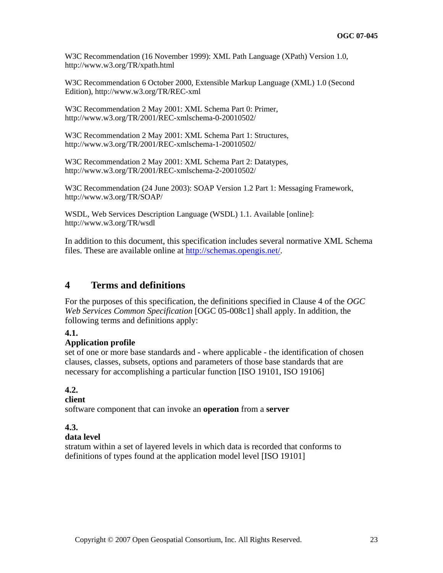<span id="page-22-0"></span>W3C Recommendation (16 November 1999): XML Path Language (XPath) Version 1.0, <http://www.w3.org/TR/xpath.html>

W3C Recommendation 6 October 2000, Extensible Markup Language (XML) 1.0 (Second Edition),<http://www.w3.org/TR/REC-xml>

W3C Recommendation 2 May 2001: XML Schema Part 0: Primer, <http://www.w3.org/TR/2001/REC-xmlschema-0-20010502/>

W3C Recommendation 2 May 2001: XML Schema Part 1: Structures, <http://www.w3.org/TR/2001/REC-xmlschema-1-20010502/>

W3C Recommendation 2 May 2001: XML Schema Part 2: Datatypes, <http://www.w3.org/TR/2001/REC-xmlschema-2-20010502/>

W3C Recommendation (24 June 2003): SOAP Version 1.2 Part 1: Messaging Framework, <http://www.w3.org/TR/SOAP/>

WSDL, Web Services Description Language (WSDL) 1.1. Available [online]: <http://www.w3.org/TR/wsdl>

In addition to this document, this specification includes several normative XML Schema files. These are available online at [http://schemas.opengis.net/.](http://schemas.opengeospatial.net/)

## **4 Terms and definitions**

For the purposes of this specification, the definitions specified in Clause 4 of the *OGC Web Services Common Specification* [OGC 05-008c1] shall apply. In addition, the following terms and definitions apply:

## **4.1.**

## **Application profile**

set of one or more base standards and - where applicable - the identification of chosen clauses, classes, subsets, options and parameters of those base standards that are necessary for accomplishing a particular function [ISO 19101, ISO 19106]

## **4.2.**

## **client**

software component that can invoke an **operation** from a **server** 

## **4.3.**

## **data level**

stratum within a set of layered levels in which data is recorded that conforms to definitions of types found at the application model level [ISO 19101]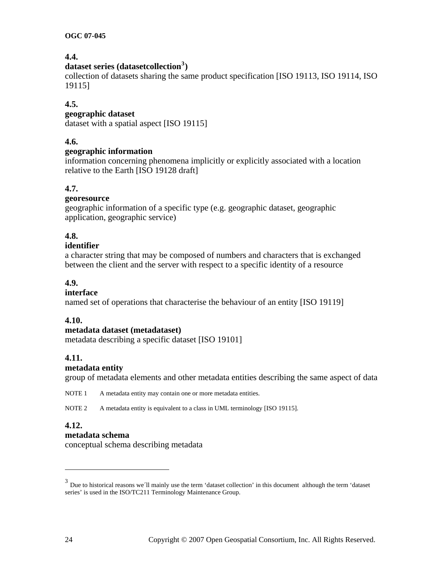## **4.4.**

## **dataset series (datasetcollection[3](#page-23-0) )**

collection of datasets sharing the same product specification [ISO 19113, ISO 19114, ISO 19115]

#### **4.5.**

#### **geographic dataset**

dataset with a spatial aspect [ISO 19115]

## **4.6.**

#### **geographic information**

information concerning phenomena implicitly or explicitly associated with a location relative to the Earth [ISO 19128 draft]

#### **4.7.**

## **georesource**

geographic information of a specific type (e.g. geographic dataset, geographic application, geographic service)

## **4.8.**

#### **identifier**

a character string that may be composed of numbers and characters that is exchanged between the client and the server with respect to a specific identity of a resource

## **4.9.**

#### **interface**

named set of operations that characterise the behaviour of an entity [ISO 19119]

#### **4.10.**

#### **metadata dataset (metadataset)**

metadata describing a specific dataset [ISO 19101]

## **4.11.**

#### **metadata entity**

group of metadata elements and other metadata entities describing the same aspect of data

NOTE 1 A metadata entity may contain one or more metadata entities.

NOTE 2 A metadata entity is equivalent to a class in UML terminology [ISO 19115].

#### **4.12.**

 $\overline{a}$ 

#### **metadata schema**

conceptual schema describing metadata

<span id="page-23-0"></span><sup>&</sup>lt;sup>3</sup> Due to historical reasons we<sup>'</sup>ll mainly use the term 'dataset collection' in this document although the term 'dataset series' is used in the ISO/TC211 Terminology Maintenance Group.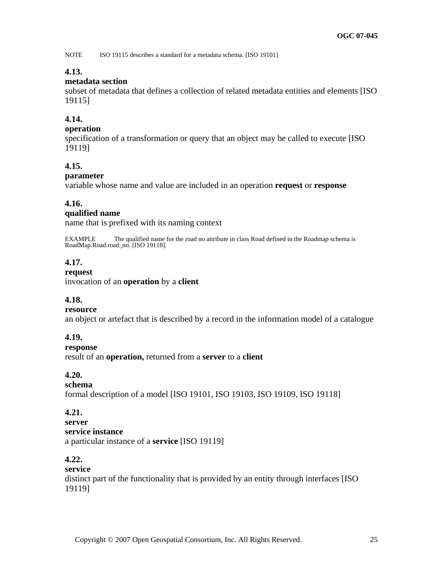NOTE ISO 19115 describes a standard for a metadata schema*.* [ISO 19101]

## **4.13.**

## **metadata section**

subset of metadata that defines a collection of related metadata entities and elements [ISO 19115]

## **4.14.**

## **operation**

specification of a transformation or query that an object may be called to execute [ISO 19119]

## **4.15.**

## **parameter**

variable whose name and value are included in an operation **request** or **response** 

## **4.16.**

#### **qualified name**

name that is prefixed with its naming context

EXAMPLE The qualified name for the road no attribute in class Road defined in the Roadmap schema is RoadMap.Road.road\_no. [ISO 19118].

## **4.17.**

#### **request**

invocation of an **operation** by a **client** 

## **4.18.**

## **resource**

an object or artefact that is described by a record in the information model of a catalogue

## **4.19.**

**response**  result of an **operation,** returned from a **server** to a **client** 

## **4.20.**

## **schema**

formal description of a model [ISO 19101, ISO 19103, ISO 19109, ISO 19118]

## **4.21.**

**server service instance**  a particular instance of a **service** [ISO 19119]

## **4.22.**

## **service**  distinct part of the functionality that is provided by an entity through interfaces [ISO 19119]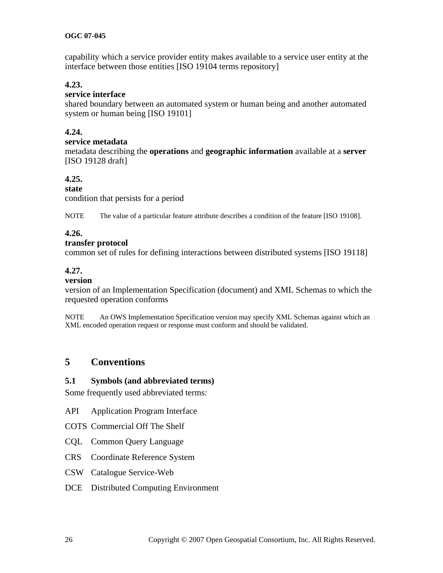<span id="page-25-0"></span>capability which a service provider entity makes available to a service user entity at the interface between those entities [ISO 19104 terms repository]

## **4.23.**

## **service interface**

shared boundary between an automated system or human being and another automated system or human being [ISO 19101]

## **4.24.**

#### **service metadata**

metadata describing the **operations** and **geographic information** available at a **server**  [ISO 19128 draft]

## **4.25.**

#### **state**

condition that persists for a period

NOTE The value of a particular feature attribute describes a condition of the feature [ISO 19108].

## **4.26.**

#### **transfer protocol**

common set of rules for defining interactions between distributed systems [ISO 19118]

## **4.27.**

#### **version**

version of an Implementation Specification (document) and XML Schemas to which the requested operation conforms

NOTE An OWS Implementation Specification version may specify XML Schemas against which an XML encoded operation request or response must conform and should be validated.

## **5 Conventions**

#### **5.1 Symbols (and abbreviated terms)**

Some frequently used abbreviated terms:

- API Application Program Interface
- COTS Commercial Off The Shelf
- CQL Common Query Language
- CRS Coordinate Reference System
- CSW Catalogue Service-Web
- DCE Distributed Computing Environment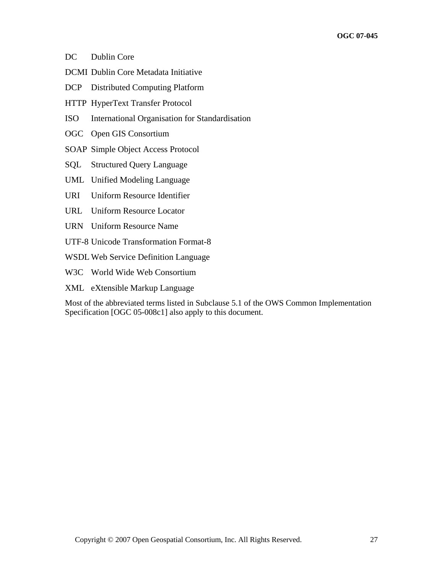- DC Dublin Core
- DCMI Dublin Core Metadata Initiative
- DCP Distributed Computing Platform
- HTTP HyperText Transfer Protocol
- ISO International Organisation for Standardisation
- OGC Open GIS Consortium
- SOAP Simple Object Access Protocol
- SQL Structured Query Language
- UML Unified Modeling Language
- URI Uniform Resource Identifier
- URL Uniform Resource Locator
- URN Uniform Resource Name
- UTF-8 Unicode Transformation Format-8
- WSDL Web Service Definition Language
- W3C World Wide Web Consortium
- XML eXtensible Markup Language

Most of the abbreviated terms listed in Subclause 5.1 of the OWS Common Implementation Specification [OGC 05-008c1] also apply to this document.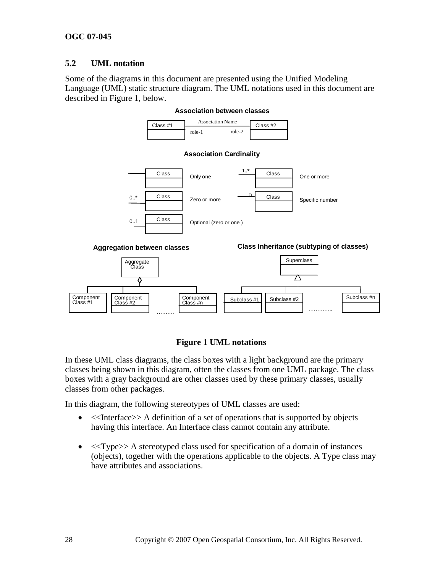## <span id="page-27-0"></span>**5.2 UML notation**

Some of the diagrams in this document are presented using the Unified Modeling Language (UML) static structure diagram. The UML notations used in this document are described in [Figure 1,](#page-27-1) below.



#### **Association between classes**

## **Figure 1 UML notations**

<span id="page-27-1"></span>In these UML class diagrams, the class boxes with a light background are the primary classes being shown in this diagram, often the classes from one UML package. The class boxes with a gray background are other classes used by these primary classes, usually classes from other packages.

In this diagram, the following stereotypes of UML classes are used:

- $\leq$ Interface>> A definition of a set of operations that is supported by objects having this interface. An Interface class cannot contain any attribute.
- <<Type>> A stereotyped class used for specification of a domain of instances (objects), together with the operations applicable to the objects. A Type class may have attributes and associations.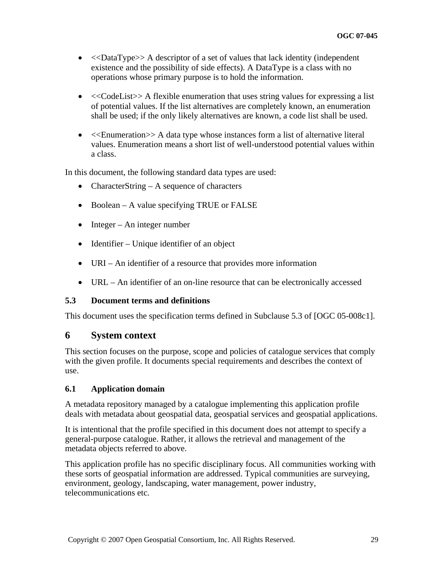- <span id="page-28-0"></span>•  $\langle$  < $DataType\rangle$  A descriptor of a set of values that lack identity (independent existence and the possibility of side effects). A DataType is a class with no operations whose primary purpose is to hold the information.
- <<CodeList>>A flexible enumeration that uses string values for expressing a list of potential values. If the list alternatives are completely known, an enumeration shall be used; if the only likely alternatives are known, a code list shall be used.
- <<Enumeration>> A data type whose instances form a list of alternative literal values. Enumeration means a short list of well-understood potential values within a class.

In this document, the following standard data types are used:

- CharacterString A sequence of characters
- Boolean A value specifying TRUE or FALSE
- Integer An integer number
- Identifier Unique identifier of an object
- URI An identifier of a resource that provides more information
- URL An identifier of an on-line resource that can be electronically accessed

## **5.3 Document terms and definitions**

This document uses the specification terms defined in Subclause 5.3 of [OGC 05-008c1].

## **6 System context**

This section focuses on the purpose, scope and policies of catalogue services that comply with the given profile. It documents special requirements and describes the context of use.

## **6.1 Application domain**

A metadata repository managed by a catalogue implementing this application profile deals with metadata about geospatial data, geospatial services and geospatial applications.

It is intentional that the profile specified in this document does not attempt to specify a general-purpose catalogue. Rather, it allows the retrieval and management of the metadata objects referred to above.

This application profile has no specific disciplinary focus. All communities working with these sorts of geospatial information are addressed. Typical communities are surveying, environment, geology, landscaping, water management, power industry, telecommunications etc.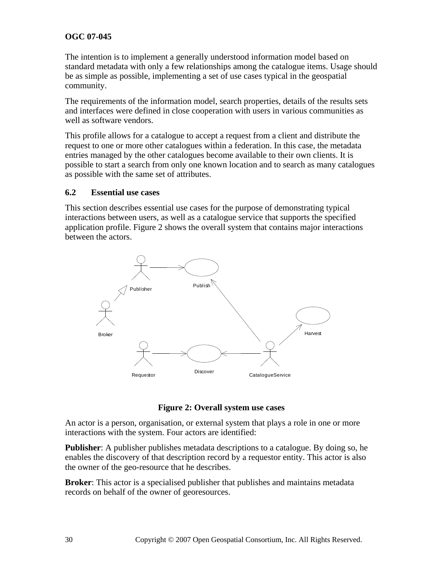<span id="page-29-0"></span>The intention is to implement a generally understood information model based on standard metadata with only a few relationships among the catalogue items. Usage should be as simple as possible, implementing a set of use cases typical in the geospatial community.

The requirements of the information model, search properties, details of the results sets and interfaces were defined in close cooperation with users in various communities as well as software vendors.

This profile allows for a catalogue to accept a request from a client and distribute the request to one or more other catalogues within a federation. In this case, the metadata entries managed by the other catalogues become available to their own clients. It is possible to start a search from only one known location and to search as many catalogues as possible with the same set of attributes.

#### **6.2 Essential use cases**

This section describes essential use cases for the purpose of demonstrating typical interactions between users, as well as a catalogue service that supports the specified application profile. [Figure 2](#page-29-1) shows the overall system that contains major interactions between the actors.



**Figure 2: Overall system use cases** 

<span id="page-29-1"></span>An actor is a person, organisation, or external system that plays a role in one or more interactions with the system. Four actors are identified:

**Publisher**: A publisher publishes metadata descriptions to a catalogue. By doing so, he enables the discovery of that description record by a requestor entity. This actor is also the owner of the geo-resource that he describes.

**Broker**: This actor is a specialised publisher that publishes and maintains metadata records on behalf of the owner of georesources.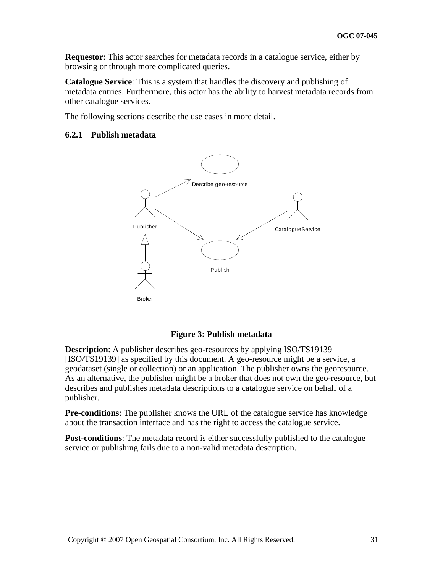<span id="page-30-0"></span>**Requestor**: This actor searches for metadata records in a catalogue service, either by browsing or through more complicated queries.

**Catalogue Service**: This is a system that handles the discovery and publishing of metadata entries. Furthermore, this actor has the ability to harvest metadata records from other catalogue services.

The following sections describe the use cases in more detail.

#### **6.2.1 Publish metadata**



#### **Figure 3: Publish metadata**

**Description**: A publisher describes geo-resources by applying ISO/TS19139 [ISO/TS19139] as specified by this document. A geo-resource might be a service, a geodataset (single or collection) or an application. The publisher owns the georesource. As an alternative, the publisher might be a broker that does not own the geo-resource, but describes and publishes metadata descriptions to a catalogue service on behalf of a publisher.

**Pre-conditions**: The publisher knows the URL of the catalogue service has knowledge about the transaction interface and has the right to access the catalogue service.

**Post-conditions**: The metadata record is either successfully published to the catalogue service or publishing fails due to a non-valid metadata description.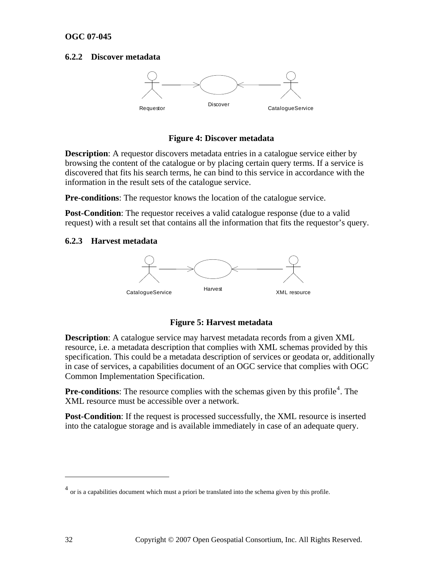#### <span id="page-31-0"></span>**6.2.2 Discover metadata**



#### **Figure 4: Discover metadata**

**Description**: A requestor discovers metadata entries in a catalogue service either by browsing the content of the catalogue or by placing certain query terms. If a service is discovered that fits his search terms, he can bind to this service in accordance with the information in the result sets of the catalogue service.

**Pre-conditions**: The requestor knows the location of the catalogue service.

**Post-Condition**: The requestor receives a valid catalogue response (due to a valid request) with a result set that contains all the information that fits the requestor's query.

#### **6.2.3 Harvest metadata**



#### **Figure 5: Harvest metadata**

**Description**: A catalogue service may harvest metadata records from a given XML resource, i.e. a metadata description that complies with XML schemas provided by this specification. This could be a metadata description of services or geodata or, additionally in case of services, a capabilities document of an OGC service that complies with OGC Common Implementation Specification.

**Pre-conditions**: The resource complies with the schemas given by this profile<sup>[4](#page-31-1)</sup>. The XML resource must be accessible over a network.

**Post-Condition**: If the request is processed successfully, the XML resource is inserted into the catalogue storage and is available immediately in case of an adequate query.

 $\overline{a}$ 

<span id="page-31-1"></span> $<sup>4</sup>$  or is a capabilities document which must a priori be translated into the schema given by this profile.</sup>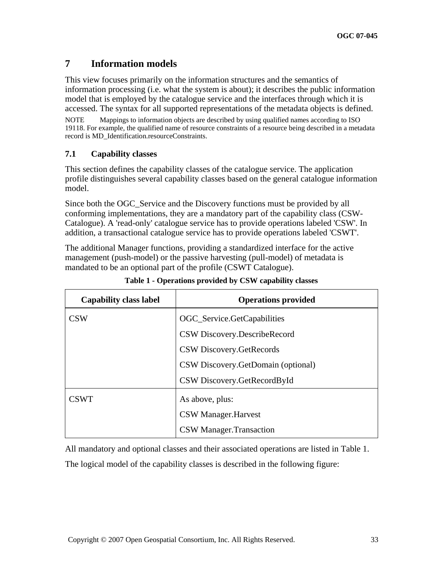## <span id="page-32-0"></span>**7 Information models**

This view focuses primarily on the information structures and the semantics of information processing (i.e. what the system is about); it describes the public information model that is employed by the catalogue service and the interfaces through which it is accessed. The syntax for all supported representations of the metadata objects is defined.

NOTE Mappings to information objects are described by using qualified names according to ISO 19118. For example, the qualified name of resource constraints of a resource being described in a metadata record is MD\_Identification.resourceConstraints.

## **7.1 Capability classes**

This section defines the capability classes of the catalogue service. The application profile distinguishes several capability classes based on the general catalogue information model.

Since both the OGC\_Service and the Discovery functions must be provided by all conforming implementations, they are a mandatory part of the capability class (CSW-Catalogue). A 'read-only' catalogue service has to provide operations labeled 'CSW'. In addition, a transactional catalogue service has to provide operations labeled 'CSWT'.

The additional Manager functions, providing a standardized interface for the active management (push-model) or the passive harvesting (pull-model) of metadata is mandated to be an optional part of the profile (CSWT Catalogue).

| <b>Capability class label</b> | <b>Operations provided</b>         |
|-------------------------------|------------------------------------|
| <b>CSW</b>                    | OGC_Service.GetCapabilities        |
|                               | CSW Discovery.DescribeRecord       |
|                               | CSW Discovery.GetRecords           |
|                               | CSW Discovery.GetDomain (optional) |
|                               | CSW Discovery.GetRecordById        |
| <b>CSWT</b>                   | As above, plus:                    |
|                               | <b>CSW Manager.Harvest</b>         |
|                               | <b>CSW Manager.Transaction</b>     |

| Table 1 - Operations provided by CSW capability classes |  |  |  |  |  |  |
|---------------------------------------------------------|--|--|--|--|--|--|
|---------------------------------------------------------|--|--|--|--|--|--|

All mandatory and optional classes and their associated operations are listed in Table 1.

The logical model of the capability classes is described in the following figure: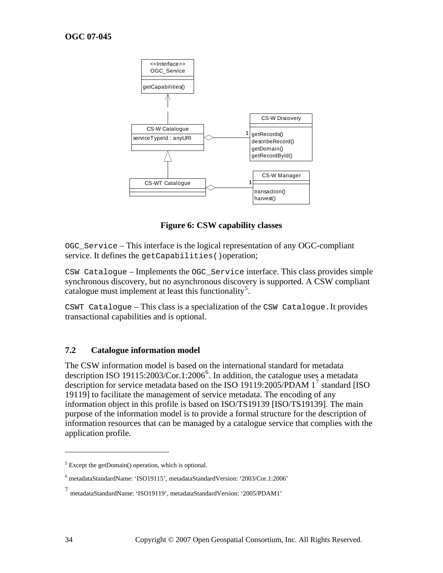<span id="page-33-0"></span>

**Figure 6: CSW capability classes** 

OGC\_Service – This interface is the logical representation of any OGC-compliant service. It defines the getCapabilities () operation;

CSW Catalogue – Implements the OGC\_Service interface. This class provides simple synchronous discovery, but no asynchronous discovery is supported. A CSW compliant catalogue must implement at least this functionality<sup>[5](#page-33-1)</sup>.

CSWT Catalogue – This class is a specialization of the CSW Catalogue.It provides transactional capabilities and is optional.

#### **7.2 Catalogue information model**

The CSW information model is based on the international standard for metadata description ISO 19115:2003/Cor.1:200[6](#page-33-2)<sup>6</sup>. In addition, the catalogue uses a metadata description for service metadata based on the ISO 19119:2005/PDAM 1<sup>[7](#page-33-3)</sup> standard [ISO 19119] to facilitate the management of service metadata. The encoding of any information object in this profile is based on ISO/TS19139 [ISO/TS19139]. The main purpose of the information model is to provide a formal structure for the description of information resources that can be managed by a catalogue service that complies with the application profile.

1

<span id="page-33-1"></span><sup>&</sup>lt;sup>5</sup> Except the getDomain() operation, which is optional.

<sup>6</sup> metadataStandardName: 'ISO19115', metadataStandardVersion: '2003/Cor.1:2006'

<span id="page-33-3"></span><span id="page-33-2"></span><sup>7</sup> metadataStandardName: 'ISO19119', metadataStandardVersion: '2005/PDAM1'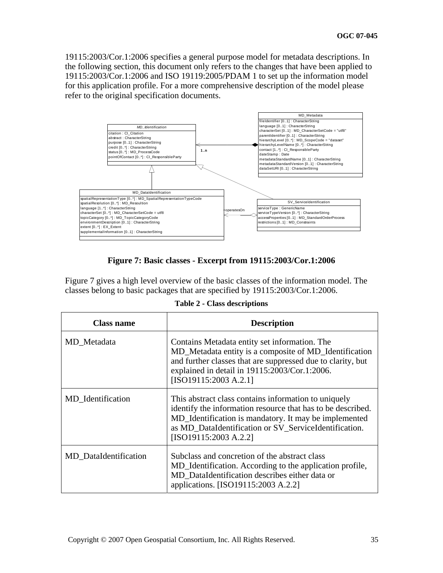<span id="page-34-0"></span>19115:2003/Cor.1:2006 specifies a general purpose model for metadata descriptions. In the following section, this document only refers to the changes that have been applied to 19115:2003/Cor.1:2006 and ISO 19119:2005/PDAM 1 to set up the information model for this application profile. For a more comprehensive description of the model please refer to the original specification documents.



## **Figure 7: Basic classes - Excerpt from 19115:2003/Cor.1:2006**

<span id="page-34-1"></span>[Figure 7](#page-34-1) gives a high level overview of the basic classes of the information model. The classes belong to basic packages that are specified by 19115:2003/Cor.1:2006.

|  |  | <b>Table 2 - Class descriptions</b> |
|--|--|-------------------------------------|
|--|--|-------------------------------------|

| <b>Class name</b>            | <b>Description</b>                                                                                                                                                                                                                                             |
|------------------------------|----------------------------------------------------------------------------------------------------------------------------------------------------------------------------------------------------------------------------------------------------------------|
| MD_Metadata                  | Contains Metadata entity set information. The<br>MD_Metadata entity is a composite of MD_Identification<br>and further classes that are suppressed due to clarity, but<br>explained in detail in 19115:2003/Cor.1:2006.<br>[ISO19115:2003 A.2.1]               |
| MD_Identification            | This abstract class contains information to uniquely<br>identify the information resource that has to be described.<br>MD_Identification is mandatory. It may be implemented<br>as MD_DataIdentification or SV_ServiceIdentification.<br>[ISO19115:2003 A.2.2] |
| <b>MD</b> DataIdentification | Subclass and concretion of the abstract class<br>MD_Identification. According to the application profile,<br>MD DataIdentification describes either data or<br>applications. [ISO19115:2003 A.2.2]                                                             |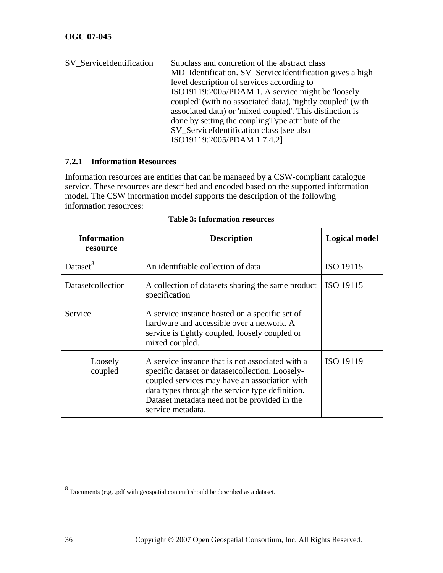<span id="page-35-0"></span>

| SV ServiceIdentification | Subclass and concretion of the abstract class<br>MD_Identification. SV_ServiceIdentification gives a high<br>level description of services according to<br>ISO19119:2005/PDAM 1. A service might be 'loosely<br>coupled' (with no associated data), 'tightly coupled' (with<br>associated data) or 'mixed coupled'. This distinction is<br>done by setting the coupling Type attribute of the<br>SV_ServiceIdentification class [see also<br>ISO19119:2005/PDAM 1 7.4.2] |
|--------------------------|--------------------------------------------------------------------------------------------------------------------------------------------------------------------------------------------------------------------------------------------------------------------------------------------------------------------------------------------------------------------------------------------------------------------------------------------------------------------------|
|                          |                                                                                                                                                                                                                                                                                                                                                                                                                                                                          |

## **7.2.1 Information Resources**

Information resources are entities that can be managed by a CSW-compliant catalogue service. These resources are described and encoded based on the supported information model. The CSW information model supports the description of the following information resources:

| <b>Information</b><br>resource | <b>Description</b>                                                                                                                                                                                                                                                            | <b>Logical model</b> |
|--------------------------------|-------------------------------------------------------------------------------------------------------------------------------------------------------------------------------------------------------------------------------------------------------------------------------|----------------------|
| Dataset <sup>8</sup>           | An identifiable collection of data                                                                                                                                                                                                                                            | ISO 19115            |
| Datasetcollection              | A collection of datasets sharing the same product<br>specification                                                                                                                                                                                                            | ISO 19115            |
| Service                        | A service instance hosted on a specific set of<br>hardware and accessible over a network. A<br>service is tightly coupled, loosely coupled or<br>mixed coupled.                                                                                                               |                      |
| Loosely<br>coupled             | A service instance that is not associated with a<br>specific dataset or dataset collection. Loosely-<br>coupled services may have an association with<br>data types through the service type definition.<br>Dataset metadata need not be provided in the<br>service metadata. | ISO 19119            |

 $\overline{a}$ 

<span id="page-35-1"></span> $^8$  Documents (e.g. .pdf with geospatial content) should be described as a dataset.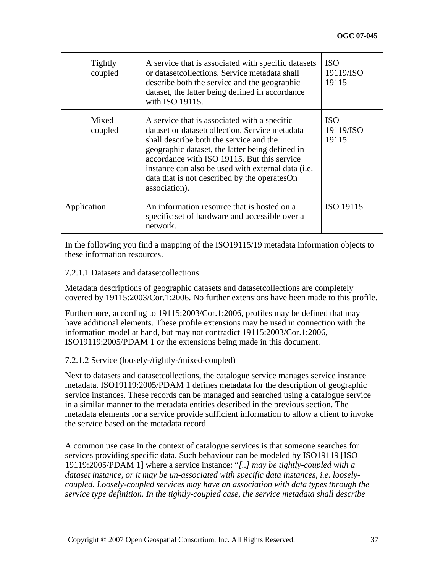| <b>Tightly</b><br>coupled | A service that is associated with specific datasets<br>or datasetcollections. Service metadata shall<br>describe both the service and the geographic<br>dataset, the latter being defined in accordance<br>with ISO 19115.                                                                                                                                           | <b>ISO</b><br>19119/ISO<br>19115 |
|---------------------------|----------------------------------------------------------------------------------------------------------------------------------------------------------------------------------------------------------------------------------------------------------------------------------------------------------------------------------------------------------------------|----------------------------------|
| Mixed<br>coupled          | A service that is associated with a specific<br>dataset or dataset collection. Service metadata<br>shall describe both the service and the<br>geographic dataset, the latter being defined in<br>accordance with ISO 19115. But this service<br>instance can also be used with external data (i.e.<br>data that is not described by the operates On<br>association). | <b>ISO</b><br>19119/ISO<br>19115 |
| Application               | An information resource that is hosted on a<br>specific set of hardware and accessible over a<br>network.                                                                                                                                                                                                                                                            | ISO 19115                        |

In the following you find a mapping of the ISO19115/19 metadata information objects to these information resources.

#### 7.2.1.1 Datasets and datasetcollections

Metadata descriptions of geographic datasets and datasetcollections are completely covered by 19115:2003/Cor.1:2006. No further extensions have been made to this profile.

Furthermore, according to 19115:2003/Cor.1:2006, profiles may be defined that may have additional elements. These profile extensions may be used in connection with the information model at hand, but may not contradict 19115:2003/Cor.1:2006, ISO19119:2005/PDAM 1 or the extensions being made in this document.

### 7.2.1.2 Service (loosely-/tightly-/mixed-coupled)

Next to datasets and datasetcollections, the catalogue service manages service instance metadata. ISO19119:2005/PDAM 1 defines metadata for the description of geographic service instances. These records can be managed and searched using a catalogue service in a similar manner to the metadata entities described in the previous section. The metadata elements for a service provide sufficient information to allow a client to invoke the service based on the metadata record.

A common use case in the context of catalogue services is that someone searches for services providing specific data. Such behaviour can be modeled by ISO19119 [ISO 19119:2005/PDAM 1] where a service instance: "*[..] may be tightly-coupled with a dataset instance, or it may be un-associated with specific data instances, i.e. looselycoupled. Loosely-coupled services may have an association with data types through the service type definition. In the tightly-coupled case, the service metadata shall describe*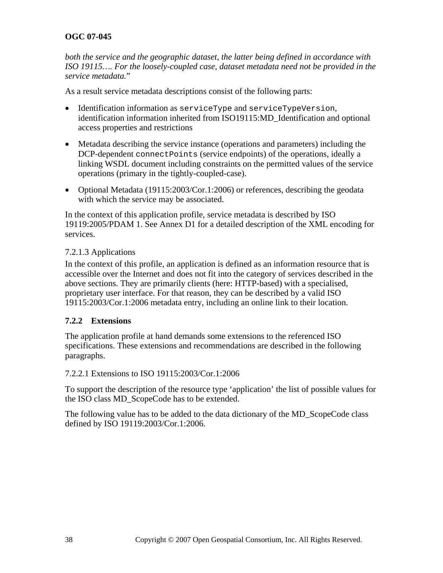*both the service and the geographic dataset, the latter being defined in accordance with ISO 19115…. For the loosely-coupled case, dataset metadata need not be provided in the service metadata.*"

As a result service metadata descriptions consist of the following parts:

- Identification information as serviceType and serviceTypeVersion, identification information inherited from ISO19115:MD\_Identification and optional access properties and restrictions
- Metadata describing the service instance (operations and parameters) including the DCP-dependent connectPoints (service endpoints) of the operations, ideally a linking WSDL document including constraints on the permitted values of the service operations (primary in the tightly-coupled-case).
- Optional Metadata (19115:2003/Cor.1:2006) or references, describing the geodata with which the service may be associated.

In the context of this application profile, service metadata is described by ISO 19119:2005/PDAM 1. See Annex D1 for a detailed description of the XML encoding for services.

## 7.2.1.3 Applications

In the context of this profile, an application is defined as an information resource that is accessible over the Internet and does not fit into the category of services described in the above sections. They are primarily clients (here: HTTP-based) with a specialised, proprietary user interface. For that reason, they can be described by a valid ISO 19115:2003/Cor.1:2006 metadata entry, including an online link to their location.

## **7.2.2 Extensions**

The application profile at hand demands some extensions to the referenced ISO specifications. These extensions and recommendations are described in the following paragraphs.

## 7.2.2.1 Extensions to ISO 19115:2003/Cor.1:2006

To support the description of the resource type 'application' the list of possible values for the ISO class MD\_ScopeCode has to be extended.

The following value has to be added to the data dictionary of the MD\_ScopeCode class defined by ISO 19119:2003/Cor.1:2006.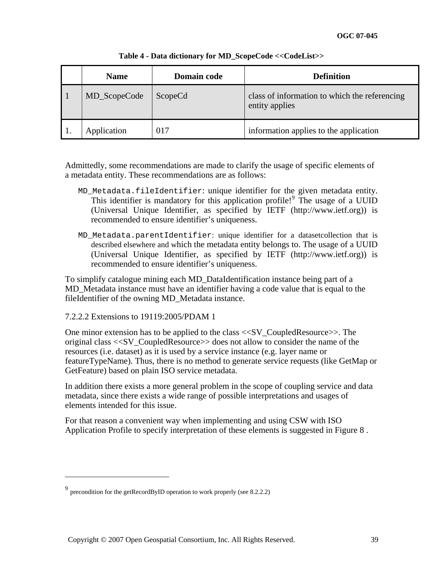| <b>Name</b>  | <b>Domain code</b> | <b>Definition</b>                                               |
|--------------|--------------------|-----------------------------------------------------------------|
| MD_ScopeCode | ScopeCd            | class of information to which the referencing<br>entity applies |
| Application  | 017                | information applies to the application                          |

#### **Table 4 - Data dictionary for MD\_ScopeCode <<CodeList>>**

Admittedly, some recommendations are made to clarify the usage of specific elements of a metadata entity. These recommendations are as follows:

- MD\_Metadata.fileIdentifier: unique identifier for the given metadata entity. This identifier is mandatory for this application profile!<sup>[9](#page-38-0)</sup> The usage of a UUID (Universal Unique Identifier, as specified by IETF (http://www.ietf.org)) is recommended to ensure identifier's uniqueness.
- MD\_Metadata.parentIdentifier: unique identifier for a datasetcollection that is described elsewhere and which the metadata entity belongs to. The usage of a UUID (Universal Unique Identifier, as specified by IETF (http://www.ietf.org)) is recommended to ensure identifier's uniqueness.

To simplify catalogue mining each MD\_DataIdentification instance being part of a MD\_Metadata instance must have an identifier having a code value that is equal to the fileIdentifier of the owning MD\_Metadata instance.

### 7.2.2.2 Extensions to 19119:2005/PDAM 1

One minor extension has to be applied to the class <<SV\_CoupledResource>>. The original class <<SV\_CoupledResource>> does not allow to consider the name of the resources (i.e. dataset) as it is used by a service instance (e.g. layer name or featureTypeName). Thus, there is no method to generate service requests (like GetMap or GetFeature) based on plain ISO service metadata.

In addition there exists a more general problem in the scope of coupling service and data metadata, since there exists a wide range of possible interpretations and usages of elements intended for this issue.

For that reason a convenient way when implementing and using CSW with ISO Application Profile to specify interpretation of these elements is suggested in [Figure 8](#page-39-0) .

<u>.</u>

<span id="page-38-0"></span><sup>9</sup> precondition for the getRecordByID operation to work properly (see 8.2.2.2)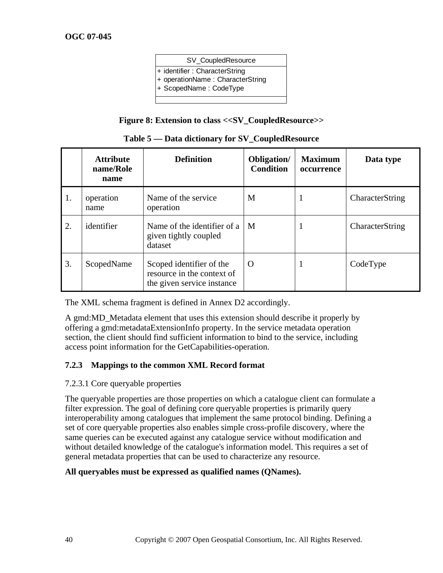| SV_CoupledResource                                                                          |
|---------------------------------------------------------------------------------------------|
| + identifier: CharacterString<br>+ operationName: CharacterString<br>+ ScopedName: CodeType |
|                                                                                             |

### **Figure 8: Extension to class <<SV\_CoupledResource>>**

<span id="page-39-0"></span>

|    | <b>Attribute</b><br>name/Role<br>name | <b>Definition</b>                                                                    | Obligation/<br><b>Condition</b> | <b>Maximum</b><br>occurrence | Data type       |
|----|---------------------------------------|--------------------------------------------------------------------------------------|---------------------------------|------------------------------|-----------------|
| 1. | operation<br>name                     | Name of the service<br>operation                                                     | M                               | $\mathbf{I}$                 | CharacterString |
| 2. | identifier                            | Name of the identifier of a<br>given tightly coupled<br>dataset                      | M                               |                              | CharacterString |
| 3. | ScopedName                            | Scoped identifier of the<br>resource in the context of<br>the given service instance | $\Omega$                        |                              | CodeType        |

|  |  |  |  | Table 5 – Data dictionary for SV_CoupledResource |
|--|--|--|--|--------------------------------------------------|
|--|--|--|--|--------------------------------------------------|

The XML schema fragment is defined in Annex D2 accordingly.

A gmd:MD\_Metadata element that uses this extension should describe it properly by offering a gmd:metadataExtensionInfo property. In the service metadata operation section, the client should find sufficient information to bind to the service, including access point information for the GetCapabilities-operation.

### **7.2.3 Mappings to the common XML Record format**

#### 7.2.3.1 Core queryable properties

The queryable properties are those properties on which a catalogue client can formulate a filter expression. The goal of defining core queryable properties is primarily query interoperability among catalogues that implement the same protocol binding. Defining a set of core queryable properties also enables simple cross-profile discovery, where the same queries can be executed against any catalogue service without modification and without detailed knowledge of the catalogue's information model. This requires a set of general metadata properties that can be used to characterize any resource.

### **All queryables must be expressed as qualified names (QNames).**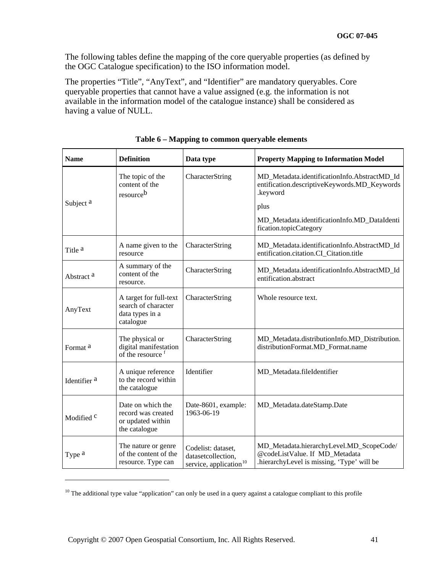The following tables define the mapping of the core queryable properties (as defined by the OGC Catalogue specification) to the ISO information model.

The properties "Title", "AnyText", and "Identifier" are mandatory queryables. Core queryable properties that cannot have a value assigned (e.g. the information is not available in the information model of the catalogue instance) shall be considered as having a value of NULL.

| <b>Name</b>             | <b>Definition</b>                                                             | Data type                                                                      | <b>Property Mapping to Information Model</b>                                                                                                                                               |
|-------------------------|-------------------------------------------------------------------------------|--------------------------------------------------------------------------------|--------------------------------------------------------------------------------------------------------------------------------------------------------------------------------------------|
| Subject <sup>a</sup>    | The topic of the<br>content of the<br>resourceb                               | CharacterString                                                                | MD_Metadata.identificationInfo.AbstractMD_Id<br>entification.descriptiveKeywords.MD_Keywords<br>.keyword<br>plus<br>MD_Metadata.identificationInfo.MD_DataIdenti<br>fication.topicCategory |
| Title <sup>a</sup>      | A name given to the<br>resource                                               | CharacterString                                                                | MD_Metadata.identificationInfo.AbstractMD_Id<br>entification.citation.CI_Citation.title                                                                                                    |
| Abstract <sup>a</sup>   | A summary of the<br>content of the<br>resource.                               | CharacterString                                                                | MD_Metadata.identificationInfo.AbstractMD_Id<br>entification.abstract                                                                                                                      |
| AnyText                 | A target for full-text<br>search of character<br>data types in a<br>catalogue | CharacterString                                                                | Whole resource text.                                                                                                                                                                       |
| Format <sup>a</sup>     | The physical or<br>digital manifestation<br>of the resource f                 | CharacterString                                                                | MD_Metadata.distributionInfo.MD_Distribution.<br>distributionFormat.MD_Format.name                                                                                                         |
| Identifier <sup>a</sup> | A unique reference<br>to the record within<br>the catalogue                   | Identifier                                                                     | MD_Metadata.fileIdentifier                                                                                                                                                                 |
| Modified <sup>c</sup>   | Date on which the<br>record was created<br>or updated within<br>the catalogue | Date-8601, example:<br>1963-06-19                                              | MD_Metadata.dateStamp.Date                                                                                                                                                                 |
| Type a                  | The nature or genre<br>of the content of the<br>resource. Type can            | Codelist: dataset,<br>datasetcollection,<br>service, application <sup>10</sup> | MD_Metadata.hierarchyLevel.MD_ScopeCode/<br>@codeListValue. If MD_Metadata<br>.hierarchyLevel is missing, 'Type' will be                                                                   |

**Table 6 – Mapping to common queryable elements** 

<span id="page-40-0"></span><sup>&</sup>lt;sup>10</sup> The additional type value "application" can only be used in a query against a catalogue compliant to this profile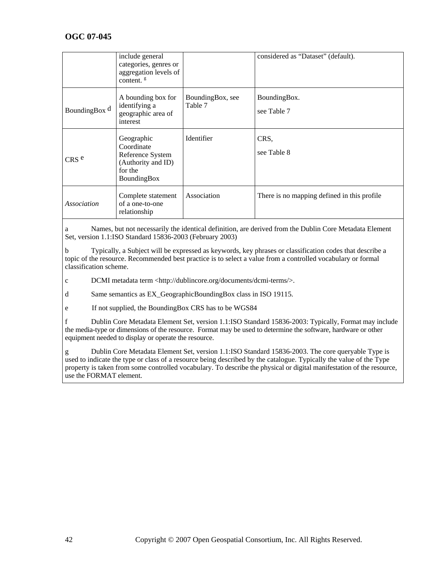|                  | include general<br>categories, genres or<br>aggregation levels of<br>content. <sup>g</sup>   |                             | considered as "Dataset" (default).          |
|------------------|----------------------------------------------------------------------------------------------|-----------------------------|---------------------------------------------|
| BoundingBox d    | A bounding box for<br>identifying a<br>geographic area of<br>interest                        | BoundingBox, see<br>Table 7 | BoundingBox.<br>see Table 7                 |
| CRS <sup>e</sup> | Geographic<br>Coordinate<br>Reference System<br>(Authority and ID)<br>for the<br>BoundingBox | Identifier                  | CRS,<br>see Table 8                         |
| Association      | Complete statement<br>of a one-to-one<br>relationship                                        | Association                 | There is no mapping defined in this profile |

a Names, but not necessarily the identical definition, are derived from the Dublin Core Metadata Element Set, version 1.1:ISO Standard 15836-2003 (February 2003)

b Typically, a Subject will be expressed as keywords, key phrases or classification codes that describe a topic of the resource. Recommended best practice is to select a value from a controlled vocabulary or formal classification scheme.

c DCMI metadata term <http://dublincore.org/documents/dcmi-terms/>.

d Same semantics as EX\_GeographicBoundingBox class in ISO 19115.

e If not supplied, the BoundingBox CRS has to be WGS84

f Dublin Core Metadata Element Set, version 1.1:ISO Standard 15836-2003: Typically, Format may include the media-type or dimensions of the resource. Format may be used to determine the software, hardware or other equipment needed to display or operate the resource.

g Dublin Core Metadata Element Set, version 1.1:ISO Standard 15836-2003. The core queryable Type is used to indicate the type or class of a resource being described by the catalogue. Typically the value of the Type property is taken from some controlled vocabulary. To describe the physical or digital manifestation of the resource, use the FORMAT element.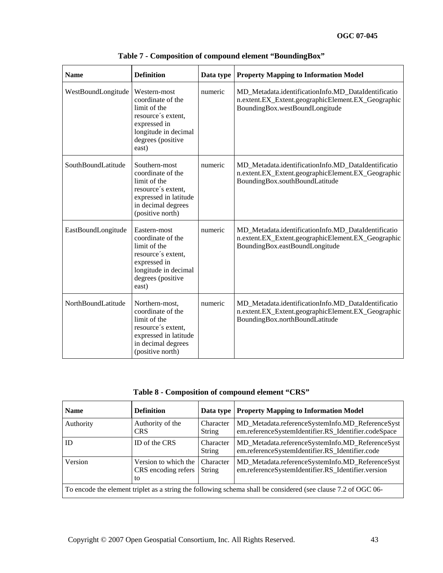<span id="page-42-0"></span>

| <b>Name</b>        | <b>Definition</b>                                                                                                                             | Data type | <b>Property Mapping to Information Model</b>                                                                                                |
|--------------------|-----------------------------------------------------------------------------------------------------------------------------------------------|-----------|---------------------------------------------------------------------------------------------------------------------------------------------|
| WestBoundLongitude | Western-most<br>coordinate of the<br>limit of the<br>resource's extent,<br>expressed in<br>longitude in decimal<br>degrees (positive<br>east) | numeric   | MD_Metadata.identificationInfo.MD_DataIdentificatio<br>n.extent.EX_Extent.geographicElement.EX_Geographic<br>BoundingBox.westBoundLongitude |
| SouthBoundLatitude | Southern-most<br>coordinate of the<br>limit of the<br>resource's extent,<br>expressed in latitude<br>in decimal degrees<br>(positive north)   | numeric   | MD_Metadata.identificationInfo.MD_DataIdentificatio<br>n.extent.EX_Extent.geographicElement.EX_Geographic<br>BoundingBox.southBoundLatitude |
| EastBoundLongitude | Eastern-most<br>coordinate of the<br>limit of the<br>resource's extent,<br>expressed in<br>longitude in decimal<br>degrees (positive<br>east) | numeric   | MD_Metadata.identificationInfo.MD_DataIdentificatio<br>n.extent.EX_Extent.geographicElement.EX_Geographic<br>BoundingBox.eastBoundLongitude |
| NorthBoundLatitude | Northern-most,<br>coordinate of the<br>limit of the<br>resource's extent,<br>expressed in latitude<br>in decimal degrees<br>(positive north)  | numeric   | MD Metadata.identificationInfo.MD DataIdentificatio<br>n.extent.EX_Extent.geographicElement.EX_Geographic<br>BoundingBox.northBoundLatitude |

**Table 7 - Composition of compound element "BoundingBox"** 

**Table 8 - Composition of compound element "CRS"** 

<span id="page-42-1"></span>

| <b>Name</b>                                                                                                   | <b>Definition</b>                                 | Data type                  | <b>Property Mapping to Information Model</b>                                                             |
|---------------------------------------------------------------------------------------------------------------|---------------------------------------------------|----------------------------|----------------------------------------------------------------------------------------------------------|
| Authority                                                                                                     | Authority of the<br><b>CRS</b>                    | Character<br><b>String</b> | MD_Metadata.referenceSystemInfo.MD_ReferenceSyst<br>em.referenceSystemIdentifier.RS_Identifier.codeSpace |
| ID                                                                                                            | ID of the CRS                                     | Character<br>String        | MD_Metadata.referenceSystemInfo.MD_ReferenceSyst<br>em.referenceSystemIdentifier.RS_Identifier.code      |
| Version                                                                                                       | Version to which the<br>CRS encoding refers<br>to | Character<br>String        | MD_Metadata.referenceSystemInfo.MD_ReferenceSyst<br>em.referenceSystemIdentifier.RS_Identifier.version   |
| To encode the element triplet as a string the following schema shall be considered (see clause 7.2 of OGC 06- |                                                   |                            |                                                                                                          |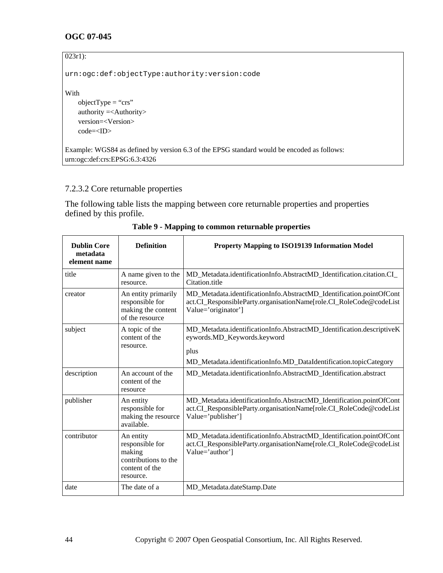| $023r1$ :                                                                                  |
|--------------------------------------------------------------------------------------------|
| urn:ogc:def:objectType:authority:version:code                                              |
| With                                                                                       |
| objectType = "crs"                                                                         |
| authority $=<$ Authority $>$                                                               |
| $version=$                                                                                 |
| $code=$                                                                                    |
|                                                                                            |
| Example: WGS84 as defined by version 6.3 of the EPSG standard would be encoded as follows: |
| urn:ogc:def:crs:EPSG:6.3:4326                                                              |

# <span id="page-43-0"></span>7.2.3.2 Core returnable properties

The following table lists the mapping between core returnable properties and properties defined by this profile.

| <b>Dublin Core</b><br>metadata<br>element name | <b>Definition</b>                                                                             | <b>Property Mapping to ISO19139 Information Model</b>                                                                                                                              |
|------------------------------------------------|-----------------------------------------------------------------------------------------------|------------------------------------------------------------------------------------------------------------------------------------------------------------------------------------|
| title                                          | A name given to the<br>resource.                                                              | MD_Metadata.identificationInfo.AbstractMD_Identification.citation.CI_<br>Citation.title                                                                                            |
| creator                                        | An entity primarily<br>responsible for<br>making the content<br>of the resource               | MD Metadata.identificationInfo.AbstractMD Identification.pointOfCont<br>act.CI_ResponsibleParty.organisationName[role.CI_RoleCode@codeList<br>Value='originator']                  |
| subject                                        | A topic of the<br>content of the<br>resource.                                                 | MD_Metadata.identificationInfo.AbstractMD_Identification.descriptiveK<br>eywords.MD_Keywords.keyword<br>plus<br>MD_Metadata.identificationInfo.MD_DataIdentification.topicCategory |
| description                                    | An account of the<br>content of the<br>resource                                               | MD_Metadata.identificationInfo.AbstractMD_Identification.abstract                                                                                                                  |
| publisher                                      | An entity<br>responsible for<br>making the resource<br>available.                             | MD_Metadata.identificationInfo.AbstractMD_Identification.pointOfCont<br>act.CI_ResponsibleParty.organisationName[role.CI_RoleCode@codeList<br>Value='publisher']                   |
| contributor                                    | An entity<br>responsible for<br>making<br>contributions to the<br>content of the<br>resource. | MD_Metadata.identificationInfo.AbstractMD_Identification.pointOfCont<br>act.CI_ResponsibleParty.organisationName[role.CI_RoleCode@codeList<br>Value='author']                      |
| date                                           | The date of a                                                                                 | MD_Metadata.dateStamp.Date                                                                                                                                                         |

**Table 9 - Mapping to common returnable properties**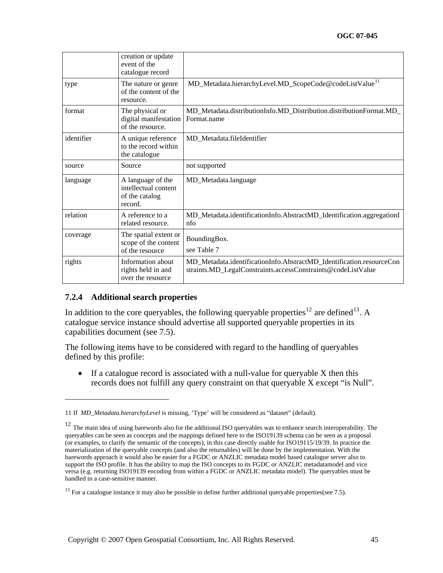|            | creation or update<br>event of the<br>catalogue record                 |                                                                                                                                      |
|------------|------------------------------------------------------------------------|--------------------------------------------------------------------------------------------------------------------------------------|
| type       | The nature or genre<br>of the content of the<br>resource.              | MD_Metadata.hierarchyLevel.MD_ScopeCode@codeListValue <sup>11</sup>                                                                  |
| format     | The physical or<br>digital manifestation<br>of the resource.           | MD_Metadata.distributionInfo.MD_Distribution.distributionFormat.MD_<br>Format.name                                                   |
| identifier | A unique reference<br>to the record within<br>the catalogue            | MD_Metadata.fileIdentifier                                                                                                           |
| source     | Source                                                                 | not supported                                                                                                                        |
| language   | A language of the<br>intellectual content<br>of the catalog<br>record. | MD_Metadata.language                                                                                                                 |
| relation   | A reference to a<br>related resource.                                  | MD_Metadata.identificationInfo.AbstractMD_Identification.aggregationI<br>nfo                                                         |
| coverage   | The spatial extent or<br>scope of the content<br>of the resource       | BoundingBox.<br>see Table 7                                                                                                          |
| rights     | Information about<br>rights held in and<br>over the resource           | MD_Metadata.identificationInfo.AbstractMD_Identification.resourceCon<br>straints.MD_LegalConstraints.accessConstraints@codeListValue |

### **7.2.4 Additional search properties**

1

In addition to the core queryables, the following queryable properties<sup>[12](#page-44-1)</sup> are defined<sup>[13](#page-44-2)</sup>. A catalogue service instance should advertise all supported queryable properties in its capabilities document (see [7.5](#page-55-0)).

The following items have to be considered with regard to the handling of queryables defined by this profile:

• If a catalogue record is associated with a null-value for queryable X then this records does not fulfill any query constraint on that queryable X except "is Null".

<span id="page-44-0"></span><sup>11</sup> If *MD\_Metadata.hierarchyLevel* is missing, 'Type' will be considered as "dataset" (default).

<span id="page-44-1"></span> $12$  The main idea of using barewords also for the additional ISO queryables was to enhance search interoperability. The queryables can be seen as concepts and the mappings defined here to the ISO19139 schema can be seen as a proposal (or examples, to clarify the semantic of the concepts), in this case directly usable for ISO19115/19/39. In practice the materialization of the queryable concepts (and also the returnables) will be done by the implementation. With the barewords approach it would also be easier for a FGDC or ANZLIC metadata model based catalogue server also to support the ISO profile. It has the ability to map the ISO concepts to its FGDC or ANZLIC metadatamodel and vice versa (e.g. returning ISO19139 encoding from within a FGDC or ANZLIC metadata model). The queryables must be handled in a case-sensitive manner.

<span id="page-44-2"></span><sup>&</sup>lt;sup>13</sup> For a catalogue instance it may also be possible to define further additional queryable properties(see 7.5).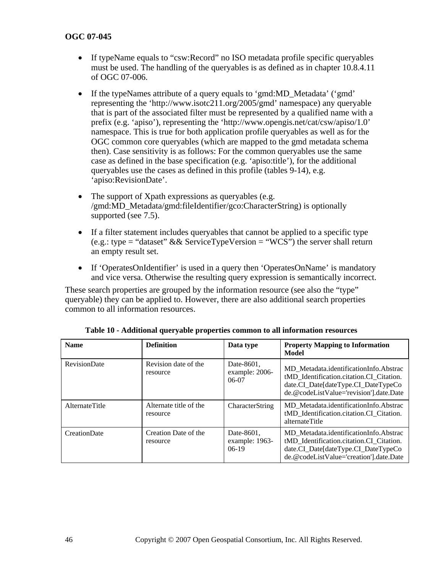- If typeName equals to "csw:Record" no ISO metadata profile specific queryables must be used. The handling of the queryables is as defined as in chapter 10.8.4.11 of OGC 07-006.
- If the typeNames attribute of a query equals to 'gmd:MD\_Metadata' ('gmd' representing the 'http://www.isotc211.org/2005/gmd' namespace) any queryable that is part of the associated filter must be represented by a qualified name with a prefix (e.g. 'apiso'), representing the 'http://www.opengis.net/cat/csw/apiso/1.0' namespace. This is true for both application profile queryables as well as for the OGC common core queryables (which are mapped to the gmd metadata schema then). Case sensitivity is as follows: For the common queryables use the same case as defined in the base specification (e.g. 'apiso:title'), for the additional queryables use the cases as defined in this profile (tables 9-14), e.g. 'apiso:RevisionDate'.
- The support of Xpath expressions as queryables (e.g. /gmd:MD\_Metadata/gmd:fileIdentifier/gco:CharacterString) is optionally supported (see [7.5\)](#page-55-0).
- If a filter statement includes queryables that cannot be applied to a specific type (e.g.: type = "dataset"  $\&&$  ServiceTypeVersion = "WCS") the server shall return an empty result set.
- If 'OperatesOnIdentifier' is used in a query then 'OperatesOnName' is mandatory and vice versa. Otherwise the resulting query expression is semantically incorrect.

These search properties are grouped by the information resource (see also the "type" queryable) they can be applied to. However, there are also additional search properties common to all information resources.

| <b>Name</b>         | <b>Definition</b>                  | Data type                               | <b>Property Mapping to Information</b><br>Model                                                                                                                      |
|---------------------|------------------------------------|-----------------------------------------|----------------------------------------------------------------------------------------------------------------------------------------------------------------------|
| <b>RevisionDate</b> | Revision date of the<br>resource   | Date-8601,<br>example: 2006-<br>$06-07$ | MD Metadata.identificationInfo.Abstrac<br>tMD Identification.citation.CI Citation.<br>date.CI_Date[dateType.CI_DateTypeCo<br>de.@codeListValue='revision'].date.Date |
| AlternateTitle      | Alternate title of the<br>resource | CharacterString                         | MD Metadata.identificationInfo.Abstrac<br>tMD_Identification.citation.CI_Citation.<br>alternateTitle                                                                 |
| <b>CreationDate</b> | Creation Date of the<br>resource   | Date-8601,<br>example: 1963-<br>$06-19$ | MD Metadata.identificationInfo.Abstrac<br>tMD Identification.citation.CI Citation.<br>date.CI_Date[dateType.CI_DateTypeCo<br>de.@codeListValue='creation'].date.Date |

**Table 10 - Additional queryable properties common to all information resources**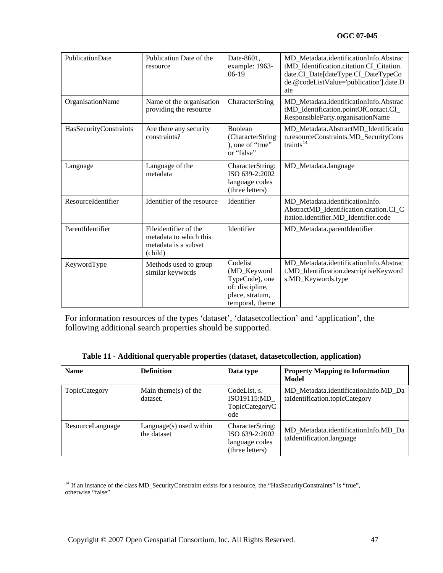| PublicationDate        | Publication Date of the<br>resource                                                | Date-8601,<br>example: 1963-<br>$06-19$                                                            | MD Metadata.identificationInfo.Abstrac<br>tMD_Identification.citation.CI_Citation.<br>date.CI_Date[dateType.CI_DateTypeCo<br>de.@codeListValue='publication'].date.D<br>ate |
|------------------------|------------------------------------------------------------------------------------|----------------------------------------------------------------------------------------------------|-----------------------------------------------------------------------------------------------------------------------------------------------------------------------------|
| OrganisationName       | Name of the organisation<br>providing the resource                                 | CharacterString                                                                                    | MD_Metadata.identificationInfo.Abstrac<br>tMD_Identification.pointOfContact.CI_<br>ResponsibleParty.organisationName                                                        |
| HasSecurityConstraints | Are there any security<br>constraints?                                             | <b>Boolean</b><br>(CharacterString<br>), one of "true"<br>or "false"                               | MD_Metadata.AbstractMD_Identificatio<br>n.resourceConstraints.MD_SecurityCons<br>traints $14$                                                                               |
| Language               | Language of the<br>metadata                                                        | CharacterString:<br>ISO 639-2:2002<br>language codes<br>(three letters)                            | MD_Metadata.language                                                                                                                                                        |
| ResourceIdentifier     | Identifier of the resource                                                         | Identifier                                                                                         | MD Metadata.identificationInfo.<br>AbstractMD_Identification.citation.CI_C<br>itation.identifier.MD_Identifier.code                                                         |
| ParentIdentifier       | Fileidentifier of the<br>metadata to which this<br>metadata is a subset<br>(child) | Identifier                                                                                         | MD_Metadata.parentIdentifier                                                                                                                                                |
| KeywordType            | Methods used to group<br>similar keywords                                          | Codelist<br>(MD_Keyword<br>TypeCode), one<br>of: discipline,<br>place, stratum,<br>temporal, theme | MD_Metadata.identificationInfo.Abstrac<br>t.MD_Identification.descriptiveKeyword<br>s.MD_Keywords.type                                                                      |

For information resources of the types 'dataset', 'datasetcollection' and 'application', the following additional search properties should be supported.

|  |  |  |  | Table 11 - Additional queryable properties (dataset, dataset collection, application) |  |
|--|--|--|--|---------------------------------------------------------------------------------------|--|
|--|--|--|--|---------------------------------------------------------------------------------------|--|

| <b>Name</b>      | <b>Definition</b>                      | Data type                                                               | <b>Property Mapping to Information</b><br>Model                        |
|------------------|----------------------------------------|-------------------------------------------------------------------------|------------------------------------------------------------------------|
| TopicCategory    | Main theme(s) of the<br>dataset.       | CodeList, s.<br>ISO19115:MD<br>TopicCategoryC<br>ode                    | MD Metadata.identificationInfo.MD Da<br>taIdentification.topicCategory |
| ResourceLanguage | Language(s) used within<br>the dataset | CharacterString:<br>ISO 639-2:2002<br>language codes<br>(three letters) | MD Metadata.identificationInfo.MD Da<br>taIdentification.language      |

<span id="page-46-0"></span><sup>&</sup>lt;sup>14</sup> If an instance of the class MD\_SecurityConstraint exists for a resource, the "HasSecurityConstraints" is "true", otherwise "false"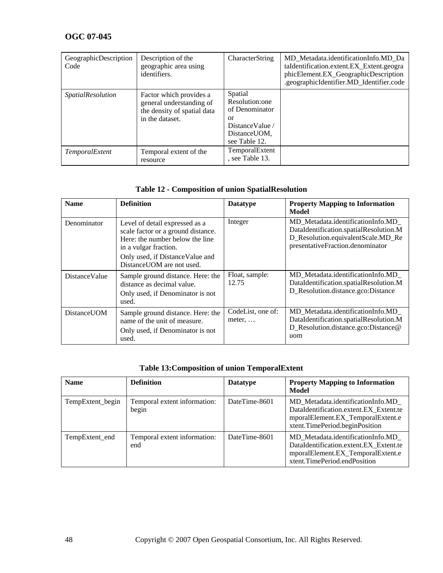| GeographicDescription<br>Code | Description of the<br>geographic area using<br>identifiers.                                           | <b>CharacterString</b>                                                                                  | MD Metadata.identificationInfo.MD Da<br>taIdentification.extent.EX_Extent.geogra<br>phicElement.EX_GeographicDescription<br>.geographicIdentifier.MD_Identifier.code |
|-------------------------------|-------------------------------------------------------------------------------------------------------|---------------------------------------------------------------------------------------------------------|----------------------------------------------------------------------------------------------------------------------------------------------------------------------|
| <i>SpatialResolution</i>      | Factor which provides a<br>general understanding of<br>the density of spatial data<br>in the dataset. | Spatial<br>Resolution:one<br>of Denominator<br>or<br>Distance Value /<br>Distance UOM.<br>see Table 12. |                                                                                                                                                                      |
| TemporalExtent                | Temporal extent of the<br>resource                                                                    | TemporalExtent<br>, see Table 13.                                                                       |                                                                                                                                                                      |

## **Table 12 - Composition of union SpatialResolution**

<span id="page-47-0"></span>

| <b>Name</b>           | <b>Definition</b>                                                                                                                                                                                 | <b>Datatype</b>                     | <b>Property Mapping to Information</b><br>Model                                                                                                       |
|-----------------------|---------------------------------------------------------------------------------------------------------------------------------------------------------------------------------------------------|-------------------------------------|-------------------------------------------------------------------------------------------------------------------------------------------------------|
| Denominator           | Level of detail expressed as a<br>scale factor or a ground distance.<br>Here: the number below the line<br>in a vulgar fraction.<br>Only used, if Distance Value and<br>DistanceUOM are not used. | Integer                             | MD Metadata.identificationInfo.MD<br>DataIdentification.spatialResolution.M<br>D_Resolution.equivalentScale.MD_Re<br>presentativeFraction.denominator |
| <b>Distance Value</b> | Sample ground distance. Here: the<br>distance as decimal value.<br>Only used, if Denominator is not<br>used.                                                                                      | Float, sample:<br>12.75             | MD_Metadata.identificationInfo.MD_<br>DataIdentification.spatialResolution.M<br>D_Resolution.distance.gco:Distance                                    |
| DistanceUOM           | Sample ground distance. Here: the<br>name of the unit of measure.<br>Only used, if Denominator is not<br>used.                                                                                    | CodeList, one of:<br>meter, $\dots$ | MD Metadata.identificationInfo.MD<br>DataIdentification.spatialResolution.M<br>D_Resolution.distance.gco:Distance@<br>uom                             |

## **Table 13:Composition of union TemporalExtent**

| <b>Name</b>      | <b>Definition</b>                     | <b>Datatype</b> | <b>Property Mapping to Information</b><br>Model                                                                                                    |
|------------------|---------------------------------------|-----------------|----------------------------------------------------------------------------------------------------------------------------------------------------|
| TempExtent_begin | Temporal extent information:<br>begin | DateTime-8601   | MD Metadata.identificationInfo.MD<br>DataIdentification.extent.EX Extent.te<br>mporalElement.EX_TemporalExtent.e<br>xtent.TimePeriod.beginPosition |
| TempExtent_end   | Temporal extent information:<br>end   | DateTime-8601   | MD Metadata.identificationInfo.MD<br>DataIdentification.extent.EX Extent.te<br>mporalElement.EX_TemporalExtent.e<br>xtent.TimePeriod.endPosition   |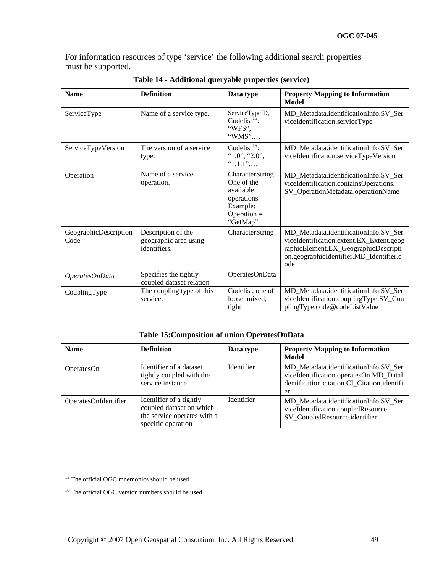For information resources of type 'service' the following additional search properties must be supported.

| <b>Name</b>                   | <b>Definition</b>                                           | Data type                                                                                          | <b>Property Mapping to Information</b><br>Model                                                                                                                             |
|-------------------------------|-------------------------------------------------------------|----------------------------------------------------------------------------------------------------|-----------------------------------------------------------------------------------------------------------------------------------------------------------------------------|
| ServiceType                   | Name of a service type.                                     | ServiceTypeID,<br>Codelist <sup>15</sup> :<br>"WFS",<br>"WMS",                                     | MD_Metadata.identificationInfo.SV_Ser<br>viceIdentification.serviceType                                                                                                     |
| ServiceTypeVersion            | The version of a service<br>type.                           | Codelist <sup>16</sup> :<br>" $1.0$ ", " $2.0$ ",<br>$"1.1.1"$ ,                                   | MD_Metadata.identificationInfo.SV_Ser<br>viceIdentification.serviceTypeVersion                                                                                              |
| Operation                     | Name of a service<br>operation.                             | CharacterString<br>One of the<br>available<br>operations.<br>Example:<br>$Operation =$<br>"GetMap" | MD_Metadata.identificationInfo.SV_Ser<br>viceIdentification.containsOperations.<br>SV_OperationMetadata.operationName                                                       |
| GeographicDescription<br>Code | Description of the<br>geographic area using<br>identifiers. | CharacterString                                                                                    | MD_Metadata.identificationInfo.SV_Ser<br>viceIdentification.extent.EX_Extent.geog<br>raphicElement.EX_GeographicDescripti<br>on.geographicIdentifier.MD_Identifier.c<br>ode |
| OperatesOnData                | Specifies the tightly<br>coupled dataset relation           | OperatesOnData                                                                                     |                                                                                                                                                                             |
| CouplingType                  | The coupling type of this<br>service.                       | Codelist, one of:<br>loose, mixed,<br>tight                                                        | MD_Metadata.identificationInfo.SV_Ser<br>viceIdentification.couplingType.SV_Cou<br>plingType.code@codeListValue                                                             |

**Table 14 - Additional queryable properties (service)** 

#### **Table 15:Composition of union OperatesOnData**

| <b>Name</b>          | <b>Definition</b>                                                                                        | Data type         | <b>Property Mapping to Information</b><br>Model                                                                                      |
|----------------------|----------------------------------------------------------------------------------------------------------|-------------------|--------------------------------------------------------------------------------------------------------------------------------------|
| OperatesOn           | Identifier of a dataset<br>tightly coupled with the<br>service instance.                                 | <b>Identifier</b> | MD Metadata.identificationInfo.SV Ser<br>viceIdentification.operatesOn.MD_DataI<br>dentification.citation.CI Citation.identifi<br>er |
| OperatesOnIdentifier | Identifier of a tightly<br>coupled dataset on which<br>the service operates with a<br>specific operation | Identifier        | MD Metadata.identificationInfo.SV Ser<br>viceIdentification.coupledResource.<br>SV_CoupledResource.identifier                        |

<span id="page-48-0"></span><sup>&</sup>lt;sup>15</sup> The official OGC mnemonics should be used

<span id="page-48-1"></span><sup>&</sup>lt;sup>16</sup> The official OGC version numbers should be used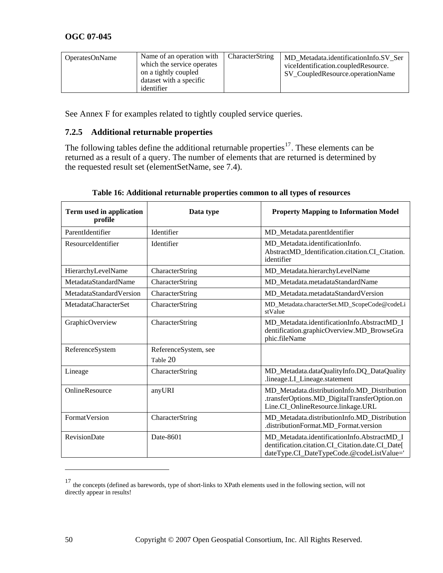| Name of an operation with<br><b>OperatesOnName</b><br>which the service operates<br>on a tightly coupled<br>dataset with a specific<br>identifier | <b>CharacterString</b> | MD Metadata.identificationInfo.SV Ser<br>viceIdentification.coupledResource.<br>SV CoupledResource.operationName |
|---------------------------------------------------------------------------------------------------------------------------------------------------|------------------------|------------------------------------------------------------------------------------------------------------------|
|---------------------------------------------------------------------------------------------------------------------------------------------------|------------------------|------------------------------------------------------------------------------------------------------------------|

See Annex F for examples related to tightly coupled service queries.

### <span id="page-49-1"></span>**7.2.5 Additional returnable properties**

The following tables define the additional returnable properties<sup>[17](#page-49-0)</sup>. These elements can be returned as a result of a query. The number of elements that are returned is determined by the requested result set (elementSetName, see [7.4\)](#page-53-0).

| Term used in application<br>profile | Data type                        | <b>Property Mapping to Information Model</b>                                                                                                 |
|-------------------------------------|----------------------------------|----------------------------------------------------------------------------------------------------------------------------------------------|
| ParentIdentifier                    | Identifier                       | MD_Metadata.parentIdentifier                                                                                                                 |
| ResourceIdentifier                  | Identifier                       | MD Metadata.identificationInfo.<br>AbstractMD Identification.citation.CI Citation.<br>identifier                                             |
| HierarchyLevelName                  | CharacterString                  | MD_Metadata.hierarchyLevelName                                                                                                               |
| MetadataStandardName                | CharacterString                  | MD Metadata.metadataStandardName                                                                                                             |
| MetadataStandardVersion             | CharacterString                  | MD Metadata.metadataStandardVersion                                                                                                          |
| MetadataCharacterSet                | CharacterString                  | MD_Metadata.characterSet.MD_ScopeCode@codeLi<br>stValue                                                                                      |
| GraphicOverview                     | CharacterString                  | MD_Metadata.identificationInfo.AbstractMD_I<br>dentification.graphicOverview.MD_BrowseGra<br>phic.fileName                                   |
| ReferenceSystem                     | ReferenceSystem, see<br>Table 20 |                                                                                                                                              |
| Lineage                             | CharacterString                  | MD_Metadata.dataQualityInfo.DQ_DataQuality<br>.lineage.LI_Lineage.statement                                                                  |
| OnlineResource                      | anyURI                           | MD Metadata.distributionInfo.MD Distribution<br>.transferOptions.MD_DigitalTransferOption.on<br>Line.CI_OnlineResource.linkage.URL           |
| FormatVersion                       | CharacterString                  | MD Metadata.distributionInfo.MD Distribution<br>.distributionFormat.MD_Format.version                                                        |
| <b>RevisionDate</b>                 | Date-8601                        | MD Metadata.identificationInfo.AbstractMD I<br>dentification.citation.CI_Citation.date.CI_Date[<br>dateType.CI_DateTypeCode.@codeListValue=' |

### **Table 16: Additional returnable properties common to all types of resources**

<span id="page-49-0"></span> $17$  the concepts (defined as barewords, type of short-links to XPath elements used in the following section, will not directly appear in results!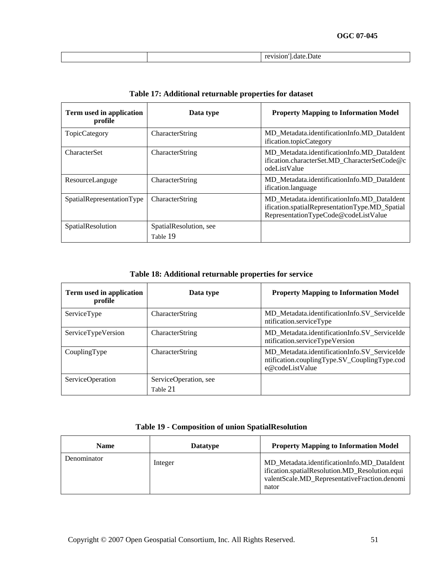| Term used in application<br>profile | Data type              | <b>Property Mapping to Information Model</b>                                                                                          |
|-------------------------------------|------------------------|---------------------------------------------------------------------------------------------------------------------------------------|
| <b>TopicCategory</b>                | CharacterString        | MD Metadata.identificationInfo.MD DataIdent<br>ification.topicCategory                                                                |
| <b>CharacterSet</b>                 | CharacterString        | MD Metadata.identificationInfo.MD DataIdent<br>ification.characterSet.MD CharacterSetCode@c<br>odeListValue                           |
| ResourceLanguge                     | CharacterString        | MD Metadata.identificationInfo.MD DataIdent<br>ification.language                                                                     |
| SpatialRepresentationType           | CharacterString        | MD_Metadata.identificationInfo.MD_DataIdent<br>ification.spatialRepresentationType.MD_Spatial<br>RepresentationTypeCode@codeListValue |
| SpatialResolution                   | SpatialResolution, see |                                                                                                                                       |
|                                     | Table 19               |                                                                                                                                       |

## **Table 17: Additional returnable properties for dataset**

**Table 18: Additional returnable properties for service** 

| Term used in application<br>profile | Data type                         | <b>Property Mapping to Information Model</b>                                                                    |
|-------------------------------------|-----------------------------------|-----------------------------------------------------------------------------------------------------------------|
| ServiceType                         | CharacterString                   | MD Metadata.identificationInfo.SV ServiceIde<br>ntification.serviceType                                         |
| ServiceTypeVersion                  | <b>CharacterString</b>            | MD_Metadata.identificationInfo.SV_ServiceIde<br>ntification.serviceTypeVersion                                  |
| CouplingType                        | CharacterString                   | MD Metadata.identificationInfo.SV ServiceIde<br>ntification.couplingType.SV_CouplingType.cod<br>e@codeListValue |
| ServiceOperation                    | ServiceOperation, see<br>Table 21 |                                                                                                                 |

|  |  |  | <b>Table 19 - Composition of union SpatialResolution</b> |
|--|--|--|----------------------------------------------------------|
|--|--|--|----------------------------------------------------------|

| <b>Name</b> | <b>Datatype</b> | <b>Property Mapping to Information Model</b>                                                                                                           |
|-------------|-----------------|--------------------------------------------------------------------------------------------------------------------------------------------------------|
| Denominator | Integer         | MD_Metadata.identificationInfo.MD_DataIdent<br>ification.spatialResolution.MD_Resolution.equi<br>valentScale.MD_RepresentativeFraction.denomi<br>nator |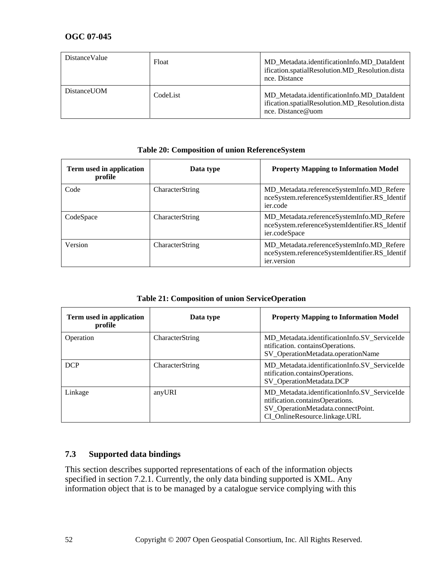| DistanceValue | Float    | MD Metadata.identificationInfo.MD DataIdent<br>ification.spatialResolution.MD_Resolution.dista<br>nce. Distance     |
|---------------|----------|---------------------------------------------------------------------------------------------------------------------|
| DistanceUOM   | CodeList | MD Metadata.identificationInfo.MD DataIdent<br>ification.spatialResolution.MD_Resolution.dista<br>nce. Distance@uom |

| Table 20. Composition of union iscretcheolysical |                 |                                                                                                              |
|--------------------------------------------------|-----------------|--------------------------------------------------------------------------------------------------------------|
| Term used in application<br>profile              | Data type       | <b>Property Mapping to Information Model</b>                                                                 |
| Code                                             | CharacterString | MD_Metadata.referenceSystemInfo.MD_Refere<br>nceSystem.referenceSystemIdentifier.RS_Identif<br>ier.code      |
| CodeSpace                                        | CharacterString | MD_Metadata.referenceSystemInfo.MD_Refere<br>nceSystem.referenceSystemIdentifier.RS_Identif<br>ier.codeSpace |
| Version                                          | CharacterString | MD_Metadata.referenceSystemInfo.MD_Refere<br>nceSystem.referenceSystemIdentifier.RS_Identif<br>ier.version   |

#### **Table 20: Composition of union ReferenceSystem**

**Table 21: Composition of union ServiceOperation** 

| Term used in application<br>profile | Data type       | <b>Property Mapping to Information Model</b>                                                                                                           |
|-------------------------------------|-----------------|--------------------------------------------------------------------------------------------------------------------------------------------------------|
| Operation                           | CharacterString | MD_Metadata.identificationInfo.SV_ServiceIde<br>ntification. containsOperations.<br>SV_OperationMetadata.operationName                                 |
| <b>DCP</b>                          | CharacterString | MD Metadata.identificationInfo.SV ServiceIde<br>ntification.containsOperations.<br>SV_OperationMetadata.DCP                                            |
| Linkage                             | anyURI          | MD_Metadata.identificationInfo.SV_ServiceIde<br>ntification.containsOperations.<br>SV_OperationMetadata.connectPoint.<br>CI_OnlineResource.linkage.URL |

### **7.3 Supported data bindings**

This section describes supported representations of each of the information objects specified in section [7.2.1.](#page-35-0) Currently, the only data binding supported is XML. Any information object that is to be managed by a catalogue service complying with this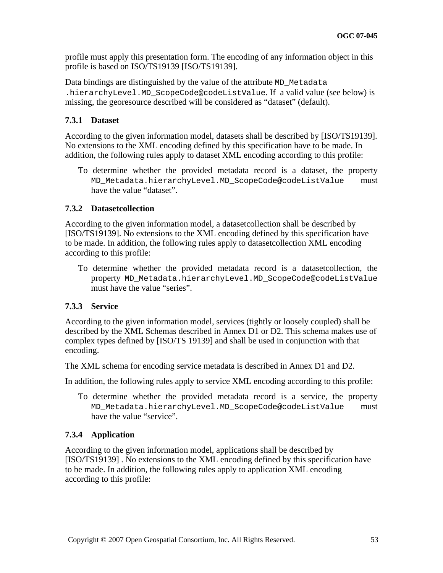profile must apply this presentation form. The encoding of any information object in this profile is based on ISO/TS19139 [ISO/TS19139].

Data bindings are distinguished by the value of the attribute MD\_Metadata .hierarchyLevel.MD\_ScopeCode@codeListValue. If a valid value (see below) is missing, the georesource described will be considered as "dataset" (default).

### **7.3.1 Dataset**

According to the given information model, datasets shall be described by [ISO/TS19139]. No extensions to the XML encoding defined by this specification have to be made. In addition, the following rules apply to dataset XML encoding according to this profile:

To determine whether the provided metadata record is a dataset, the property MD\_Metadata.hierarchyLevel.MD\_ScopeCode@codeListValue must have the value "dataset".

### **7.3.2 Datasetcollection**

According to the given information model, a datasetcollection shall be described by [ISO/TS19139]. No extensions to the XML encoding defined by this specification have to be made. In addition, the following rules apply to datasetcollection XML encoding according to this profile:

To determine whether the provided metadata record is a datasetcollection, the property MD\_Metadata.hierarchyLevel.MD\_ScopeCode@codeListValue must have the value "series".

### **7.3.3 Service**

According to the given information model, services (tightly or loosely coupled) shall be described by the XML Schemas described in Annex D1 or D2. This schema makes use of complex types defined by [ISO/TS 19139] and shall be used in conjunction with that encoding.

The XML schema for encoding service metadata is described in Annex D1 and D2.

In addition, the following rules apply to service XML encoding according to this profile:

To determine whether the provided metadata record is a service, the property MD\_Metadata.hierarchyLevel.MD\_ScopeCode@codeListValue must have the value "service".

### **7.3.4 Application**

According to the given information model, applications shall be described by [ISO/TS19139] . No extensions to the XML encoding defined by this specification have to be made. In addition, the following rules apply to application XML encoding according to this profile: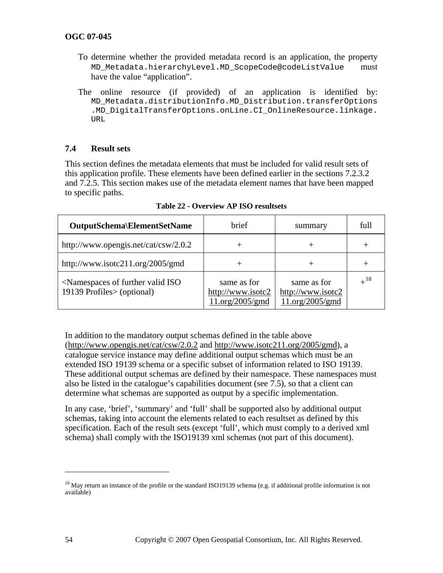- To determine whether the provided metadata record is an application, the property MD\_Metadata.hierarchyLevel.MD\_ScopeCode@codeListValue must have the value "application".
- The online resource (if provided) of an application is identified by: MD\_Metadata.distributionInfo.MD\_Distribution.transferOptions .MD\_DigitalTransferOptions.onLine.CI\_OnlineResource.linkage. URL

#### <span id="page-53-0"></span>**7.4 Result sets**

This section defines the metadata elements that must be included for valid result sets of this application profile. These elements have been defined earlier in the sections [7.2.3.2](#page-43-0) and [7.2.5](#page-49-1). This section makes use of the metadata element names that have been mapped to specific paths.

| OutputSchema\ElementSetName                                                                 | <b>brief</b>                                        | summary                                             | full     |
|---------------------------------------------------------------------------------------------|-----------------------------------------------------|-----------------------------------------------------|----------|
| http://www.opengis.net/cat/csw/2.0.2                                                        |                                                     |                                                     | ┿        |
| http://www.isotc211.org/2005/gmd                                                            |                                                     |                                                     | +        |
| <namespaces further="" iso<br="" of="" valid="">19139 Profiles &gt; (optional)</namespaces> | same as for<br>http://www.isotc2<br>11.org/2005/gmd | same as for<br>http://www.isotc2<br>11.org/2005/gmd | $+^{18}$ |

**Table 22 - Overview AP ISO resultsets** 

In addition to the mandatory output schemas defined in the table above (<http://www.opengis.net/cat/csw/2.0.2> and [http://www.isotc211.org/2005/gmd\)](http://www.isotc211.org/2005/gmd), a catalogue service instance may define additional output schemas which must be an extended ISO 19139 schema or a specific subset of information related to ISO 19139. These additional output schemas are defined by their namespace. These namespaces must also be listed in the catalogue's capabilities document (see [7.5\)](#page-55-0), so that a client can determine what schemas are supported as output by a specific implementation.

In any case, 'brief', 'summary' and 'full' shall be supported also by additional output schemas, taking into account the elements related to each resultset as defined by this specification. Each of the result sets (except 'full', which must comply to a derived xml schema) shall comply with the ISO19139 xml schemas (not part of this document).

1

<span id="page-53-1"></span><sup>&</sup>lt;sup>18</sup> May return an instance of the profile or the standard ISO19139 schema (e.g. if additional profile information is not available)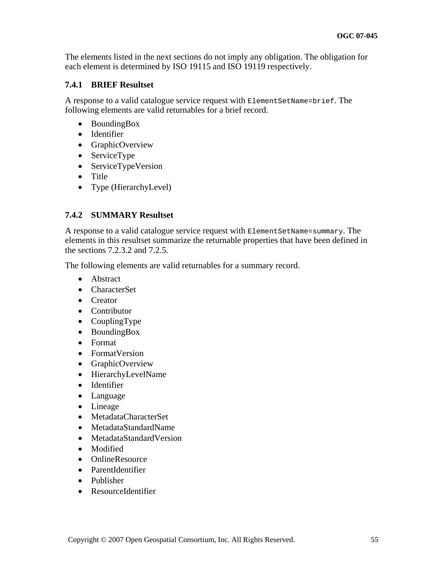The elements listed in the next sections do not imply any obligation. The obligation for each element is determined by ISO 19115 and ISO 19119 respectively.

### **7.4.1 BRIEF Resultset**

A response to a valid catalogue service request with ElementSetName=brief. The following elements are valid returnables for a brief record.

- BoundingBox
- Identifier
- GraphicOverview
- ServiceType
- ServiceTypeVersion
- Title
- Type (HierarchyLevel)

### **7.4.2 SUMMARY Resultset**

A response to a valid catalogue service request with ElementSetName=summary. The elements in this resultset summarize the returnable properties that have been defined in the sections [7.2.3.2](#page-43-0) and [7.2.5.](#page-49-1)

The following elements are valid returnables for a summary record.

- Abstract
- CharacterSet
- Creator
- Contributor
- CouplingType
- BoundingBox
- Format
- FormatVersion
- GraphicOverview
- HierarchyLevelName
- Identifier
- Language
- Lineage
- MetadataCharacterSet
- MetadataStandardName
- MetadataStandardVersion
- Modified
- OnlineResource
- ParentIdentifier
- Publisher
- ResourceIdentifier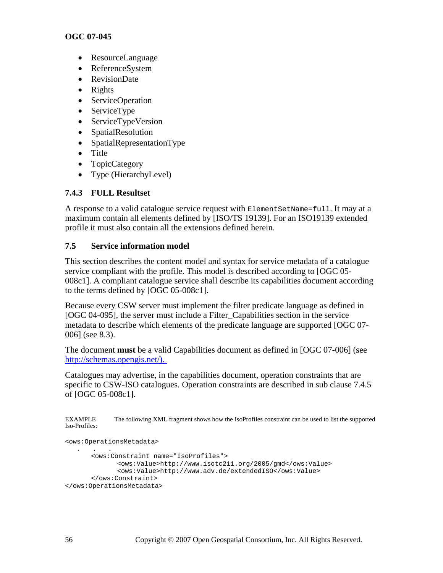- ResourceLanguage
- ReferenceSystem
- RevisionDate
- Rights
- ServiceOperation
- ServiceType
- ServiceTypeVersion
- SpatialResolution
- SpatialRepresentationType
- Title
- TopicCategory
- Type (HierarchyLevel)

## **7.4.3 FULL Resultset**

A response to a valid catalogue service request with ElementSetName=full. It may at a maximum contain all elements defined by [ISO/TS 19139]. For an ISO19139 extended profile it must also contain all the extensions defined herein.

### <span id="page-55-0"></span>**7.5 Service information model**

This section describes the content model and syntax for service metadata of a catalogue service compliant with the profile. This model is described according to [OGC 05- 008c1]. A compliant catalogue service shall describe its capabilities document according to the terms defined by [OGC 05-008c1].

Because every CSW server must implement the filter predicate language as defined in [OGC 04-095], the server must include a Filter\_Capabilities section in the service metadata to describe which elements of the predicate language are supported [OGC 07- 006] (see [8.3](#page-87-0)).

The document **must** be a valid Capabilities document as defined in [OGC 07-006] (see [http://schemas.opengis.net/\)](http://schemas.opengeospatial.net/).

Catalogues may advertise, in the capabilities document, operation constraints that are specific to CSW-ISO catalogues. Operation constraints are described in sub clause 7.4.5 of [OGC 05-008c1].

EXAMPLE The following XML fragment shows how the IsoProfiles constraint can be used to list the supported Iso-Profiles:

```
<ows:OperationsMetadata> 
 . . . 
       <ows:Constraint name="IsoProfiles"> 
              <ows:Value>http://www.isotc211.org/2005/gmd</ows:Value> 
              <ows:Value>http://www.adv.de/extendedISO</ows:Value> 
       </ows:Constraint> 
</ows:OperationsMetadata>
```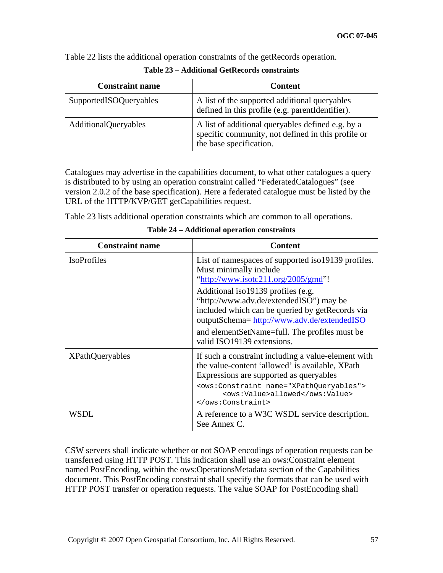Table 22 lists the additional operation constraints of the getRecords operation.

| <b>Constraint name</b>      | <b>Content</b>                                                                                                                     |
|-----------------------------|------------------------------------------------------------------------------------------------------------------------------------|
| SupportedISOQueryables      | A list of the supported additional queryables<br>defined in this profile (e.g. parentIdentifier).                                  |
| <b>AdditionalQueryables</b> | A list of additional queryables defined e.g. by a<br>specific community, not defined in this profile or<br>the base specification. |

**Table 23 – Additional GetRecords constraints** 

Catalogues may advertise in the capabilities document, to what other catalogues a query is distributed to by using an operation constraint called "FederatedCatalogues" (see version 2.0.2 of the base specification). Here a federated catalogue must be listed by the URL of the HTTP/KVP/GET getCapabilities request.

Table 23 lists additional operation constraints which are common to all operations.

| <b>Constraint name</b> | <b>Content</b>                                                                                                                                                                                                                                                  |
|------------------------|-----------------------------------------------------------------------------------------------------------------------------------------------------------------------------------------------------------------------------------------------------------------|
| <b>IsoProfiles</b>     | List of namespaces of supported iso19139 profiles.<br>Must minimally include<br>"http://www.isotc211.org/2005/gmd"!                                                                                                                                             |
|                        | Additional iso19139 profiles (e.g.<br>"http://www.adv.de/extendedISO") may be<br>included which can be queried by get Records via<br>outputSchema= http://www.adv.de/extendedISO<br>and elementSetName=full. The profiles must be<br>valid ISO19139 extensions. |
| <b>XPathQueryables</b> | If such a constraint including a value-element with<br>the value-content 'allowed' is available, XPath<br>Expressions are supported as queryables                                                                                                               |
|                        | <ows:constraint name="XPathQueryables"><br/><ows:value>allowed</ows:value><br/></ows:constraint>                                                                                                                                                                |
| WSDL                   | A reference to a W3C WSDL service description.<br>See Annex C.                                                                                                                                                                                                  |

**Table 24 – Additional operation constraints** 

CSW servers shall indicate whether or not SOAP encodings of operation requests can be transferred using HTTP POST. This indication shall use an ows:Constraint element named PostEncoding, within the ows:OperationsMetadata section of the Capabilities document. This PostEncoding constraint shall specify the formats that can be used with HTTP POST transfer or operation requests. The value SOAP for PostEncoding shall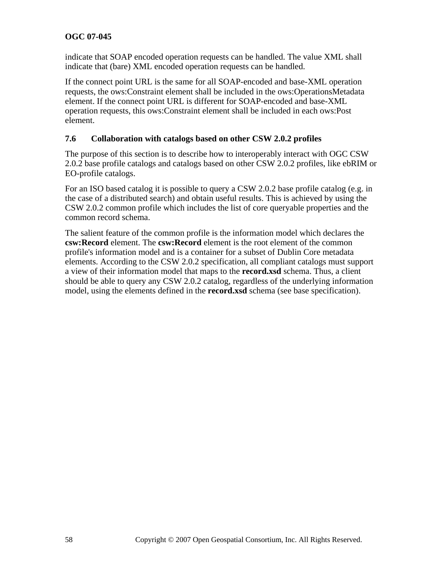indicate that SOAP encoded operation requests can be handled. The value XML shall indicate that (bare) XML encoded operation requests can be handled.

If the connect point URL is the same for all SOAP-encoded and base-XML operation requests, the ows:Constraint element shall be included in the ows:OperationsMetadata element. If the connect point URL is different for SOAP-encoded and base-XML operation requests, this ows:Constraint element shall be included in each ows:Post element.

### **7.6 Collaboration with catalogs based on other CSW 2.0.2 profiles**

The purpose of this section is to describe how to interoperably interact with OGC CSW 2.0.2 base profile catalogs and catalogs based on other CSW 2.0.2 profiles, like ebRIM or EO-profile catalogs.

For an ISO based catalog it is possible to query a CSW 2.0.2 base profile catalog (e.g. in the case of a distributed search) and obtain useful results. This is achieved by using the CSW 2.0.2 common profile which includes the list of core queryable properties and the common record schema.

The salient feature of the common profile is the information model which declares the **csw:Record** element. The **csw:Record** element is the root element of the common profile's information model and is a container for a subset of Dublin Core metadata elements. According to the CSW 2.0.2 specification, all compliant catalogs must support a view of their information model that maps to the **record.xsd** schema. Thus, a client should be able to query any CSW 2.0.2 catalog, regardless of the underlying information model, using the elements defined in the **record.xsd** schema (see base specification).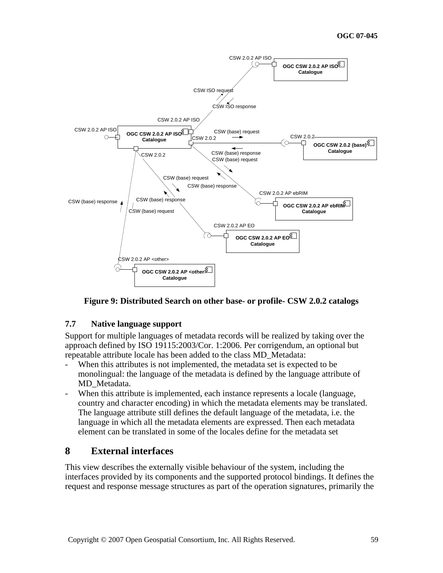

**Figure 9: Distributed Search on other base- or profile- CSW 2.0.2 catalogs** 

### **7.7 Native language support**

Support for multiple languages of metadata records will be realized by taking over the approach defined by ISO 19115:2003/Cor. 1:2006. Per corrigendum, an optional but repeatable attribute locale has been added to the class MD\_Metadata:

- When this attributes is not implemented, the metadata set is expected to be monolingual: the language of the metadata is defined by the language attribute of MD\_Metadata.
- When this attribute is implemented, each instance represents a locale (language, country and character encoding) in which the metadata elements may be translated. The language attribute still defines the default language of the metadata, i.e. the language in which all the metadata elements are expressed. Then each metadata element can be translated in some of the locales define for the metadata set

## **8 External interfaces**

This view describes the externally visible behaviour of the system, including the interfaces provided by its components and the supported protocol bindings. It defines the request and response message structures as part of the operation signatures, primarily the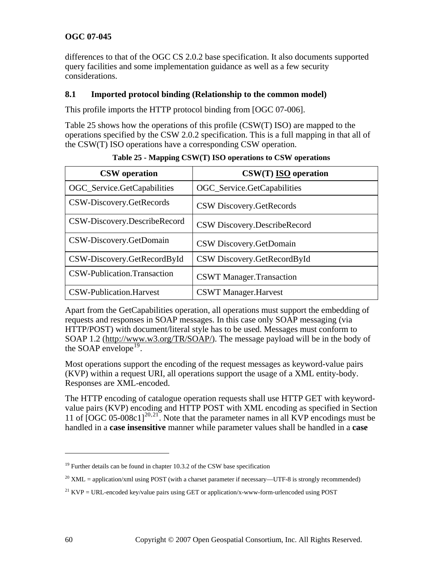differences to that of the OGC CS 2.0.2 base specification. It also documents supported query facilities and some implementation guidance as well as a few security considerations.

### **8.1 Imported protocol binding (Relationship to the common model)**

This profile imports the HTTP protocol binding from [OGC 07-006].

[Table 25](#page-59-0) shows how the operations of this profile (CSW(T) ISO) are mapped to the operations specified by the CSW 2.0.2 specification. This is a full mapping in that all of the CSW(T) ISO operations have a corresponding CSW operation.

<span id="page-59-0"></span>

| <b>CSW</b> operation         | $CSW(T)$ ISO operation          |
|------------------------------|---------------------------------|
| OGC_Service.GetCapabilities  | OGC_Service.GetCapabilities     |
| CSW-Discovery.GetRecords     | CSW Discovery.GetRecords        |
| CSW-Discovery.DescribeRecord | CSW Discovery.DescribeRecord    |
| CSW-Discovery.GetDomain      | CSW Discovery.GetDomain         |
| CSW-Discovery.GetRecordById  | CSW Discovery.GetRecordById     |
| CSW-Publication.Transaction  | <b>CSWT</b> Manager.Transaction |
| CSW-Publication.Harvest      | <b>CSWT</b> Manager.Harvest     |

**Table 25 - Mapping CSW(T) ISO operations to CSW operations** 

Apart from the GetCapabilities operation, all operations must support the embedding of requests and responses in SOAP messages. In this case only SOAP messaging (via HTTP/POST) with document/literal style has to be used. Messages must conform to SOAP 1.2 ([http://www.w3.org/TR/SOAP/\)](http://www.w3.org/TR/SOAP/). The message payload will be in the body of the SOAP envelope<sup>[19](#page-59-1)</sup>.

Most operations support the encoding of the request messages as keyword-value pairs (KVP) within a request URI, all operations support the usage of a XML entity-body. Responses are XML-encoded.

The HTTP encoding of catalogue operation requests shall use HTTP GET with keywordvalue pairs (KVP) encoding and HTTP POST with XML encoding as specified in Section 11 of  $[OGC\ 05-008c1]^{20,21}$  $[OGC\ 05-008c1]^{20,21}$  $[OGC\ 05-008c1]^{20,21}$  $[OGC\ 05-008c1]^{20,21}$  $[OGC\ 05-008c1]^{20,21}$ . Note that the parameter names in all KVP encodings must be handled in a **case insensitive** manner while parameter values shall be handled in a **case** 

<u>.</u>

<span id="page-59-1"></span> $19$  Further details can be found in chapter 10.3.2 of the CSW base specification

<span id="page-59-2"></span><sup>&</sup>lt;sup>20</sup> XML = application/xml using POST (with a charset parameter if necessary—UTF-8 is strongly recommended)

<span id="page-59-3"></span><sup>&</sup>lt;sup>21</sup> KVP = URL-encoded key/value pairs using GET or application/x-www-form-urlencoded using POST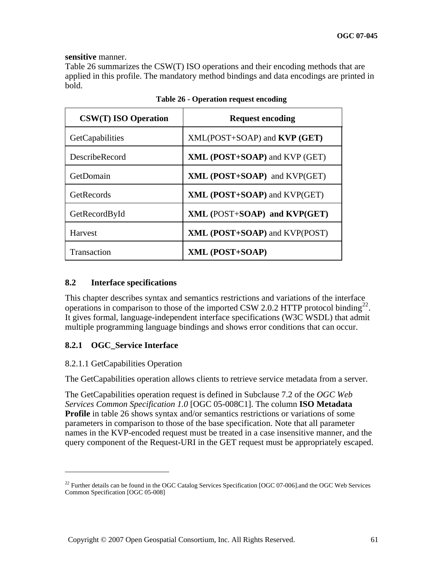#### **sensitive** manner.

[Table 26](#page-60-0) summarizes the CSW(T) ISO operations and their encoding methods that are applied in this profile. The mandatory method bindings and data encodings are printed in bold.

<span id="page-60-0"></span>

| <b>CSW(T) ISO Operation</b> | <b>Request encoding</b>              |
|-----------------------------|--------------------------------------|
| <b>GetCapabilities</b>      | $XML(POST+SOAP)$ and $KVP(GET)$      |
| DescribeRecord              | XML (POST+SOAP) and KVP (GET)        |
| GetDomain                   | $XML (POST+SOAP)$ and $KVP(GET)$     |
| GetRecords                  | XML (POST+SOAP) and KVP(GET)         |
| GetRecordById               | XML (POST+SOAP) and KVP(GET)         |
| <b>Harvest</b>              | <b>XML (POST+SOAP)</b> and KVP(POST) |
| Transaction                 | XML (POST+SOAP)                      |

|  |  | Table 26 - Operation request encoding |
|--|--|---------------------------------------|
|  |  |                                       |

### **8.2 Interface specifications**

This chapter describes syntax and semantics restrictions and variations of the interface operations in comparison to those of the imported CSW 2.0.2 HTTP protocol binding<sup>[22](#page-60-1)</sup>. It gives formal, language-independent interface specifications (W3C WSDL) that admit multiple programming language bindings and shows error conditions that can occur.

### **8.2.1 OGC\_Service Interface**

### 8.2.1.1 GetCapabilities Operation

1

The GetCapabilities operation allows clients to retrieve service metadata from a server.

The GetCapabilities operation request is defined in Subclause 7.2 of the *OGC Web Services Common Specification 1.0* [OGC 05-008C1]. The column **ISO Metadata Profile** in table 26 shows syntax and/or semantics restrictions or variations of some parameters in comparison to those of the base specification. Note that all parameter names in the KVP-encoded request must be treated in a case insensitive manner, and the query component of the Request-URI in the GET request must be appropriately escaped.

<span id="page-60-1"></span> $^{22}$  Further details can be found in the OGC Catalog Services Specification [OGC 07-006]. and the OGC Web Services Common Specification [OGC 05-008]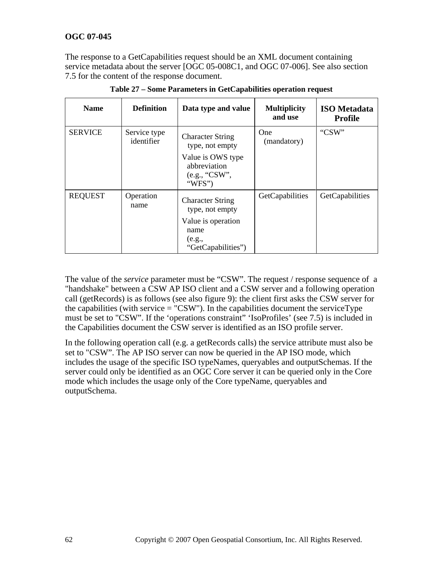The response to a GetCapabilities request should be an XML document containing service metadata about the server [OGC 05-008C1, and OGC 07-006]. See also section [7.5](#page-55-0) for the content of the response document.

| <b>Name</b>    | <b>Definition</b>          | Data type and value                                          | <b>Multiplicity</b><br>and use | <b>ISO</b> Metadata<br>Profile |
|----------------|----------------------------|--------------------------------------------------------------|--------------------------------|--------------------------------|
| <b>SERVICE</b> | Service type<br>identifier | <b>Character String</b><br>type, not empty                   | One<br>(mandatory)             | "CSW"                          |
|                |                            | Value is OWS type<br>abbreviation<br>(e.g., "CSW",<br>"WFS") |                                |                                |
| <b>REQUEST</b> | Operation<br>name          | <b>Character String</b><br>type, not empty                   | GetCapabilities                | GetCapabilities                |
|                |                            | Value is operation<br>name                                   |                                |                                |
|                |                            | (e.g.,<br>"GetCapabilities")                                 |                                |                                |

**Table 27 – Some Parameters in GetCapabilities operation request** 

The value of the *service* parameter must be "CSW". The request / response sequence of a "handshake" between a CSW AP ISO client and a CSW server and a following operation call (getRecords) is as follows (see also figure 9): the client first asks the CSW server for the capabilities (with service  $=$  "CSW"). In the capabilities document the serviceType must be set to "CSW". If the 'operations constraint" 'IsoProfiles' (see [7.5](#page-55-0)) is included in the Capabilities document the CSW server is identified as an ISO profile server.

In the following operation call (e.g. a getRecords calls) the service attribute must also be set to "CSW". The AP ISO server can now be queried in the AP ISO mode, which includes the usage of the specific ISO typeNames, queryables and outputSchemas. If the server could only be identified as an OGC Core server it can be queried only in the Core mode which includes the usage only of the Core typeName, queryables and outputSchema.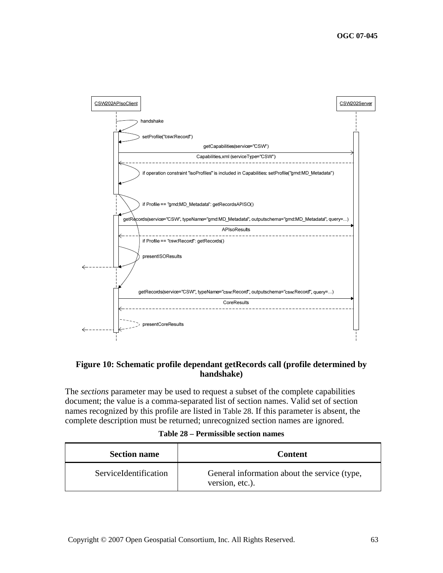

### **Figure 10: Schematic profile dependant getRecords call (profile determined by handshake)**

The *sections* parameter may be used to request a subset of the complete capabilities document; the value is a comma-separated list of section names. Valid set of section names recognized by this profile are listed in [Table 28](#page-62-0). If this parameter is absent, the complete description must be returned; unrecognized section names are ignored.

|  | Table 28 – Permissible section names |  |  |
|--|--------------------------------------|--|--|
|--|--------------------------------------|--|--|

<span id="page-62-0"></span>

| <b>Section name</b>   | Content                                                         |
|-----------------------|-----------------------------------------------------------------|
| ServiceIdentification | General information about the service (type,<br>version, etc.). |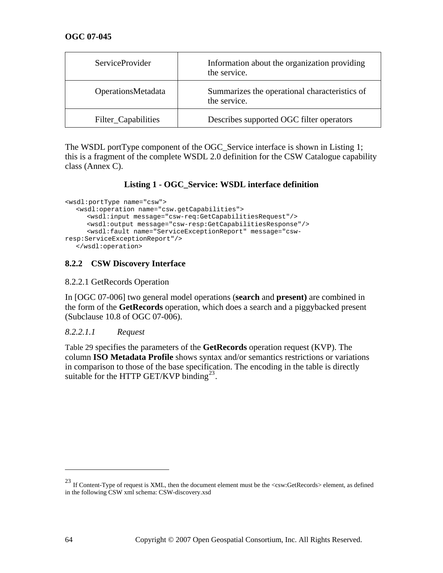| <b>ServiceProvider</b> | Information about the organization providing<br>the service.  |
|------------------------|---------------------------------------------------------------|
| OperationsMetadata     | Summarizes the operational characteristics of<br>the service. |
| Filter_Capabilities    | Describes supported OGC filter operators                      |

The WSDL portType component of the OGC\_Service interface is shown in [Listing 1;](#page-63-0) this is a fragment of the complete WSDL 2.0 definition for the CSW Catalogue capability class (Annex C).

### **Listing 1 - OGC\_Service: WSDL interface definition**

```
<wsdl:portType name="csw"> 
   <wsdl:operation name="csw.getCapabilities"> 
      <wsdl:input message="csw-req:GetCapabilitiesRequest"/> 
      <wsdl:output message="csw-resp:GetCapabilitiesResponse"/> 
      <wsdl:fault name="ServiceExceptionReport" message="csw-
resp:ServiceExceptionReport"/> 
   </wsdl:operation>
```
### **8.2.2 CSW Discovery Interface**

#### 8.2.2.1 GetRecords Operation

In [OGC 07-006] two general model operations (**search** and **present)** are combined in the form of the **GetRecords** operation, which does a search and a piggybacked present (Subclause 10.8 of OGC 07-006).

### *8.2.2.1.1 Request*

[Table 29 specifies the parameters of the](#page-64-0) **GetRecords** operation request (KVP). The column **ISO Metadata Profile** [shows syntax and/or semantics restrictions or variations](#page-64-0)  [in comparison to those of the base specification. The encoding in the table is directly](#page-64-0)  [suitable for the HTTP GET/KVP binding](#page-64-0)<sup>23</sup>.

1

<span id="page-63-1"></span><sup>&</sup>lt;sup>23</sup> If Content-Type of request is XML, then the document element must be the <csw:GetRecords> element, as defined in the following CSW xml schema: CSW-discovery.xsd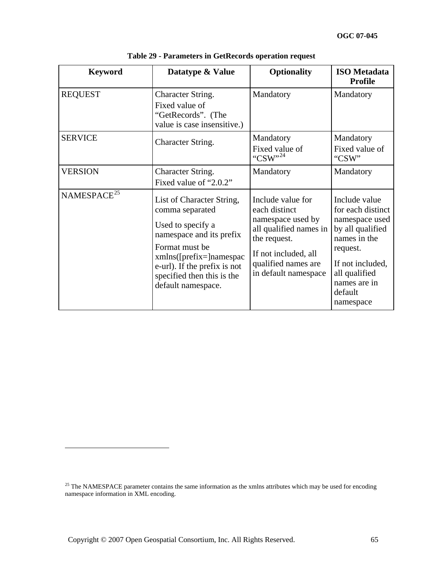<span id="page-64-0"></span>

| <b>Keyword</b>          | Datatype & Value                                                                                                                                                                                                                 | <b>Optionality</b>                                                                                                                                                       | <b>ISO</b> Metadata<br><b>Profile</b>                                                                                                                                             |
|-------------------------|----------------------------------------------------------------------------------------------------------------------------------------------------------------------------------------------------------------------------------|--------------------------------------------------------------------------------------------------------------------------------------------------------------------------|-----------------------------------------------------------------------------------------------------------------------------------------------------------------------------------|
| <b>REQUEST</b>          | Character String.<br>Fixed value of<br>"GetRecords". (The<br>value is case insensitive.)                                                                                                                                         | Mandatory                                                                                                                                                                | Mandatory                                                                                                                                                                         |
| <b>SERVICE</b>          | Character String.                                                                                                                                                                                                                | Mandatory<br>Fixed value of<br>"CSW" <sup>24</sup>                                                                                                                       | Mandatory<br>Fixed value of<br>"CSW"                                                                                                                                              |
| <b>VERSION</b>          | Character String.<br>Fixed value of "2.0.2"                                                                                                                                                                                      | Mandatory                                                                                                                                                                | Mandatory                                                                                                                                                                         |
| NAMESPACE <sup>25</sup> | List of Character String,<br>comma separated<br>Used to specify a<br>namespace and its prefix<br>Format must be<br>$xmlns([prefix=]namespac$<br>e-url). If the prefix is not<br>specified then this is the<br>default namespace. | Include value for<br>each distinct<br>namespace used by<br>all qualified names in<br>the request.<br>If not included, all<br>qualified names are<br>in default namespace | Include value<br>for each distinct<br>namespace used<br>by all qualified<br>names in the<br>request.<br>If not included,<br>all qualified<br>names are in<br>default<br>namespace |

**Table 29 - Parameters in GetRecords operation request** 

<span id="page-64-2"></span><span id="page-64-1"></span><sup>&</sup>lt;sup>25</sup> The NAMESPACE parameter contains the same information as the xmlns attributes which may be used for encoding namespace information in XML encoding.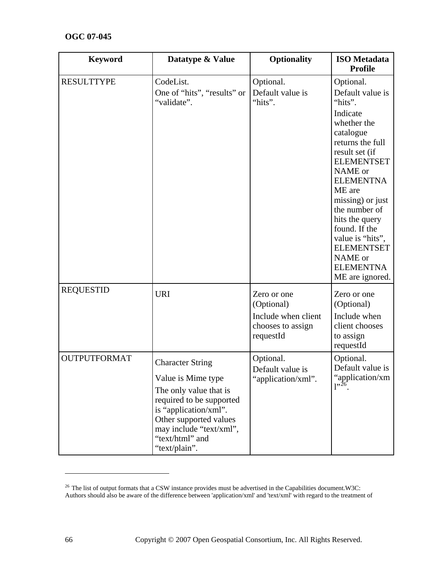| <b>Keyword</b>      | Datatype & Value                                                                                                                                                                                                      | <b>Optionality</b>                                                                 | <b>ISO</b> Metadata<br><b>Profile</b>                                                                                                                                                                                                                                                                                                                   |
|---------------------|-----------------------------------------------------------------------------------------------------------------------------------------------------------------------------------------------------------------------|------------------------------------------------------------------------------------|---------------------------------------------------------------------------------------------------------------------------------------------------------------------------------------------------------------------------------------------------------------------------------------------------------------------------------------------------------|
| <b>RESULTTYPE</b>   | CodeList.<br>One of "hits", "results" or<br>"validate".                                                                                                                                                               | Optional.<br>Default value is<br>"hits".                                           | Optional.<br>Default value is<br>"hits".<br>Indicate<br>whether the<br>catalogue<br>returns the full<br>result set (if<br><b>ELEMENTSET</b><br>NAME or<br><b>ELEMENTNA</b><br>ME are<br>missing) or just<br>the number of<br>hits the query<br>found. If the<br>value is "hits",<br><b>ELEMENTSET</b><br>NAME or<br><b>ELEMENTNA</b><br>ME are ignored. |
| <b>REQUESTID</b>    | <b>URI</b>                                                                                                                                                                                                            | Zero or one<br>(Optional)<br>Include when client<br>chooses to assign<br>requestId | Zero or one<br>(Optional)<br>Include when<br>client chooses<br>to assign<br>requestId                                                                                                                                                                                                                                                                   |
| <b>OUTPUTFORMAT</b> | <b>Character String</b><br>Value is Mime type<br>The only value that is<br>required to be supported<br>is "application/xml".<br>Other supported values<br>may include "text/xml",<br>"text/html" and<br>"text/plain". | Optional.<br>Default value is<br>'application/xml".                                | Optional.<br>Default value is<br>"application/xm<br>$1^{,26}$                                                                                                                                                                                                                                                                                           |

<span id="page-65-0"></span> $26$  The list of output formats that a CSW instance provides must be advertised in the Capabilities document.W3C: Authors should also be aware of the difference between 'application/xml' and 'text/xml' with regard to the treatment of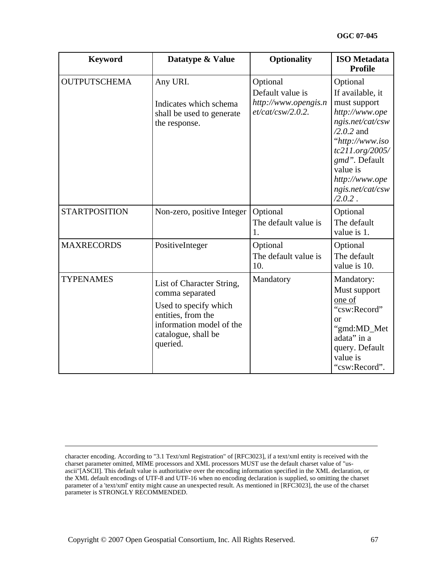| <b>Keyword</b>       | Datatype & Value                                                                                                                                           | <b>Optionality</b>                                                           | <b>ISO</b> Metadata<br><b>Profile</b>                                                                                                                                                                                     |
|----------------------|------------------------------------------------------------------------------------------------------------------------------------------------------------|------------------------------------------------------------------------------|---------------------------------------------------------------------------------------------------------------------------------------------------------------------------------------------------------------------------|
| <b>OUTPUTSCHEMA</b>  | Any URI.<br>Indicates which schema<br>shall be used to generate<br>the response.                                                                           | Optional<br>Default value is<br>http://www.opengis.n<br>$et/cat/csw/2.0.2$ . | Optional<br>If available, it<br>must support<br>http://www.ope<br>ngis.net/cat/csw<br>$/2.0.2$ and<br>"http://www.iso<br>tc211.org/2005/<br>gmd". Default<br>value is<br>http://www.ope<br>ngis.net/cat/csw<br>$/2.0.2$ . |
| <b>STARTPOSITION</b> | Non-zero, positive Integer                                                                                                                                 | Optional<br>The default value is<br>1.                                       | Optional<br>The default<br>value is 1.                                                                                                                                                                                    |
| <b>MAXRECORDS</b>    | PositiveInteger                                                                                                                                            | Optional<br>The default value is<br>10.                                      | Optional<br>The default<br>value is 10.                                                                                                                                                                                   |
| <b>TYPENAMES</b>     | List of Character String,<br>comma separated<br>Used to specify which<br>entities, from the<br>information model of the<br>catalogue, shall be<br>queried. | Mandatory                                                                    | Mandatory:<br>Must support<br>one of<br>"csw:Record"<br>or<br>"gmd:MD_Met<br>adata" in a<br>query. Default<br>value is<br>"csw:Record".                                                                                   |

character encoding. According to "3.1 Text/xml Registration" of [RFC3023], if a text/xml entity is received with the charset parameter omitted, MIME processors and XML processors MUST use the default charset value of "usascii"[ASCII]. This default value is authoritative over the encoding information specified in the XML declaration, or the XML default encodings of UTF-8 and UTF-16 when no encoding declaration is supplied, so omitting the charset parameter of a 'text/xml' entity might cause an unexpected result. As mentioned in [RFC3023], the use of the charset parameter is STRONGLY RECOMMENDED.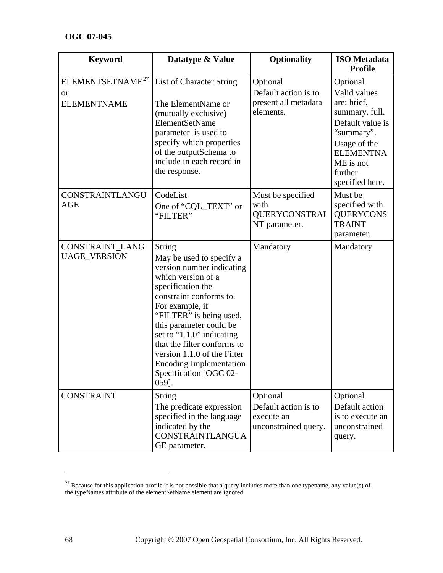| <b>Keyword</b>                                                      | Datatype & Value                                                                                                                                                                                                                                                                                                                                                                      | <b>Optionality</b>                                                     | <b>ISO</b> Metadata<br><b>Profile</b>                                                                                                                                      |
|---------------------------------------------------------------------|---------------------------------------------------------------------------------------------------------------------------------------------------------------------------------------------------------------------------------------------------------------------------------------------------------------------------------------------------------------------------------------|------------------------------------------------------------------------|----------------------------------------------------------------------------------------------------------------------------------------------------------------------------|
| ELEMENTSETNAME <sup>27</sup><br><sub>or</sub><br><b>ELEMENTNAME</b> | List of Character String<br>The ElementName or<br>(mutually exclusive)<br>ElementSetName<br>parameter is used to<br>specify which properties<br>of the outputSchema to<br>include in each record in<br>the response.                                                                                                                                                                  | Optional<br>Default action is to<br>present all metadata<br>elements.  | Optional<br>Valid values<br>are: brief,<br>summary, full.<br>Default value is<br>"summary".<br>Usage of the<br><b>ELEMENTNA</b><br>ME is not<br>further<br>specified here. |
| CONSTRAINTLANGU<br><b>AGE</b>                                       | CodeList<br>One of "CQL_TEXT" or<br>"FILTER"                                                                                                                                                                                                                                                                                                                                          | Must be specified<br>with<br><b>QUERYCONSTRAI</b><br>NT parameter.     | Must be<br>specified with<br><b>QUERYCONS</b><br><b>TRAINT</b><br>parameter.                                                                                               |
| CONSTRAINT_LANG<br><b>UAGE_VERSION</b>                              | <b>String</b><br>May be used to specify a<br>version number indicating<br>which version of a<br>specification the<br>constraint conforms to.<br>For example, if<br>"FILTER" is being used,<br>this parameter could be<br>set to "1.1.0" indicating<br>that the filter conforms to<br>version 1.1.0 of the Filter<br><b>Encoding Implementation</b><br>Specification [OGC 02-<br>059]. | Mandatory                                                              | Mandatory                                                                                                                                                                  |
| <b>CONSTRAINT</b>                                                   | <b>String</b><br>The predicate expression<br>specified in the language<br>indicated by the<br>CONSTRAINTLANGUA<br>GE parameter.                                                                                                                                                                                                                                                       | Optional<br>Default action is to<br>execute an<br>unconstrained query. | Optional<br>Default action<br>is to execute an<br>unconstrained<br>query.                                                                                                  |

 $\overline{\phantom{a}}$ 

<span id="page-67-0"></span><sup>&</sup>lt;sup>27</sup> Because for this application profile it is not possible that a query includes more than one typename, any value(s) of the typeNames attribute of the elementSetName element are ignored.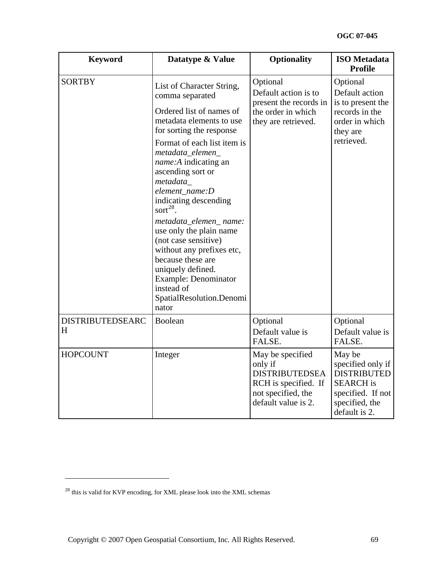| <b>Keyword</b>               | Datatype & Value                                                                                                                                                                                                                                                                                                                                                                                                                                                                                                                                      | <b>Optionality</b>                                                                                                        | <b>ISO</b> Metadata<br><b>Profile</b>                                                                                         |
|------------------------------|-------------------------------------------------------------------------------------------------------------------------------------------------------------------------------------------------------------------------------------------------------------------------------------------------------------------------------------------------------------------------------------------------------------------------------------------------------------------------------------------------------------------------------------------------------|---------------------------------------------------------------------------------------------------------------------------|-------------------------------------------------------------------------------------------------------------------------------|
| <b>SORTBY</b>                | List of Character String,<br>comma separated<br>Ordered list of names of<br>metadata elements to use<br>for sorting the response<br>Format of each list item is<br>metadata_elemen_<br><i>name:A</i> indicating an<br>ascending sort or<br>metadata<br>element name:D<br>indicating descending<br>sort $^{28}$ .<br>metadata_elemen_name:<br>use only the plain name<br>(not case sensitive)<br>without any prefixes etc,<br>because these are<br>uniquely defined.<br><b>Example: Denominator</b><br>instead of<br>SpatialResolution.Denomi<br>nator | Optional<br>Default action is to<br>present the records in<br>the order in which<br>they are retrieved.                   | Optional<br>Default action<br>is to present the<br>records in the<br>order in which<br>they are<br>retrieved.                 |
| <b>DISTRIBUTEDSEARC</b><br>H | Boolean                                                                                                                                                                                                                                                                                                                                                                                                                                                                                                                                               | Optional<br>Default value is<br>FALSE.                                                                                    | Optional<br>Default value is<br>FALSE.                                                                                        |
| <b>HOPCOUNT</b>              | Integer                                                                                                                                                                                                                                                                                                                                                                                                                                                                                                                                               | May be specified<br>only if<br><b>DISTRIBUTEDSEA</b><br>RCH is specified. If<br>not specified, the<br>default value is 2. | May be<br>specified only if<br><b>DISTRIBUTED</b><br><b>SEARCH</b> is<br>specified. If not<br>specified, the<br>default is 2. |

<span id="page-68-0"></span> $^{28}$  this is valid for KVP encoding, for XML please look into the XML schemas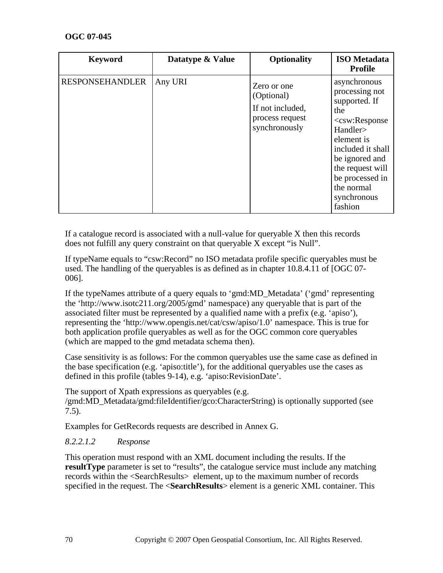| <b>Keyword</b>         | Datatype & Value | <b>Optionality</b>                                                                | <b>ISO</b> Metadata<br><b>Profile</b>                                                                                                                                                                                      |
|------------------------|------------------|-----------------------------------------------------------------------------------|----------------------------------------------------------------------------------------------------------------------------------------------------------------------------------------------------------------------------|
| <b>RESPONSEHANDLER</b> | Any URI          | Zero or one<br>(Optional)<br>If not included,<br>process request<br>synchronously | asynchronous<br>processing not<br>supported. If<br>the<br>$<$ csw:Response<br>Handler><br>element is<br>included it shall<br>be ignored and<br>the request will<br>be processed in<br>the normal<br>synchronous<br>fashion |

If a catalogue record is associated with a null-value for queryable X then this records does not fulfill any query constraint on that queryable X except "is Null".

If typeName equals to "csw:Record" no ISO metadata profile specific queryables must be used. The handling of the queryables is as defined as in chapter 10.8.4.11 of [OGC 07- 006].

If the typeNames attribute of a query equals to 'gmd:MD\_Metadata' ('gmd' representing the 'http://www.isotc211.org/2005/gmd' namespace) any queryable that is part of the associated filter must be represented by a qualified name with a prefix (e.g. 'apiso'), representing the 'http://www.opengis.net/cat/csw/apiso/1.0' namespace. This is true for both application profile queryables as well as for the OGC common core queryables (which are mapped to the gmd metadata schema then).

Case sensitivity is as follows: For the common queryables use the same case as defined in the base specification (e.g. 'apiso:title'), for the additional queryables use the cases as defined in this profile (tables 9-14), e.g. 'apiso:RevisionDate'.

The support of Xpath expressions as queryables (e.g. /gmd:MD\_Metadata/gmd:fileIdentifier/gco:CharacterString) is optionally supported (see [7.5](#page-55-0)).

Examples for GetRecords requests are described in Annex G.

## *8.2.2.1.2 Response*

This operation must respond with an XML document including the results. If the **resultType** parameter is set to "results", the catalogue service must include any matching records within the <SearchResults> element, up to the maximum number of records specified in the request. The <**SearchResults**> element is a generic XML container. This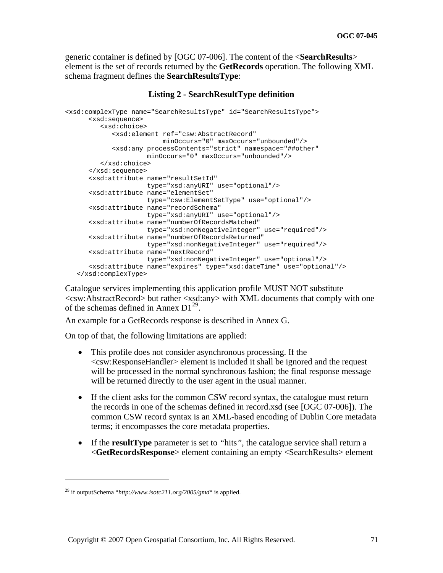generic container is defined by [OGC 07-006]. The content of the <**SearchResults**> element is the set of records returned by the **GetRecords** operation. The following XML schema fragment defines the **SearchResultsType**:

#### **Listing 2 - SearchResultType definition**

```
<xsd:complexType name="SearchResultsType" id="SearchResultsType"> 
       <xsd:sequence> 
          <xsd:choice> 
             <xsd:element ref="csw:AbstractRecord" 
                           minOccurs="0" maxOccurs="unbounded"/> 
             <xsd:any processContents="strict" namespace="##other" 
                      minOccurs="0" maxOccurs="unbounded"/> 
          </xsd:choice> 
       </xsd:sequence> 
       <xsd:attribute name="resultSetId" 
                      type="xsd:anyURI" use="optional"/> 
       <xsd:attribute name="elementSet" 
                      type="csw:ElementSetType" use="optional"/> 
       <xsd:attribute name="recordSchema" 
                      type="xsd:anyURI" use="optional"/> 
       <xsd:attribute name="numberOfRecordsMatched" 
                      type="xsd:nonNegativeInteger" use="required"/> 
       <xsd:attribute name="numberOfRecordsReturned" 
                      type="xsd:nonNegativeInteger" use="required"/> 
       <xsd:attribute name="nextRecord" 
                      type="xsd:nonNegativeInteger" use="optional"/> 
       <xsd:attribute name="expires" type="xsd:dateTime" use="optional"/> 
    </xsd:complexType>
```
Catalogue services implementing this application profile MUST NOT substitute <csw:AbstractRecord> but rather <xsd:any> with XML documents that comply with one of the schemas defined in Annex  $D1^{29}$  $D1^{29}$  $D1^{29}$ .

An example for a GetRecords response is described in Annex G.

On top of that, the following limitations are applied:

- This profile does not consider asynchronous processing. If the <csw:ResponseHandler> element is included it shall be ignored and the request will be processed in the normal synchronous fashion; the final response message will be returned directly to the user agent in the usual manner.
- If the client asks for the common CSW record syntax, the catalogue must return the records in one of the schemas defined in record.xsd (see [OGC 07-006]). The common CSW record syntax is an XML-based encoding of Dublin Core metadata terms; it encompasses the core metadata properties.
- If the **resultType** parameter is set to *"*hits*"*, the catalogue service shall return a <**GetRecordsResponse**> element containing an empty <SearchResults> element

<span id="page-70-0"></span><sup>29</sup> if outputSchema "*http://www.isotc211.org/2005/gmd*" is applied.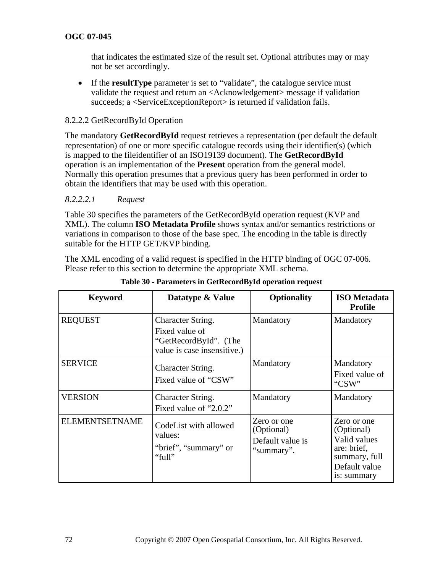that indicates the estimated size of the result set. Optional attributes may or may not be set accordingly.

• If the **resultType** parameter is set to "validate", the catalogue service must validate the request and return an <Acknowledgement> message if validation succeeds; a <ServiceExceptionReport> is returned if validation fails.

### 8.2.2.2 GetRecordById Operation

The mandatory **GetRecordById** request retrieves a representation (per default the default representation) of one or more specific catalogue records using their identifier(s) (which is mapped to the fileidentifier of an ISO19139 document). The **GetRecordById** operation is an implementation of the **Present** operation from the general model. Normally this operation presumes that a previous query has been performed in order to obtain the identifiers that may be used with this operation.

#### *8.2.2.2.1 Request*

[Table 30 specifies the parameters of the GetRecordById operation request \(KVP and](#page-71-0)  XML). The column **ISO Metadata Profile** [shows syntax and/or semantics restrictions or](#page-71-0)  [variations in comparison to those of the base spec. The encoding in the table is directly](#page-71-0)  [suitable for the HTTP GET/KVP binding.](#page-71-0) 

The XML encoding of a valid request is specified in the HTTP binding of OGC 07-006. Please refer to this section to determine the appropriate XML schema.

<span id="page-71-0"></span>

| <b>Keyword</b>        | Datatype & Value                                                                            | <b>Optionality</b>                                          | <b>ISO</b> Metadata<br><b>Profile</b>                                                                     |
|-----------------------|---------------------------------------------------------------------------------------------|-------------------------------------------------------------|-----------------------------------------------------------------------------------------------------------|
| <b>REQUEST</b>        | Character String.<br>Fixed value of<br>"GetRecordById". (The<br>value is case insensitive.) | Mandatory                                                   | Mandatory                                                                                                 |
| <b>SERVICE</b>        | Character String.<br>Fixed value of "CSW"                                                   | Mandatory                                                   | Mandatory<br>Fixed value of<br>"CSW"                                                                      |
| <b>VERSION</b>        | Character String.<br>Fixed value of "2.0.2"                                                 | Mandatory                                                   | Mandatory                                                                                                 |
| <b>ELEMENTSETNAME</b> | CodeList with allowed<br>values:<br>"brief", "summary" or<br>"full"                         | Zero or one<br>(Optional)<br>Default value is<br>"summary". | Zero or one<br>(Optional)<br>Valid values<br>are: brief,<br>summary, full<br>Default value<br>is: summary |

**Table 30 - Parameters in GetRecordById operation request**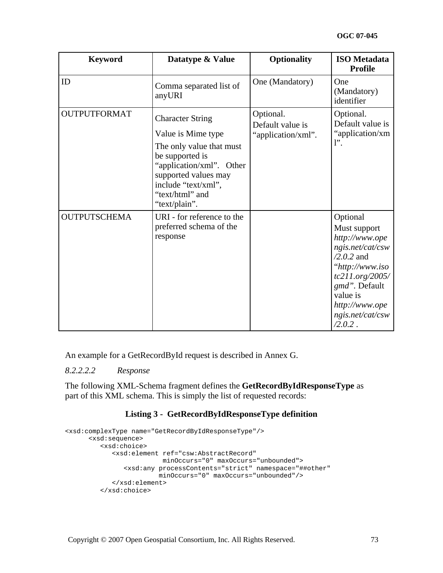| <b>Keyword</b>      | Datatype & Value                                                                                                                                                                                            | <b>Optionality</b>                                  | <b>ISO</b> Metadata<br><b>Profile</b>                                                                                                                                                                 |
|---------------------|-------------------------------------------------------------------------------------------------------------------------------------------------------------------------------------------------------------|-----------------------------------------------------|-------------------------------------------------------------------------------------------------------------------------------------------------------------------------------------------------------|
| ID                  | Comma separated list of<br>anyURI                                                                                                                                                                           | One (Mandatory)                                     | One<br>(Mandatory)<br>identifier                                                                                                                                                                      |
| <b>OUTPUTFORMAT</b> | <b>Character String</b><br>Value is Mime type<br>The only value that must<br>be supported is<br>"application/xml". Other<br>supported values may<br>include "text/xml",<br>"text/html" and<br>"text/plain". | Optional.<br>Default value is<br>"application/xml". | Optional.<br>Default value is<br>"application/xm<br>$l$ ".                                                                                                                                            |
| <b>OUTPUTSCHEMA</b> | URI - for reference to the<br>preferred schema of the<br>response                                                                                                                                           |                                                     | Optional<br>Must support<br>http://www.ope<br>ngis.net/cat/csw<br>$/2.0.2$ and<br>"http://www.iso<br>tc211.org/2005/<br>gmd". Default<br>value is<br>http://www.ope<br>ngis.net/cat/csw<br>$/2.0.2$ . |

An example for a GetRecordById request is described in Annex G.

*8.2.2.2.2 Response* 

The following XML-Schema fragment defines the **GetRecordByIdResponseType** as part of this XML schema. This is simply the list of requested records:

## **Listing 3 - GetRecordByIdResponseType definition**

```
<xsd:complexType name="GetRecordByIdResponseType"/> 
       <xsd:sequence> 
          <xsd:choice> 
             <xsd:element ref="csw:AbstractRecord" 
                          minOccurs="0" maxOccurs="unbounded"> 
                 <xsd:any processContents="strict" namespace="##other" 
                         minOccurs="0" maxOccurs="unbounded"/> 
             </xsd:element> 
          </xsd:choice>
```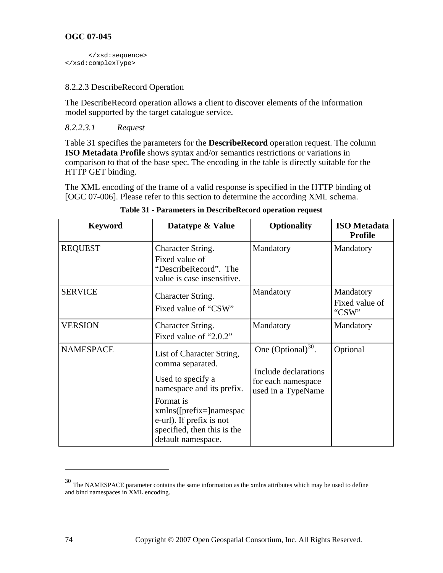```
 </xsd:sequence> 
</xsd:complexType>
```
# 8.2.2.3 DescribeRecord Operation

The DescribeRecord operation allows a client to discover elements of the information model supported by the target catalogue service.

# *8.2.2.3.1 Request*

[Table 31 specifies the parameters for the](#page-73-0) **DescribeRecord** operation request. The column **ISO Metadata Profile** [shows syntax and/or semantics restrictions or variations in](#page-73-0)  [comparison to that of the base spec. The encoding in the table is directly suitable for the](#page-73-0)  [HTTP GET binding.](#page-73-0) 

The XML encoding of the frame of a valid response is specified in the HTTP binding of [OGC 07-006]. Please refer to this section to determine the according XML schema.

<span id="page-73-0"></span>

| <b>Keyword</b>   | Datatype & Value                                                                                                                                                                                                           | <b>Optionality</b>                                                                          | <b>ISO</b> Metadata<br><b>Profile</b> |
|------------------|----------------------------------------------------------------------------------------------------------------------------------------------------------------------------------------------------------------------------|---------------------------------------------------------------------------------------------|---------------------------------------|
| <b>REQUEST</b>   | Character String.<br>Fixed value of<br>"DescribeRecord". The<br>value is case insensitive.                                                                                                                                 | Mandatory                                                                                   | Mandatory                             |
| <b>SERVICE</b>   | Character String.<br>Fixed value of "CSW"                                                                                                                                                                                  | Mandatory                                                                                   | Mandatory<br>Fixed value of<br>"CSW"  |
| <b>VERSION</b>   | Character String.<br>Fixed value of "2.0.2"                                                                                                                                                                                | Mandatory                                                                                   | Mandatory                             |
| <b>NAMESPACE</b> | List of Character String,<br>comma separated.<br>Used to specify a<br>namespace and its prefix.<br>Format is<br>$xmlns([prefix=]namespac$<br>e-url). If prefix is not<br>specified, then this is the<br>default namespace. | One $(Optional)^{30}$ .<br>Include declarations<br>for each namespace<br>used in a TypeName | Optional                              |

|  |  |  | Table 31 - Parameters in DescribeRecord operation request |
|--|--|--|-----------------------------------------------------------|
|  |  |  |                                                           |

<span id="page-73-1"></span><sup>30</sup> The NAMESPACE parameter contains the same information as the xmlns attributes which may be used to define and bind namespaces in XML encoding.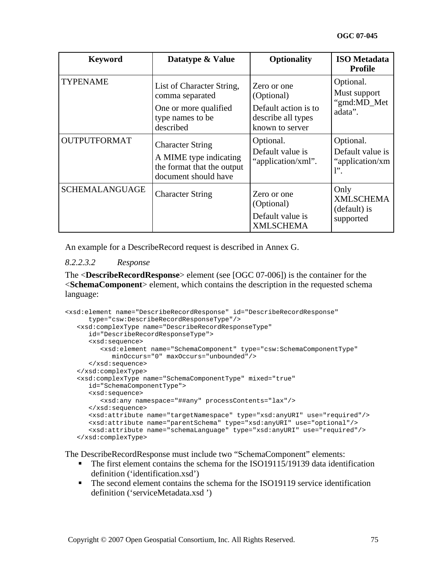| <b>Keyword</b>        | Datatype & Value                                                                                        | <b>Optionality</b>                                                                         | <b>ISO</b> Metadata<br><b>Profile</b>                               |
|-----------------------|---------------------------------------------------------------------------------------------------------|--------------------------------------------------------------------------------------------|---------------------------------------------------------------------|
| <b>TYPENAME</b>       | List of Character String,<br>comma separated<br>One or more qualified<br>type names to be<br>described  | Zero or one<br>(Optional)<br>Default action is to<br>describe all types<br>known to server | Optional.<br>Must support<br>"gmd:MD_Met<br>adata".                 |
| <b>OUTPUTFORMAT</b>   | <b>Character String</b><br>A MIME type indicating<br>the format that the output<br>document should have | Optional.<br>Default value is<br>"application/xml".                                        | Optional.<br>Default value is<br>"application/xm<br>$\mathbf{l}$ ". |
| <b>SCHEMALANGUAGE</b> | <b>Character String</b>                                                                                 | Zero or one<br>(Optional)<br>Default value is<br><b>XMLSCHEMA</b>                          | Only<br><b>XMLSCHEMA</b><br>(default) is<br>supported               |

An example for a DescribeRecord request is described in Annex G.

#### *8.2.2.3.2 Response*

The <**DescribeRecordResponse**> element (see [OGC 07-006]) is the container for the <**SchemaComponent**> element, which contains the description in the requested schema language:

```
<xsd:element name="DescribeRecordResponse" id="DescribeRecordResponse" 
       type="csw:DescribeRecordResponseType"/> 
    <xsd:complexType name="DescribeRecordResponseType" 
       id="DescribeRecordResponseType"> 
       <xsd:sequence> 
          <xsd:element name="SchemaComponent" type="csw:SchemaComponentType" 
             minOccurs="0" maxOccurs="unbounded"/> 
       </xsd:sequence> 
    </xsd:complexType> 
    <xsd:complexType name="SchemaComponentType" mixed="true" 
       id="SchemaComponentType"> 
       <xsd:sequence> 
          <xsd:any namespace="##any" processContents="lax"/> 
       </xsd:sequence> 
       <xsd:attribute name="targetNamespace" type="xsd:anyURI" use="required"/> 
       <xsd:attribute name="parentSchema" type="xsd:anyURI" use="optional"/> 
       <xsd:attribute name="schemaLanguage" type="xsd:anyURI" use="required"/> 
    </xsd:complexType>
```
The DescribeRecordResponse must include two "SchemaComponent" elements:

- The first element contains the schema for the ISO19115/19139 data identification definition ('identification.xsd')
- The second element contains the schema for the ISO19119 service identification definition ('serviceMetadata.xsd ')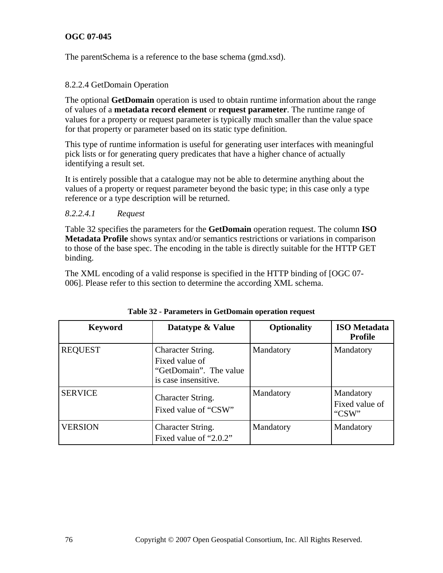The parentSchema is a reference to the base schema (gmd.xsd).

#### 8.2.2.4 GetDomain Operation

The optional **GetDomain** operation is used to obtain runtime information about the range of values of a **metadata record element** or **request parameter**. The runtime range of values for a property or request parameter is typically much smaller than the value space for that property or parameter based on its static type definition.

This type of runtime information is useful for generating user interfaces with meaningful pick lists or for generating query predicates that have a higher chance of actually identifying a result set.

It is entirely possible that a catalogue may not be able to determine anything about the values of a property or request parameter beyond the basic type; in this case only a type reference or a type description will be returned.

#### *8.2.2.4.1 Request*

[Table 32 specifies the parameters for the](#page-75-0) **GetDomain** operation request. The column **ISO Metadata Profile** [shows syntax and/or semantics restrictions or variations in comparison](#page-75-0)  [to those of the base spec. The encoding in the table is directly suitable for the HTTP GET](#page-75-0)  [binding.](#page-75-0) 

The XML encoding of a valid response is specified in the HTTP binding of [OGC 07- 006]. Please refer to this section to determine the according XML schema.

<span id="page-75-0"></span>

| <b>Keyword</b> | Datatype & Value                                                                      | <b>Optionality</b> | <b>ISO</b> Metadata<br><b>Profile</b> |
|----------------|---------------------------------------------------------------------------------------|--------------------|---------------------------------------|
| <b>REQUEST</b> | Character String.<br>Fixed value of<br>"GetDomain". The value<br>is case insensitive. | Mandatory          | Mandatory                             |
| <b>SERVICE</b> | Character String.<br>Fixed value of "CSW"                                             | Mandatory          | Mandatory<br>Fixed value of<br>"CSW"  |
| <b>VERSION</b> | Character String.<br>Fixed value of "2.0.2"                                           | Mandatory          | Mandatory                             |

**Table 32 - Parameters in GetDomain operation request**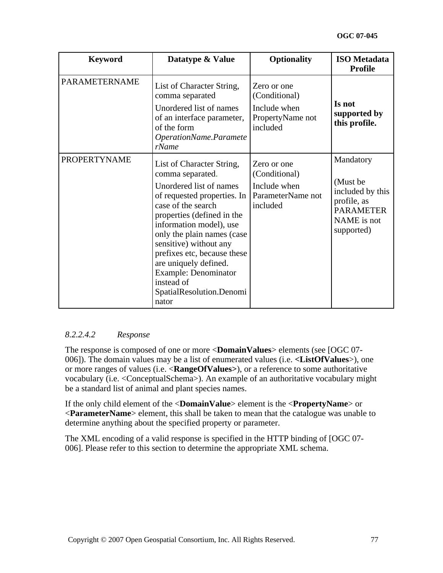| <b>Keyword</b>       | Datatype & Value                                                                                                                                                                                                                                                                                                                                                                  | <b>Optionality</b>                                                            | <b>ISO</b> Metadata<br><b>Profile</b>                                                                     |
|----------------------|-----------------------------------------------------------------------------------------------------------------------------------------------------------------------------------------------------------------------------------------------------------------------------------------------------------------------------------------------------------------------------------|-------------------------------------------------------------------------------|-----------------------------------------------------------------------------------------------------------|
| <b>PARAMETERNAME</b> | List of Character String,<br>comma separated<br>Unordered list of names<br>of an interface parameter,<br>of the form<br>OperationName.Paramete<br>rName                                                                                                                                                                                                                           | Zero or one<br>(Conditional)<br>Include when<br>PropertyName not<br>included  | Is not<br>supported by<br>this profile.                                                                   |
| <b>PROPERTYNAME</b>  | List of Character String,<br>comma separated.<br>Unordered list of names<br>of requested properties. In<br>case of the search<br>properties (defined in the<br>information model), use<br>only the plain names (case<br>sensitive) without any<br>prefixes etc, because these<br>are uniquely defined.<br>Example: Denominator<br>instead of<br>SpatialResolution.Denomi<br>nator | Zero or one<br>(Conditional)<br>Include when<br>ParameterName not<br>included | Mandatory<br>(Must be<br>included by this<br>profile, as<br><b>PARAMETER</b><br>NAME is not<br>supported) |

## *8.2.2.4.2 Response*

The response is composed of one or more <**DomainValues**> elements (see [OGC 07- 006]). The domain values may be a list of enumerated values (i.e. **<ListOfValues**>), one or more ranges of values (i.e. <**RangeOfValues>**), or a reference to some authoritative vocabulary (i.e. <ConceptualSchema>). An example of an authoritative vocabulary might be a standard list of animal and plant species names.

If the only child element of the <**DomainValue**> element is the <**PropertyName**> or <**ParameterName**> element, this shall be taken to mean that the catalogue was unable to determine anything about the specified property or parameter.

The XML encoding of a valid response is specified in the HTTP binding of [OGC 07- 006]. Please refer to this section to determine the appropriate XML schema.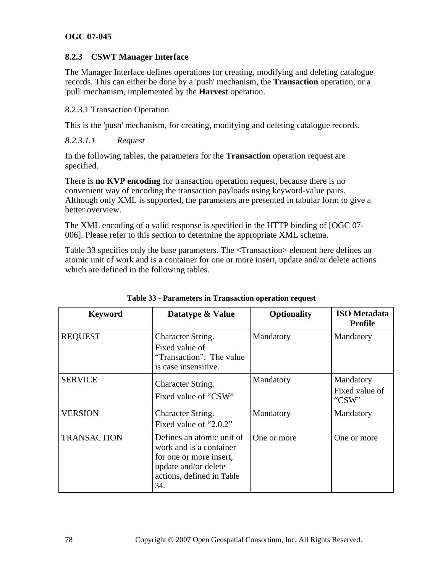## **8.2.3 CSWT Manager Interface**

The Manager Interface defines operations for creating, modifying and deleting catalogue records. This can either be done by a 'push' mechanism, the **Transaction** operation, or a 'pull' mechanism, implemented by the **Harvest** operation.

8.2.3.1 Transaction Operation

This is the 'push' mechanism, for creating, modifying and deleting catalogue records.

*8.2.3.1.1 Request* 

In the following tables, the parameters for the **Transaction** operation request are specified.

There is **no KVP encoding** for transaction operation request, because there is no convenient way of encoding the transaction payloads using keyword-value pairs. Although only XML is supported, the parameters are presented in tabular form to give a better overview.

The XML encoding of a valid response is specified in the HTTP binding of [OGC 07- 006]. Please refer to this section to determine the appropriate XML schema.

[Table 33](#page-77-0) specifies only the base parameters. The <Transaction> element here defines an atomic unit of work and is a container for one or more insert, update and/or delete actions which are defined in the following tables.

<span id="page-77-0"></span>

| <b>Keyword</b>     | Datatype & Value                                                                                                                            | <b>Optionality</b> | <b>ISO</b> Metadata<br><b>Profile</b> |
|--------------------|---------------------------------------------------------------------------------------------------------------------------------------------|--------------------|---------------------------------------|
| <b>REQUEST</b>     | Character String.<br>Fixed value of<br>"Transaction". The value<br>is case insensitive.                                                     | Mandatory          | Mandatory                             |
| <b>SERVICE</b>     | Character String.<br>Fixed value of "CSW"                                                                                                   | Mandatory          | Mandatory<br>Fixed value of<br>"CSW"  |
| <b>VERSION</b>     | Character String.<br>Fixed value of "2.0.2"                                                                                                 | Mandatory          | Mandatory                             |
| <b>TRANSACTION</b> | Defines an atomic unit of<br>work and is a container<br>for one or more insert,<br>update and/or delete<br>actions, defined in Table<br>34. | One or more        | One or more                           |

**Table 33 - Parameters in Transaction operation request**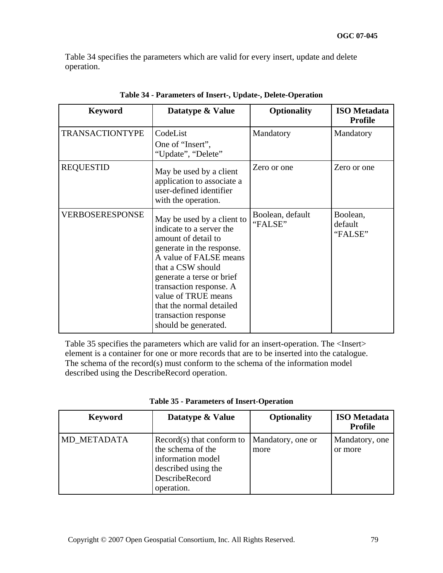[Table 34](#page-78-0) specifies the parameters which are valid for every insert, update and delete operation.

<span id="page-78-0"></span>

| <b>Keyword</b>         | Datatype & Value                                                                                                                                                                                                                                                                                                     | <b>Optionality</b>          | <b>ISO</b> Metadata<br><b>Profile</b> |
|------------------------|----------------------------------------------------------------------------------------------------------------------------------------------------------------------------------------------------------------------------------------------------------------------------------------------------------------------|-----------------------------|---------------------------------------|
| <b>TRANSACTIONTYPE</b> | CodeList<br>One of "Insert",<br>"Update", "Delete"                                                                                                                                                                                                                                                                   | Mandatory                   | Mandatory                             |
| <b>REQUESTID</b>       | May be used by a client<br>application to associate a<br>user-defined identifier<br>with the operation.                                                                                                                                                                                                              | Zero or one                 | Zero or one                           |
| VERBOSERESPONSE        | May be used by a client to<br>indicate to a server the<br>amount of detail to<br>generate in the response.<br>A value of FALSE means<br>that a CSW should<br>generate a terse or brief<br>transaction response. A<br>value of TRUE means<br>that the normal detailed<br>transaction response<br>should be generated. | Boolean, default<br>"FALSE" | Boolean,<br>default<br>"FALSE"        |

**Table 34 - Parameters of Insert-, Update-, Delete-Operation** 

[Table 35](#page-78-1) specifies the parameters which are valid for an insert-operation. The <Insert> element is a container for one or more records that are to be inserted into the catalogue. The schema of the record(s) must conform to the schema of the information model described using the DescribeRecord operation.

<span id="page-78-1"></span>

| <b>Keyword</b> | Datatype & Value                                                                                                             | <b>Optionality</b>        | <b>ISO</b> Metadata<br><b>Profile</b> |
|----------------|------------------------------------------------------------------------------------------------------------------------------|---------------------------|---------------------------------------|
| MD METADATA    | $Record(s)$ that conform to<br>the schema of the<br>information model<br>described using the<br>DescribeRecord<br>operation. | Mandatory, one or<br>more | Mandatory, one<br>or more             |

**Table 35 - Parameters of Insert-Operation**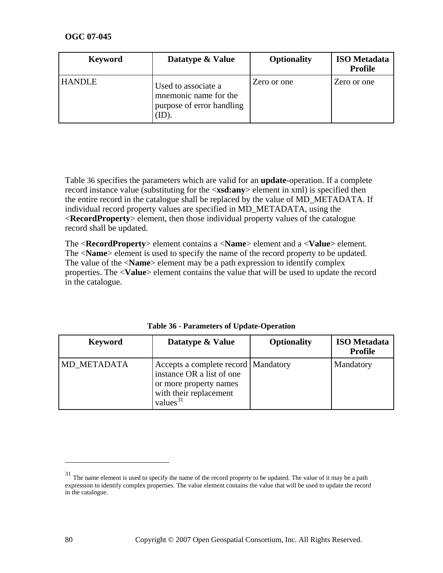| <b>Keyword</b> | Datatype & Value                                                                   | <b>Optionality</b> | <b>ISO</b> Metadata<br><b>Profile</b> |
|----------------|------------------------------------------------------------------------------------|--------------------|---------------------------------------|
| <b>HANDLE</b>  | Used to associate a<br>mnemonic name for the<br>purpose of error handling<br>(ID). | Zero or one        | Zero or one                           |

Table 36 specifies the parameters which are valid for an **update**-operation. If a complete record instance value (substituting for the <**xsd:any**> element in xml) is specified then the entire record in the catalogue shall be replaced by the value of MD\_METADATA. If individual record property values are specified in MD\_METADATA, using the <**RecordProperty**> element, then those individual property values of the catalogue record shall be updated.

The <**RecordProperty**> element contains a <**Name**> element and a <**Value**> element. The <**Name**> element is used to specify the name of the record property to be updated. The value of the <**Name**> element may be a path expression to identify complex properties. The <**Value**> element contains the value that will be used to update the record in the catalogue.

| <b>Keyword</b> | Datatype & Value                                                                                                                      | <b>Optionality</b> | <b>ISO</b> Metadata<br><b>Profile</b> |
|----------------|---------------------------------------------------------------------------------------------------------------------------------------|--------------------|---------------------------------------|
| MD METADATA    | Accepts a complete record   Mandatory<br>instance OR a list of one<br>or more property names<br>with their replacement<br>values $31$ |                    | Mandatory                             |

| Table 36 - Parameters of Update-Operation |  |
|-------------------------------------------|--|
|-------------------------------------------|--|

<span id="page-79-0"></span><sup>&</sup>lt;sup>31</sup> The name element is used to specify the name of the record property to be updated. The value of it may be a path expression to identify complex properties. The value element contains the value that will be used to update the record in the catalogue.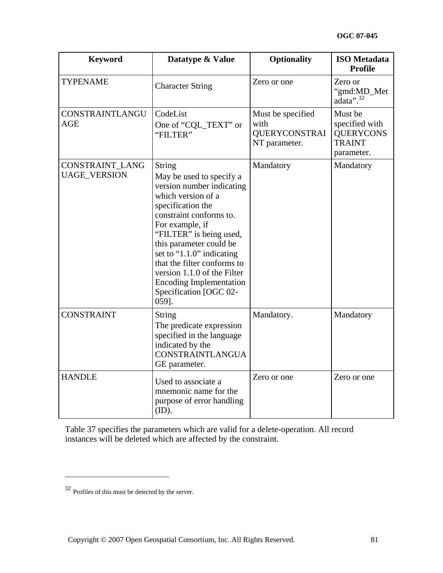| <b>Keyword</b>                         | Datatype & Value                                                                                                                                                                                                                                                                                                                                                                      | <b>Optionality</b>                                                 | <b>ISO</b> Metadata<br><b>Profile</b>                                        |
|----------------------------------------|---------------------------------------------------------------------------------------------------------------------------------------------------------------------------------------------------------------------------------------------------------------------------------------------------------------------------------------------------------------------------------------|--------------------------------------------------------------------|------------------------------------------------------------------------------|
| <b>TYPENAME</b>                        | <b>Character String</b>                                                                                                                                                                                                                                                                                                                                                               | Zero or one                                                        | Zero or<br>"gmd:MD_Met<br>$ada^{\prime\prime}$ . <sup>32</sup>               |
| CONSTRAINTLANGU<br>AGE                 | CodeList<br>One of "CQL_TEXT" or<br>"FILTER"                                                                                                                                                                                                                                                                                                                                          | Must be specified<br>with<br><b>QUERYCONSTRAI</b><br>NT parameter. | Must be<br>specified with<br><b>QUERYCONS</b><br><b>TRAINT</b><br>parameter. |
| CONSTRAINT_LANG<br><b>UAGE_VERSION</b> | <b>String</b><br>May be used to specify a<br>version number indicating<br>which version of a<br>specification the<br>constraint conforms to.<br>For example, if<br>"FILTER" is being used,<br>this parameter could be<br>set to "1.1.0" indicating<br>that the filter conforms to<br>version 1.1.0 of the Filter<br><b>Encoding Implementation</b><br>Specification [OGC 02-<br>059]. | Mandatory                                                          | Mandatory                                                                    |
| <b>CONSTRAINT</b>                      | <b>String</b><br>The predicate expression<br>specified in the language<br>indicated by the<br><b>CONSTRAINTLANGUA</b><br>GE parameter.                                                                                                                                                                                                                                                | Mandatory.                                                         | Mandatory                                                                    |
| <b>HANDLE</b>                          | Used to associate a<br>mnemonic name for the<br>purpose of error handling<br>(ID).                                                                                                                                                                                                                                                                                                    | Zero or one                                                        | Zero or one                                                                  |

Table 37 specifies the parameters which are valid for a delete-operation. All record instances will be deleted which are affected by the constraint.

<span id="page-80-0"></span><sup>32</sup> Profiles of this must be detected by the server.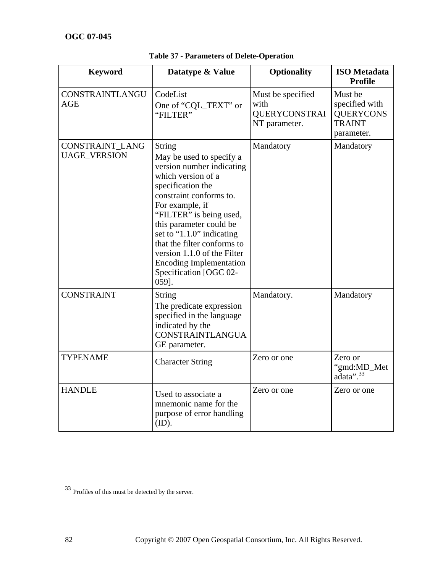| <b>Keyword</b>                         | Datatype & Value                                                                                                                                                                                                                                                                                                                                                                      | <b>Optionality</b>                                                 | <b>ISO</b> Metadata<br><b>Profile</b>                                        |
|----------------------------------------|---------------------------------------------------------------------------------------------------------------------------------------------------------------------------------------------------------------------------------------------------------------------------------------------------------------------------------------------------------------------------------------|--------------------------------------------------------------------|------------------------------------------------------------------------------|
| CONSTRAINTLANGU<br><b>AGE</b>          | CodeList<br>One of "CQL_TEXT" or<br>"FILTER"                                                                                                                                                                                                                                                                                                                                          | Must be specified<br>with<br><b>QUERYCONSTRAI</b><br>NT parameter. | Must be<br>specified with<br><b>QUERYCONS</b><br><b>TRAINT</b><br>parameter. |
| CONSTRAINT_LANG<br><b>UAGE_VERSION</b> | <b>String</b><br>May be used to specify a<br>version number indicating<br>which version of a<br>specification the<br>constraint conforms to.<br>For example, if<br>"FILTER" is being used,<br>this parameter could be<br>set to "1.1.0" indicating<br>that the filter conforms to<br>version 1.1.0 of the Filter<br><b>Encoding Implementation</b><br>Specification [OGC 02-<br>059]. | Mandatory                                                          | Mandatory                                                                    |
| <b>CONSTRAINT</b>                      | String<br>The predicate expression<br>specified in the language<br>indicated by the<br><b>CONSTRAINTLANGUA</b><br>GE parameter.                                                                                                                                                                                                                                                       | Mandatory.                                                         | Mandatory                                                                    |
| <b>TYPENAME</b>                        | <b>Character String</b>                                                                                                                                                                                                                                                                                                                                                               | Zero or one                                                        | Zero or<br>"gmd:MD_Met<br>adata". <sup>33</sup>                              |
| <b>HANDLE</b>                          | Used to associate a<br>mnemonic name for the<br>purpose of error handling<br>(ID).                                                                                                                                                                                                                                                                                                    | Zero or one                                                        | Zero or one                                                                  |

**Table 37 - Parameters of Delete-Operation** 

<span id="page-81-0"></span><sup>33</sup> Profiles of this must be detected by the server.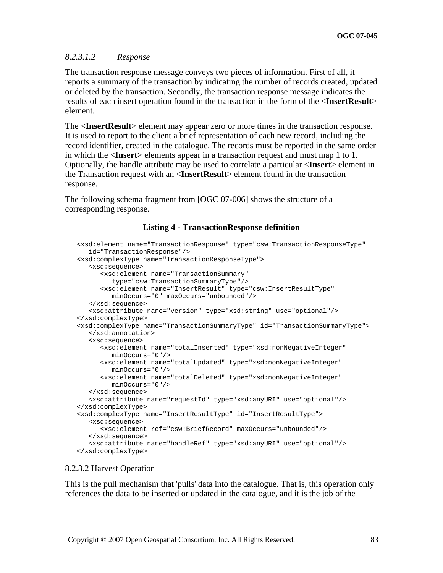#### *8.2.3.1.2 Response*

The transaction response message conveys two pieces of information. First of all, it reports a summary of the transaction by indicating the number of records created, updated or deleted by the transaction. Secondly, the transaction response message indicates the results of each insert operation found in the transaction in the form of the <**InsertResult**> element.

The <**InsertResult**> element may appear zero or more times in the transaction response. It is used to report to the client a brief representation of each new record, including the record identifier, created in the catalogue. The records must be reported in the same order in which the <**Insert**> elements appear in a transaction request and must map 1 to 1. Optionally, the handle attribute may be used to correlate a particular <**Insert**> element in the Transaction request with an <**InsertResult**> element found in the transaction response.

The following schema fragment from [OGC 07-006] shows the structure of a corresponding response.

#### **Listing 4 - TransactionResponse definition**

```
 <xsd:element name="TransactionResponse" type="csw:TransactionResponseType" 
    id="TransactionResponse"/> 
 <xsd:complexType name="TransactionResponseType"> 
    <xsd:sequence> 
       <xsd:element name="TransactionSummary" 
          type="csw:TransactionSummaryType"/> 
       <xsd:element name="InsertResult" type="csw:InsertResultType" 
         minOccurs="0" maxOccurs="unbounded"/> 
    </xsd:sequence> 
    <xsd:attribute name="version" type="xsd:string" use="optional"/> 
 </xsd:complexType> 
 <xsd:complexType name="TransactionSummaryType" id="TransactionSummaryType"> 
    </xsd:annotation> 
    <xsd:sequence> 
       <xsd:element name="totalInserted" type="xsd:nonNegativeInteger" 
          minOccurs="0"/> 
       <xsd:element name="totalUpdated" type="xsd:nonNegativeInteger" 
          minOccurs="0"/> 
       <xsd:element name="totalDeleted" type="xsd:nonNegativeInteger" 
          minOccurs="0"/> 
    </xsd:sequence> 
    <xsd:attribute name="requestId" type="xsd:anyURI" use="optional"/> 
 </xsd:complexType> 
 <xsd:complexType name="InsertResultType" id="InsertResultType"> 
    <xsd:sequence> 
       <xsd:element ref="csw:BriefRecord" maxOccurs="unbounded"/> 
    </xsd:sequence> 
    <xsd:attribute name="handleRef" type="xsd:anyURI" use="optional"/> 
 </xsd:complexType>
```
#### 8.2.3.2 Harvest Operation

This is the pull mechanism that 'pulls' data into the catalogue. That is, this operation only references the data to be inserted or updated in the catalogue, and it is the job of the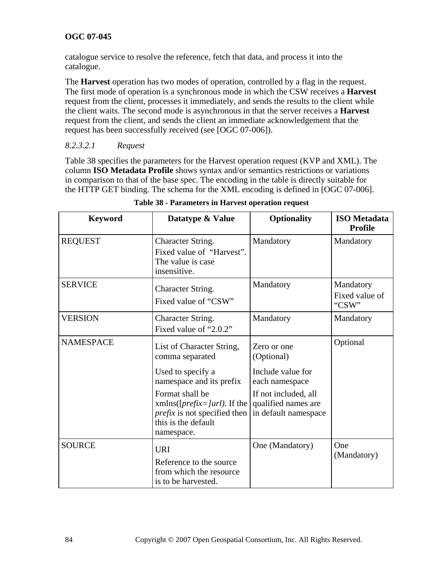catalogue service to resolve the reference, fetch that data, and process it into the catalogue.

The **Harvest** operation has two modes of operation, controlled by a flag in the request. The first mode of operation is a synchronous mode in which the CSW receives a **Harvest** request from the client, processes it immediately, and sends the results to the client while the client waits. The second mode is asynchronous in that the server receives a **Harvest** request from the client, and sends the client an immediate acknowledgement that the request has been successfully received (see [OGC 07-006]).

# *8.2.3.2.1 Request*

Table 38 specifies the parameters for the Harvest operation request (KVP and XML). The column **ISO Metadata Profile** shows syntax and/or semantics restrictions or variations in comparison to that of the base spec. The encoding in the table is directly suitable for the HTTP GET binding. The schema for the XML encoding is defined in [OGC 07-006].

| <b>Keyword</b>   | Datatype & Value                                                                                                                                            | <b>Optionality</b>                                                                    | <b>ISO</b> Metadata<br><b>Profile</b> |
|------------------|-------------------------------------------------------------------------------------------------------------------------------------------------------------|---------------------------------------------------------------------------------------|---------------------------------------|
| <b>REQUEST</b>   | <b>Character String.</b><br>Fixed value of "Harvest".<br>The value is case<br>insensitive.                                                                  | Mandatory                                                                             | Mandatory                             |
| <b>SERVICE</b>   | Character String.<br>Fixed value of "CSW"                                                                                                                   | Mandatory                                                                             | Mandatory<br>Fixed value of<br>"CSW"  |
| <b>VERSION</b>   | <b>Character String.</b><br>Fixed value of "2.0.2"                                                                                                          | Mandatory                                                                             | Mandatory                             |
| <b>NAMESPACE</b> | List of Character String,<br>comma separated<br>Used to specify a                                                                                           | Zero or one<br>(Optional)<br>Include value for                                        | Optional                              |
|                  | namespace and its prefix<br>Format shall be<br>xmlns( $[prefix= url]$ ). If the<br><i>prefix</i> is not specified then<br>this is the default<br>namespace. | each namespace<br>If not included, all<br>qualified names are<br>in default namespace |                                       |
| <b>SOURCE</b>    | <b>URI</b><br>Reference to the source<br>from which the resource<br>is to be harvested.                                                                     | One (Mandatory)                                                                       | One<br>(Mandatory)                    |

**Table 38 - Parameters in Harvest operation request**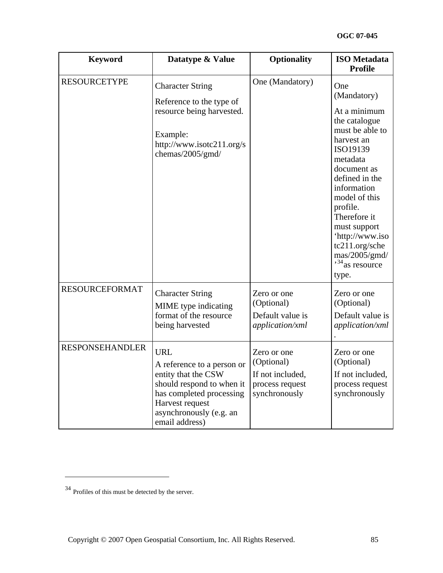| <b>Keyword</b>         | Datatype & Value                                                                                                                                                                         | <b>Optionality</b>                                                                | <b>ISO</b> Metadata<br><b>Profile</b>                                                                                                                                                                                                                                                                                                  |
|------------------------|------------------------------------------------------------------------------------------------------------------------------------------------------------------------------------------|-----------------------------------------------------------------------------------|----------------------------------------------------------------------------------------------------------------------------------------------------------------------------------------------------------------------------------------------------------------------------------------------------------------------------------------|
| <b>RESOURCETYPE</b>    | <b>Character String</b><br>Reference to the type of<br>resource being harvested.<br>Example:<br>http://www.isotc211.org/s<br>chemas/2005/gmd/                                            | One (Mandatory)                                                                   | One<br>(Mandatory)<br>At a minimum<br>the catalogue<br>must be able to<br>harvest an<br>ISO19139<br>metadata<br>document as<br>defined in the<br>information<br>model of this<br>profile.<br>Therefore it<br>must support<br>'http://www.iso<br>tc211.org/sche<br>$\text{mas}/2005/\text{gmd}/$<br>$\frac{1}{34}$ as resource<br>type. |
| <b>RESOURCEFORMAT</b>  | <b>Character String</b><br>MIME type indicating<br>format of the resource<br>being harvested                                                                                             | Zero or one<br>(Optional)<br>Default value is<br>application/xml                  | Zero or one<br>(Optional)<br>Default value is<br>application/xml                                                                                                                                                                                                                                                                       |
| <b>RESPONSEHANDLER</b> | <b>URL</b><br>A reference to a person or<br>entity that the CSW<br>should respond to when it<br>has completed processing<br>Harvest request<br>asynchronously (e.g. an<br>email address) | Zero or one<br>(Optional)<br>If not included,<br>process request<br>synchronously | Zero or one<br>(Optional)<br>If not included,<br>process request<br>synchronously                                                                                                                                                                                                                                                      |

<span id="page-84-0"></span><sup>34</sup> Profiles of this must be detected by the server.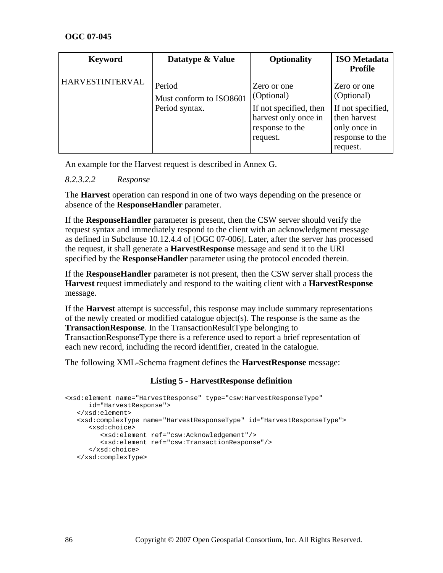| <b>Keyword</b>         | Datatype & Value                                    | <b>Optionality</b>                                                                                         | <b>ISO</b> Metadata<br><b>Profile</b>                                                                         |
|------------------------|-----------------------------------------------------|------------------------------------------------------------------------------------------------------------|---------------------------------------------------------------------------------------------------------------|
| <b>HARVESTINTERVAL</b> | Period<br>Must conform to ISO8601<br>Period syntax. | Zero or one<br>(Optional)<br>If not specified, then<br>harvest only once in<br>response to the<br>request. | Zero or one<br>(Optional)<br>If not specified,<br>then harvest<br>only once in<br>response to the<br>request. |

An example for the Harvest request is described in Annex G.

#### *8.2.3.2.2 Response*

The **Harvest** operation can respond in one of two ways depending on the presence or absence of the **ResponseHandler** parameter.

If the **ResponseHandler** parameter is present, then the CSW server should verify the request syntax and immediately respond to the client with an acknowledgment message as defined in Subclause 10.12.4.4 of [OGC 07-006]. Later, after the server has processed the request, it shall generate a **HarvestResponse** message and send it to the URI specified by the **ResponseHandler** parameter using the protocol encoded therein.

If the **ResponseHandler** parameter is not present, then the CSW server shall process the **Harvest** request immediately and respond to the waiting client with a **HarvestResponse** message.

If the **Harvest** attempt is successful, this response may include summary representations of the newly created or modified catalogue object(s). The response is the same as the **TransactionResponse**. In the TransactionResultType belonging to TransactionResponseType there is a reference used to report a brief representation of each new record, including the record identifier, created in the catalogue.

The following XML-Schema fragment defines the **HarvestResponse** message:

## **Listing 5 - HarvestResponse definition**

```
<xsd:element name="HarvestResponse" type="csw:HarvestResponseType" 
       id="HarvestResponse"> 
    </xsd:element> 
    <xsd:complexType name="HarvestResponseType" id="HarvestResponseType"> 
       <xsd:choice> 
          <xsd:element ref="csw:Acknowledgement"/> 
          <xsd:element ref="csw:TransactionResponse"/> 
       </xsd:choice> 
    </xsd:complexType>
```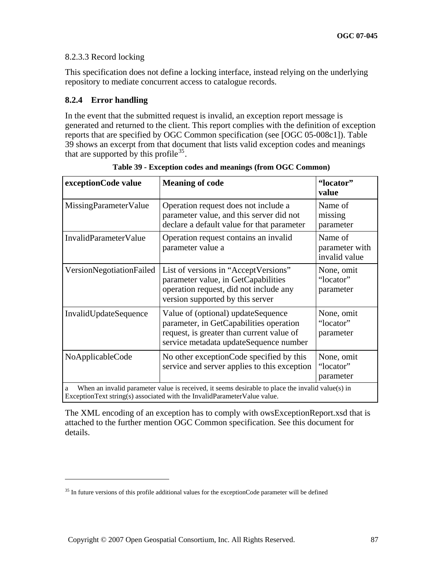## 8.2.3.3 Record locking

This specification does not define a locking interface, instead relying on the underlying repository to mediate concurrent access to catalogue records.

# **8.2.4 Error handling**

 $\overline{a}$ 

In the event that the submitted request is invalid, an exception report message is generated and returned to the client. This report complies with the definition of exception reports that are specified by OGC Common specification (see [OGC 05-008c1]). Table 39 shows an excerpt from that document that lists valid exception codes and meanings that are supported by this profile<sup>[35](#page-86-0)</sup>.

| exceptionCode value                                                                                                                                                               | <b>Meaning of code</b>                                                                                                                                               | "locator"<br>value                         |  |
|-----------------------------------------------------------------------------------------------------------------------------------------------------------------------------------|----------------------------------------------------------------------------------------------------------------------------------------------------------------------|--------------------------------------------|--|
| MissingParameterValue                                                                                                                                                             | Operation request does not include a<br>parameter value, and this server did not<br>declare a default value for that parameter                                       | Name of<br>missing<br>parameter            |  |
| InvalidParameterValue                                                                                                                                                             | Operation request contains an invalid<br>parameter value a                                                                                                           | Name of<br>parameter with<br>invalid value |  |
| VersionNegotiationFailed                                                                                                                                                          | List of versions in "Accept Versions"<br>parameter value, in GetCapabilities<br>operation request, did not include any<br>version supported by this server           | None, omit<br>"locator"<br>parameter       |  |
| InvalidUpdateSequence                                                                                                                                                             | Value of (optional) updateSequence<br>parameter, in GetCapabilities operation<br>request, is greater than current value of<br>service metadata updateSequence number | None, omit<br>"locator"<br>parameter       |  |
| NoApplicableCode                                                                                                                                                                  | No other exception Code specified by this<br>service and server applies to this exception                                                                            | None, omit<br>"locator"<br>parameter       |  |
| When an invalid parameter value is received, it seems desirable to place the invalid value(s) in<br>a<br>ExceptionText string(s) associated with the InvalidParameterValue value. |                                                                                                                                                                      |                                            |  |

**Table 39 - Exception codes and meanings (from OGC Common)** 

The XML encoding of an exception has to comply with owsExceptionReport.xsd that is attached to the further mention OGC Common specification. See this document for details.

<span id="page-86-0"></span> $35$  In future versions of this profile additional values for the exceptionCode parameter will be defined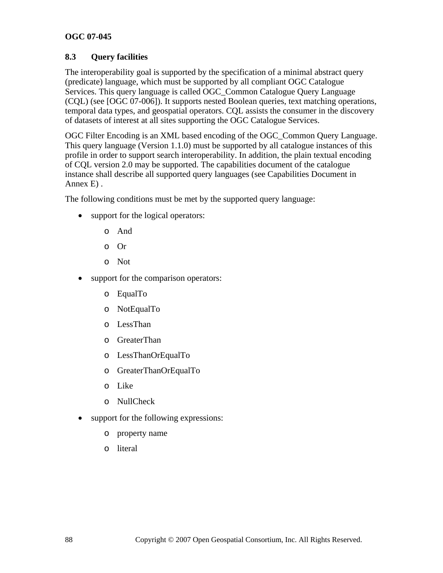# **8.3 Query facilities**

The interoperability goal is supported by the specification of a minimal abstract query (predicate) language, which must be supported by all compliant OGC Catalogue Services. This query language is called OGC\_Common Catalogue Query Language (CQL) (see [OGC 07-006]). It supports nested Boolean queries, text matching operations, temporal data types, and geospatial operators. CQL assists the consumer in the discovery of datasets of interest at all sites supporting the OGC Catalogue Services.

OGC Filter Encoding is an XML based encoding of the OGC\_Common Query Language. This query language (Version 1.1.0) must be supported by all catalogue instances of this profile in order to support search interoperability. In addition, the plain textual encoding of CQL version 2.0 may be supported. The capabilities document of the catalogue instance shall describe all supported query languages (see Capabilities Document in Annex E) .

The following conditions must be met by the supported query language:

- support for the logical operators:
	- o And
	- o Or
	- o Not
- support for the comparison operators:
	- o EqualTo
	- o NotEqualTo
	- o LessThan
	- o GreaterThan
	- o LessThanOrEqualTo
	- o GreaterThanOrEqualTo
	- o Like
	- o NullCheck
- support for the following expressions:
	- o property name
	- o literal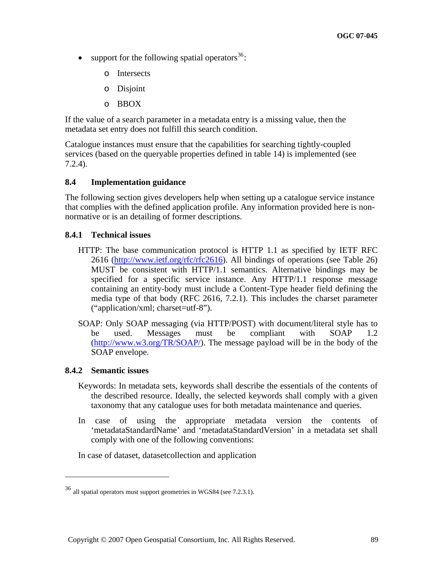- support for the following spatial operators  $36$ :
	- o Intersects
	- o Disjoint
	- o BBOX

If the value of a search parameter in a metadata entry is a missing value, then the metadata set entry does not fulfill this search condition.

Catalogue instances must ensure that the capabilities for searching tightly-coupled services (based on the queryable properties defined in table 14) is implemented (see 7.2.4).

#### **8.4 Implementation guidance**

The following section gives developers help when setting up a catalogue service instance that complies with the defined application profile. Any information provided here is nonnormative or is an detailing of former descriptions.

#### **8.4.1 Technical issues**

- HTTP: The base communication protocol is HTTP 1.1 as specified by IETF RFC 2616 ([http://www.ietf.org/rfc/rfc2616\)](http://www.ietf.org/rfc/rfc2616). All bindings of operations (see Table 26) MUST be consistent with HTTP/1.1 semantics. Alternative bindings may be specified for a specific service instance. Any HTTP/1.1 response message containing an entity-body must include a Content-Type header field defining the media type of that body (RFC 2616, 7.2.1). This includes the charset parameter ("application/xml; charset=utf-8").
- SOAP: Only SOAP messaging (via HTTP/POST) with document/literal style has to be used. Messages must be compliant with SOAP 1.2 (<http://www.w3.org/TR/SOAP/>). The message payload will be in the body of the SOAP envelope.

#### **8.4.2 Semantic issues**

 $\overline{a}$ 

- Keywords: In metadata sets, keywords shall describe the essentials of the contents of the described resource. Ideally, the selected keywords shall comply with a given taxonomy that any catalogue uses for both metadata maintenance and queries.
- In case of using the appropriate metadata version the contents of 'metadataStandardName' and 'metadataStandardVersion' in a metadata set shall comply with one of the following conventions:

In case of dataset, datasetcollection and application

<span id="page-88-0"></span><sup>36</sup> all spatial operators must support geometries in WGS84 (see 7.2.3.1).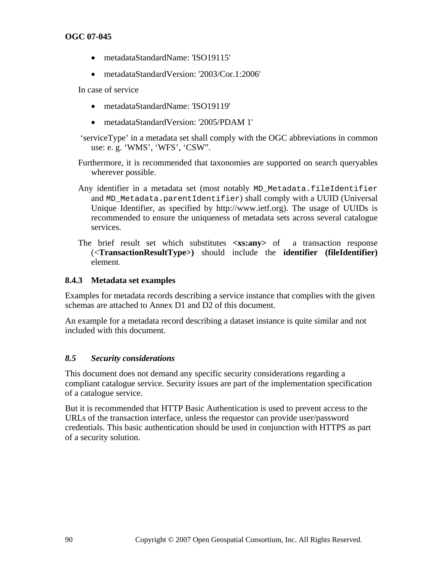- metadataStandardName: 'ISO19115'
- metadataStandardVersion: '2003/Cor.1:2006'

In case of service

- metadataStandardName: 'ISO19119'
- metadataStandardVersion: '2005/PDAM 1'
- 'serviceType' in a metadata set shall comply with the OGC abbreviations in common use: e. g. 'WMS', 'WFS', 'CSW".
- Furthermore, it is recommended that taxonomies are supported on search queryables wherever possible.
- Any identifier in a metadata set (most notably MD\_Metadata.fileIdentifier and MD\_Metadata.parentIdentifier) shall comply with a UUID (Universal Unique Identifier, as specified by http://www.ietf.org). The usage of UUIDs is recommended to ensure the uniqueness of metadata sets across several catalogue services.
- The brief result set which substitutes **<xs:any>** of a transaction response (<**TransactionResultType>)** should include the **identifier (fileIdentifier)** element.

## **8.4.3 Metadata set examples**

Examples for metadata records describing a service instance that complies with the given schemas are attached to Annex D1 and D2 of this document.

An example for a metadata record describing a dataset instance is quite similar and not included with this document.

#### *8.5 Security considerations*

This document does not demand any specific security considerations regarding a compliant catalogue service. Security issues are part of the implementation specification of a catalogue service.

But it is recommended that HTTP Basic Authentication is used to prevent access to the URLs of the transaction interface, unless the requestor can provide user/password credentials. This basic authentication should be used in conjunction with HTTPS as part of a security solution.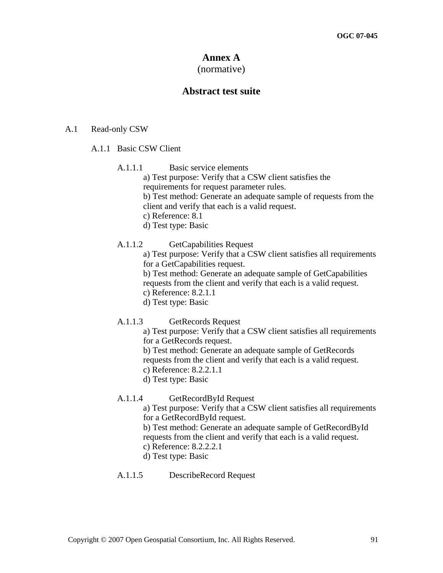# **Annex A**

# (normative)

## **Abstract test suite**

#### A.1 Read-only CSW

#### A.1.1 Basic CSW Client

- A.1.1.1 Basic service elements
	- a) Test purpose: Verify that a CSW client satisfies the
	- requirements for request parameter rules.
	- b) Test method: Generate an adequate sample of requests from the
	- client and verify that each is a valid request.
	- c) Reference: 8.1
	- d) Test type: Basic

#### A.1.1.2 GetCapabilities Request

- a) Test purpose: Verify that a CSW client satisfies all requirements for a GetCapabilities request.
- b) Test method: Generate an adequate sample of GetCapabilities requests from the client and verify that each is a valid request.
- c) Reference: 8.2.1.1
- d) Test type: Basic
- A.1.1.3 GetRecords Request
	- a) Test purpose: Verify that a CSW client satisfies all requirements for a GetRecords request.
	- b) Test method: Generate an adequate sample of GetRecords requests from the client and verify that each is a valid request.
	- c) Reference: 8.2.2.1.1
	- d) Test type: Basic
- A.1.1.4 GetRecordById Request

a) Test purpose: Verify that a CSW client satisfies all requirements for a GetRecordById request.

b) Test method: Generate an adequate sample of GetRecordById requests from the client and verify that each is a valid request.

- c) Reference: 8.2.2.2.1
- d) Test type: Basic

#### A.1.1.5 DescribeRecord Request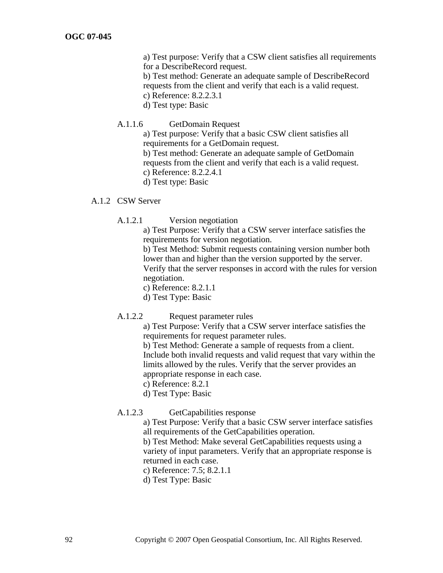a) Test purpose: Verify that a CSW client satisfies all requirements for a DescribeRecord request.

b) Test method: Generate an adequate sample of DescribeRecord requests from the client and verify that each is a valid request.

- c) Reference: 8.2.2.3.1
- d) Test type: Basic
- A.1.1.6 GetDomain Request

a) Test purpose: Verify that a basic CSW client satisfies all requirements for a GetDomain request.

b) Test method: Generate an adequate sample of GetDomain requests from the client and verify that each is a valid request.

- c) Reference: 8.2.2.4.1
- d) Test type: Basic

#### A.1.2 CSW Server

A.1.2.1 Version negotiation

a) Test Purpose: Verify that a CSW server interface satisfies the requirements for version negotiation.

b) Test Method: Submit requests containing version number both lower than and higher than the version supported by the server. Verify that the server responses in accord with the rules for version negotiation.

c) Reference: 8.2.1.1

- d) Test Type: Basic
- A.1.2.2 Request parameter rules

a) Test Purpose: Verify that a CSW server interface satisfies the requirements for request parameter rules.

b) Test Method: Generate a sample of requests from a client. Include both invalid requests and valid request that vary within the limits allowed by the rules. Verify that the server provides an appropriate response in each case.

c) Reference: 8.2.1

d) Test Type: Basic

#### A.1.2.3 GetCapabilities response

a) Test Purpose: Verify that a basic CSW server interface satisfies all requirements of the GetCapabilities operation.

b) Test Method: Make several GetCapabilities requests using a variety of input parameters. Verify that an appropriate response is returned in each case.

- c) Reference: 7.5; 8.2.1.1
- d) Test Type: Basic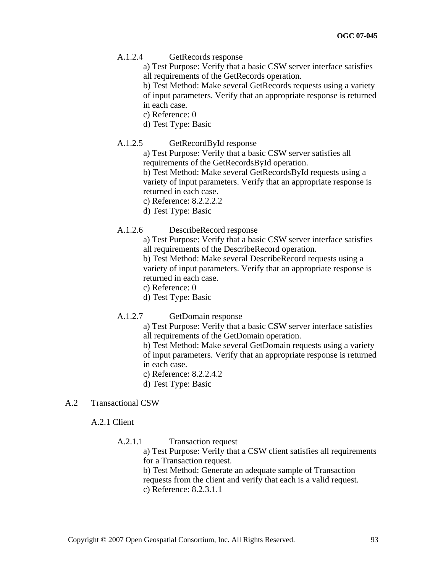A.1.2.4 GetRecords response

a) Test Purpose: Verify that a basic CSW server interface satisfies all requirements of the GetRecords operation.

b) Test Method: Make several GetRecords requests using a variety of input parameters. Verify that an appropriate response is returned in each case.

- c) Reference: 0
- d) Test Type: Basic
- A.1.2.5 GetRecordById response

a) Test Purpose: Verify that a basic CSW server satisfies all requirements of the GetRecordsById operation.

b) Test Method: Make several GetRecordsById requests using a variety of input parameters. Verify that an appropriate response is returned in each case.

- c) Reference: 8.2.2.2.2
- d) Test Type: Basic
- A.1.2.6 DescribeRecord response

a) Test Purpose: Verify that a basic CSW server interface satisfies all requirements of the DescribeRecord operation.

b) Test Method: Make several DescribeRecord requests using a variety of input parameters. Verify that an appropriate response is returned in each case.

c) Reference: 0

d) Test Type: Basic

A.1.2.7 GetDomain response

a) Test Purpose: Verify that a basic CSW server interface satisfies all requirements of the GetDomain operation.

b) Test Method: Make several GetDomain requests using a variety of input parameters. Verify that an appropriate response is returned in each case.

- c) Reference: 8.2.2.4.2
- d) Test Type: Basic

#### A.2 Transactional CSW

A.2.1 Client

A.2.1.1 Transaction request

a) Test Purpose: Verify that a CSW client satisfies all requirements for a Transaction request.

b) Test Method: Generate an adequate sample of Transaction requests from the client and verify that each is a valid request. c) Reference: 8.2.3.1.1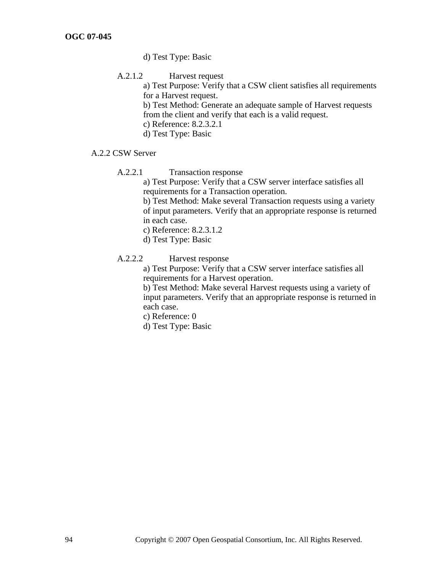- d) Test Type: Basic
- A.2.1.2 Harvest request

a) Test Purpose: Verify that a CSW client satisfies all requirements for a Harvest request.

b) Test Method: Generate an adequate sample of Harvest requests from the client and verify that each is a valid request.

- c) Reference: 8.2.3.2.1
- d) Test Type: Basic
- A.2.2 CSW Server
	- A.2.2.1 Transaction response

a) Test Purpose: Verify that a CSW server interface satisfies all requirements for a Transaction operation.

b) Test Method: Make several Transaction requests using a variety of input parameters. Verify that an appropriate response is returned in each case.

c) Reference: 8.2.3.1.2

- d) Test Type: Basic
- A.2.2.2 Harvest response

a) Test Purpose: Verify that a CSW server interface satisfies all requirements for a Harvest operation.

b) Test Method: Make several Harvest requests using a variety of input parameters. Verify that an appropriate response is returned in each case.

c) Reference: 0

d) Test Type: Basic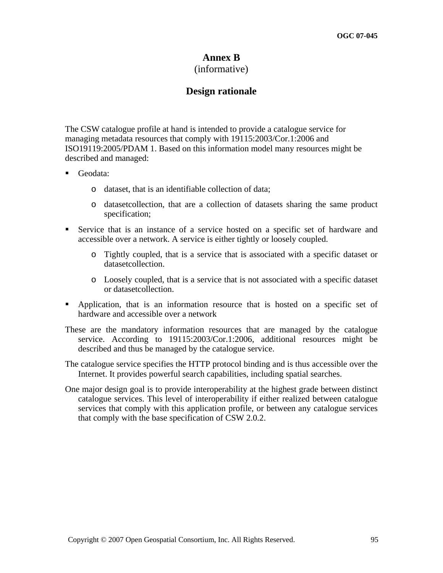# **Annex B**

# (informative)

# **Design rationale**

The CSW catalogue profile at hand is intended to provide a catalogue service for managing metadata resources that comply with 19115:2003/Cor.1:2006 and ISO19119:2005/PDAM 1. Based on this information model many resources might be described and managed:

- Geodata:
	- o dataset, that is an identifiable collection of data;
	- o datasetcollection, that are a collection of datasets sharing the same product specification;
- Service that is an instance of a service hosted on a specific set of hardware and accessible over a network. A service is either tightly or loosely coupled.
	- o Tightly coupled, that is a service that is associated with a specific dataset or datasetcollection.
	- o Loosely coupled, that is a service that is not associated with a specific dataset or datasetcollection.
- Application, that is an information resource that is hosted on a specific set of hardware and accessible over a network
- These are the mandatory information resources that are managed by the catalogue service. According to 19115:2003/Cor.1:2006, additional resources might be described and thus be managed by the catalogue service.
- The catalogue service specifies the HTTP protocol binding and is thus accessible over the Internet. It provides powerful search capabilities, including spatial searches.
- One major design goal is to provide interoperability at the highest grade between distinct catalogue services. This level of interoperability if either realized between catalogue services that comply with this application profile, or between any catalogue services that comply with the base specification of CSW 2.0.2.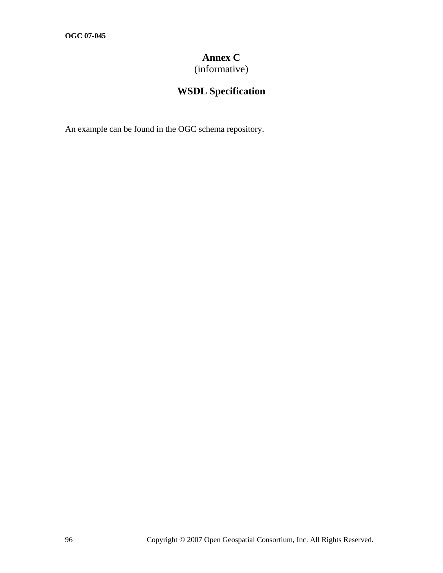# **Annex C**

(informative)

# **WSDL Specification**

An example can be found in the OGC schema repository.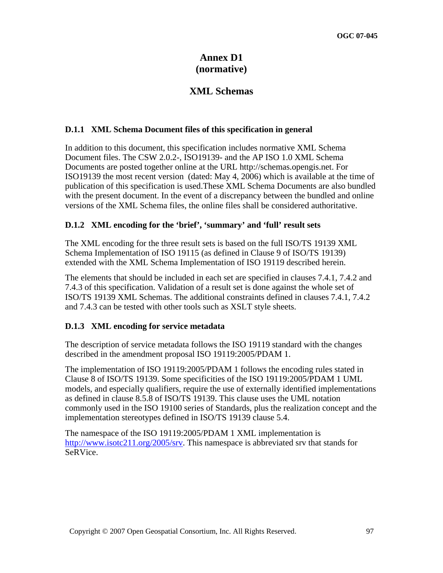# **Annex D1 (normative)**

# **XML Schemas**

## **D.1.1 XML Schema Document files of this specification in general**

In addition to this document, this specification includes normative XML Schema Document files. The CSW 2.0.2-, ISO19139- and the AP ISO 1.0 XML Schema Documents are posted together online at the URL http://schemas.opengis.net. For ISO19139 the most recent version (dated: May 4, 2006) which is available at the time of publication of this specification is used.These XML Schema Documents are also bundled with the present document. In the event of a discrepancy between the bundled and online versions of the XML Schema files, the online files shall be considered authoritative.

## **D.1.2 XML encoding for the 'brief', 'summary' and 'full' result sets**

The XML encoding for the three result sets is based on the full ISO/TS 19139 XML Schema Implementation of ISO 19115 (as defined in Clause 9 of ISO/TS 19139) extended with the XML Schema Implementation of ISO 19119 described herein.

The elements that should be included in each set are specified in clauses 7.4.1, 7.4.2 and 7.4.3 of this specification. Validation of a result set is done against the whole set of ISO/TS 19139 XML Schemas. The additional constraints defined in clauses 7.4.1, 7.4.2 and 7.4.3 can be tested with other tools such as XSLT style sheets.

## **D.1.3 XML encoding for service metadata**

The description of service metadata follows the ISO 19119 standard with the changes described in the amendment proposal ISO 19119:2005/PDAM 1.

The implementation of ISO 19119:2005/PDAM 1 follows the encoding rules stated in Clause 8 of ISO/TS 19139. Some specificities of the ISO 19119:2005/PDAM 1 UML models, and especially qualifiers, require the use of externally identified implementations as defined in clause 8.5.8 of ISO/TS 19139. This clause uses the UML notation commonly used in the ISO 19100 series of Standards, plus the realization concept and the implementation stereotypes defined in ISO/TS 19139 clause 5.4.

The namespace of the ISO 19119:2005/PDAM 1 XML implementation is [http://www.isotc211.org/2005/srv.](http://www.isotc211.org/2005/srv) This namespace is abbreviated srv that stands for SeRVice.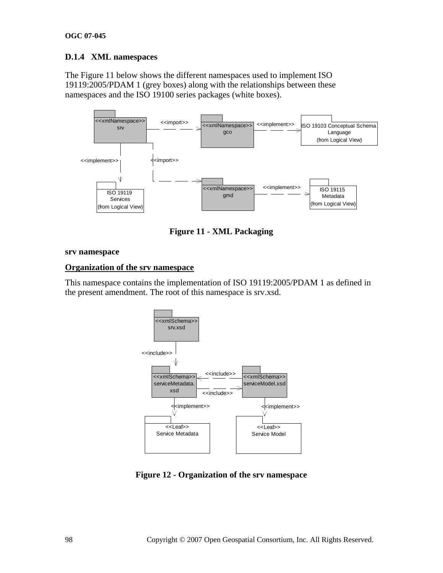# **D.1.4 XML namespaces**

The Figure 11 below shows the different namespaces used to implement ISO 19119:2005/PDAM 1 (grey boxes) along with the relationships between these namespaces and the ISO 19100 series packages (white boxes).



**Figure 11 - XML Packaging** 

#### **srv namespace**

## **Organization of the srv namespace**

This namespace contains the implementation of ISO 19119:2005/PDAM 1 as defined in the present amendment. The root of this namespace is srv.xsd.



**Figure 12 - Organization of the srv namespace**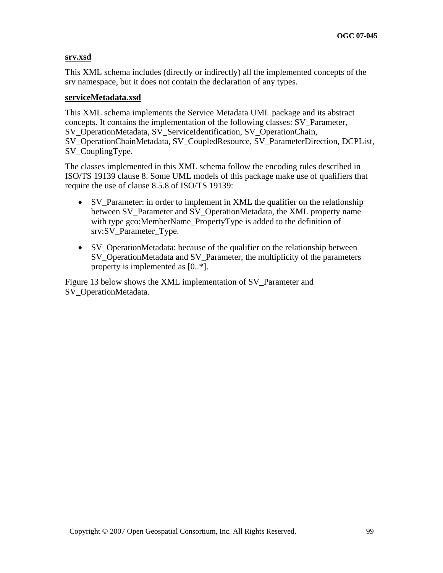#### **srv.xsd**

This XML schema includes (directly or indirectly) all the implemented concepts of the srv namespace, but it does not contain the declaration of any types.

#### **serviceMetadata.xsd**

This XML schema implements the Service Metadata UML package and its abstract concepts. It contains the implementation of the following classes: SV\_Parameter, SV\_OperationMetadata, SV\_ServiceIdentification, SV\_OperationChain, SV\_OperationChainMetadata, SV\_CoupledResource, SV\_ParameterDirection, DCPList, SV CouplingType.

The classes implemented in this XML schema follow the encoding rules described in ISO/TS 19139 clause 8. Some UML models of this package make use of qualifiers that require the use of clause 8.5.8 of ISO/TS 19139:

- SV\_Parameter: in order to implement in XML the qualifier on the relationship between SV\_Parameter and SV\_OperationMetadata, the XML property name with type gco:MemberName\_PropertyType is added to the definition of srv:SV\_Parameter\_Type.
- SV OperationMetadata: because of the qualifier on the relationship between SV\_OperationMetadata and SV\_Parameter, the multiplicity of the parameters property is implemented as [0..\*].

Figure 13 below shows the XML implementation of SV\_Parameter and SV\_OperationMetadata.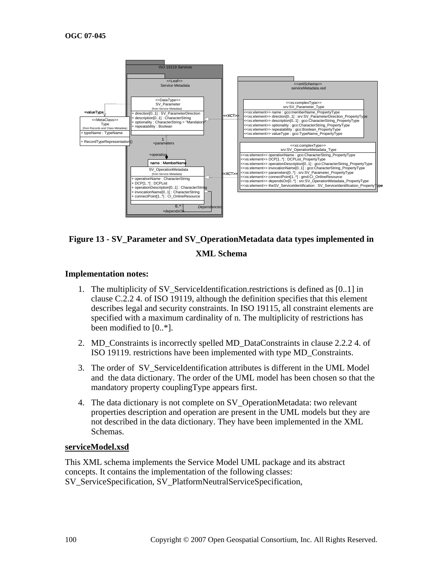

# **Figure 13 - SV\_Parameter and SV\_OperationMetadata data types implemented in XML Schema**

#### **Implementation notes:**

- 1. The multiplicity of SV\_ServiceIdentification.restrictions is defined as [0..1] in clause C.2.2 4. of ISO 19119, although the definition specifies that this element describes legal and security constraints. In ISO 19115, all constraint elements are specified with a maximum cardinality of n. The multiplicity of restrictions has been modified to [0..\*].
- 2. MD Constraints is incorrectly spelled MD DataConstraints in clause 2.2.2 4. of ISO 19119. restrictions have been implemented with type MD\_Constraints.
- 3. The order of SV\_ServiceIdentification attributes is different in the UML Model and the data dictionary. The order of the UML model has been chosen so that the mandatory property couplingType appears first.
- 4. The data dictionary is not complete on SV\_OperationMetadata: two relevant properties description and operation are present in the UML models but they are not described in the data dictionary. They have been implemented in the XML Schemas.

#### **serviceModel.xsd**

This XML schema implements the Service Model UML package and its abstract concepts. It contains the implementation of the following classes: SV\_ServiceSpecification, SV\_PlatformNeutralServiceSpecification,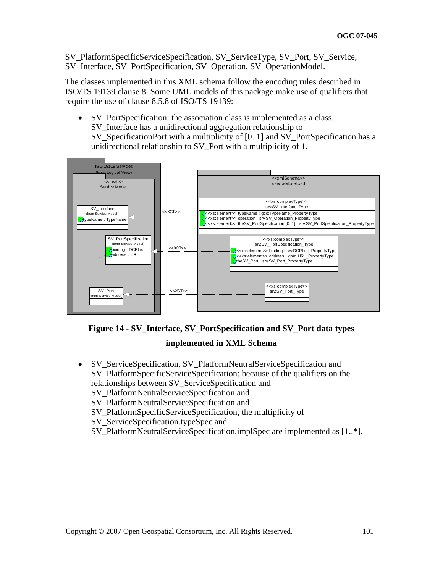SV\_PlatformSpecificServiceSpecification, SV\_ServiceType, SV\_Port, SV\_Service, SV\_Interface, SV\_PortSpecification, SV\_Operation, SV\_OperationModel.

The classes implemented in this XML schema follow the encoding rules described in ISO/TS 19139 clause 8. Some UML models of this package make use of qualifiers that require the use of clause 8.5.8 of ISO/TS 19139:

• SV PortSpecification: the association class is implemented as a class. SV\_Interface has a unidirectional aggregation relationship to SV\_SpecificationPort with a multiplicity of [0..1] and SV\_PortSpecification has a unidirectional relationship to SV\_Port with a multiplicity of 1.





## **implemented in XML Schema**

• SV\_ServiceSpecification, SV\_PlatformNeutralServiceSpecification and SV\_PlatformSpecificServiceSpecification: because of the qualifiers on the relationships between SV\_ServiceSpecification and SV\_PlatformNeutralServiceSpecification and

SV\_PlatformNeutralServiceSpecification and

SV\_PlatformSpecificServiceSpecification, the multiplicity of

SV\_ServiceSpecification.typeSpec and

SV\_PlatformNeutralServiceSpecification.implSpec are implemented as [1..\*].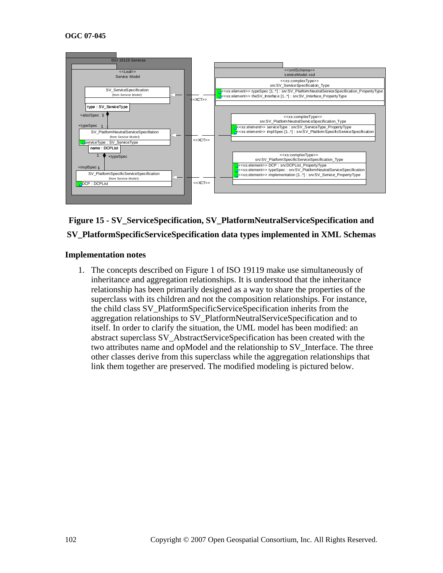

# **Figure 15 - SV\_ServiceSpecification, SV\_PlatformNeutralServiceSpecification and SV\_PlatformSpecificServiceSpecification data types implemented in XML Schemas**

#### **Implementation notes**

1. The concepts described on Figure 1 of ISO 19119 make use simultaneously of inheritance and aggregation relationships. It is understood that the inheritance relationship has been primarily designed as a way to share the properties of the superclass with its children and not the composition relationships. For instance, the child class SV\_PlatformSpecificServiceSpecification inherits from the aggregation relationships to SV\_PlatformNeutralServiceSpecification and to itself. In order to clarify the situation, the UML model has been modified: an abstract superclass SV\_AbstractServiceSpecification has been created with the two attributes name and opModel and the relationship to SV\_Interface. The three other classes derive from this superclass while the aggregation relationships that link them together are preserved. The modified modeling is pictured below.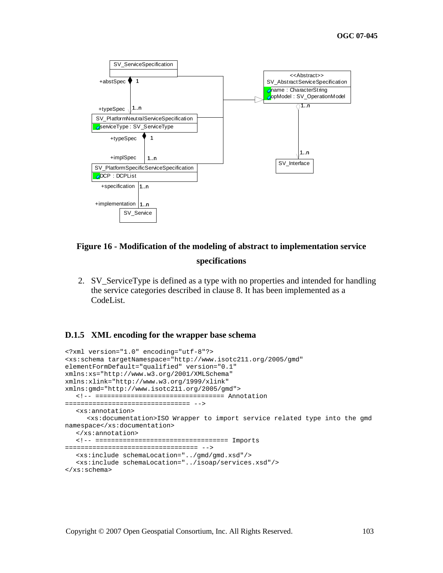

# **Figure 16 - Modification of the modeling of abstract to implementation service specifications**

2. SV\_ServiceType is defined as a type with no properties and intended for handling the service categories described in clause 8. It has been implemented as a CodeList.

#### **D.1.5 XML encoding for the wrapper base schema**

```
<?xml version="1.0" encoding="utf-8"?> 
<xs:schema targetNamespace="http://www.isotc211.org/2005/gmd" 
elementFormDefault="qualified" version="0.1" 
xmlns:xs="http://www.w3.org/2001/XMLSchema" 
xmlns:xlink="http://www.w3.org/1999/xlink" 
xmlns:gmd="http://www.isotc211.org/2005/gmd"> 
   <!-- ================================= Annotation 
================================ --> 
   <xs:annotation> 
      <xs:documentation>ISO Wrapper to import service related type into the gmd 
namespace</xs:documentation> 
   </xs:annotation> 
   <!-- ================================== Imports 
================================== --> 
   <xs:include schemaLocation="../gmd/gmd.xsd"/> 
   <xs:include schemaLocation="../isoap/services.xsd"/> 
</xs:schema>
```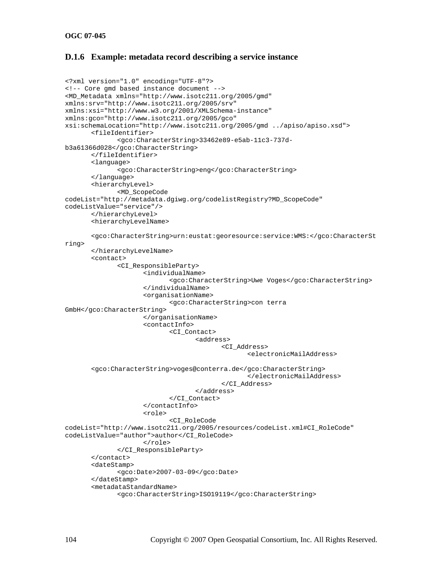#### **D.1.6 Example: metadata record describing a service instance**

```
<?xml version="1.0" encoding="UTF-8"?> 
<!-- Core gmd based instance document --> 
<MD_Metadata xmlns="http://www.isotc211.org/2005/gmd" 
xmlns:srv="http://www.isotc211.org/2005/srv" 
xmlns:xsi="http://www.w3.org/2001/XMLSchema-instance" 
xmlns:gco="http://www.isotc211.org/2005/gco" 
xsi:schemaLocation="http://www.isotc211.org/2005/gmd ../apiso/apiso.xsd"> 
        <fileIdentifier> 
               <gco:CharacterString>33462e89-e5ab-11c3-737d-
b3a61366d028</gco:CharacterString> 
        </fileIdentifier> 
        <language> 
               <gco:CharacterString>eng</gco:CharacterString> 
        </language> 
        <hierarchyLevel> 
               <MD_ScopeCode 
codeList="http://metadata.dgiwg.org/codelistRegistry?MD_ScopeCode" 
codeListValue="service"/> 
        </hierarchyLevel> 
        <hierarchyLevelName> 
        <gco:CharacterString>urn:eustat:georesource:service:WMS:</gco:CharacterSt
ring> 
        </hierarchyLevelName> 
        <contact> 
               <CI_ResponsibleParty> 
                      <individualName> 
                              <gco:CharacterString>Uwe Voges</gco:CharacterString> 
                       </individualName> 
                       <organisationName> 
                              <gco:CharacterString>con terra 
GmbH</gco:CharacterString> 
                      </organisationName> 
                       <contactInfo> 
                              <CI_Contact> 
                                     <address> 
                                            <CI_Address> 
                                                   <electronicMailAddress> 
        <gco:CharacterString>voges@conterra.de</gco:CharacterString> 
                                                    </electronicMailAddress> 
                                            </CI_Address> 
                                     </address> 
                              </CI_Contact> 
                       </contactInfo> 
                       <role> 
                              <CI_RoleCode 
codeList="http://www.isotc211.org/2005/resources/codeList.xml#CI_RoleCode" 
codeListValue="author">author</CI_RoleCode> 
                      </role> 
               </CI_ResponsibleParty> 
        </contact> 
        <dateStamp> 
               <gco:Date>2007-03-09</gco:Date> 
        </dateStamp> 
        <metadataStandardName> 
               <gco:CharacterString>ISO19119</gco:CharacterString>
```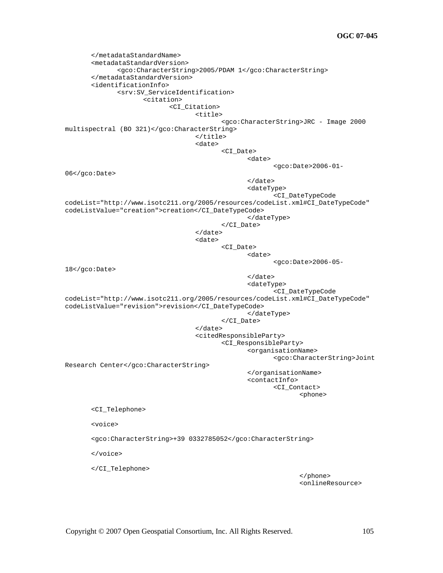```
 </metadataStandardName> 
         <metadataStandardVersion> 
                <gco:CharacterString>2005/PDAM 1</gco:CharacterString> 
         </metadataStandardVersion> 
        <identificationInfo> 
                <srv:SV_ServiceIdentification> 
                        <citation> 
                                <CI_Citation> 
                                       <title> 
                                               <gco:CharacterString>JRC - Image 2000 
multispectral (BO 321)</gco:CharacterString> 
                                        </title> 
                                        <date> 
                                               <CI_Date> 
                                                       <date> 
                                                               <gco:Date>2006-01-
06</gco:Date> 
                                                       </date> 
                                                       <dateType> 
                                                               <CI_DateTypeCode 
codeList="http://www.isotc211.org/2005/resources/codeList.xml#CI_DateTypeCode" 
codeListValue="creation">creation</CI_DateTypeCode> 
                                                       </dateType> 
                                               </CI_Date> 
                                        </date> 
                                        <date> 
                                               <CI_Date> 
and the state of the state of the state of the state of the state of the state of the state of the state of the state of the state of the state of the state of the state of the state of the state of the state of the state 
                                                               <gco:Date>2006-05-
18</gco:Date> 
                                                       </date> 
                                                       <dateType> 
                                                               <CI_DateTypeCode 
codeList="http://www.isotc211.org/2005/resources/codeList.xml#CI_DateTypeCode" 
codeListValue="revision">revision</CI_DateTypeCode> 
                                                       </dateType> 
                                               </CI_Date> 
                                        </date> 
                                        <citedResponsibleParty> 
                                               <CI_ResponsibleParty> 
                                                       <organisationName> 
                                                               <gco:CharacterString>Joint 
Research Center</gco:CharacterString> 
                                                       </organisationName> 
                                                       <contactInfo> 
                                                               <CI_Contact> 
< phone>< phone>< phone>< phone> <CI_Telephone> 
        <voice> 
        <gco:CharacterString>+39 0332785052</gco:CharacterString> 
        </voice> 
        </CI_Telephone> 
\langle \rangle /phone>
                                                                       <onlineResource>
```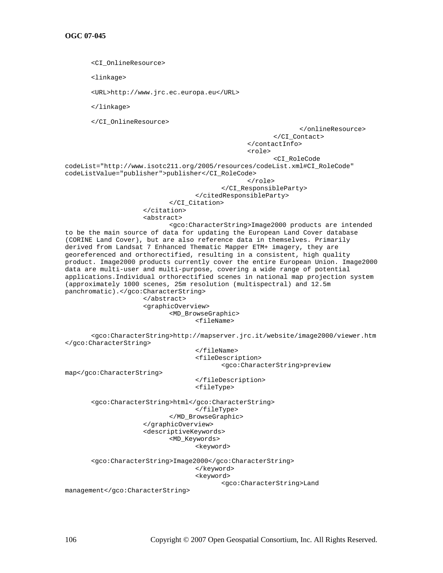<CI\_OnlineResource> <linkage> <URL>http://www.jrc.ec.europa.eu</URL> </linkage> </CI\_OnlineResource> </onlineResource> </CI\_Contact> </contactInfo> <role> <CI\_RoleCode codeList="http://www.isotc211.org/2005/resources/codeList.xml#CI\_RoleCode" codeListValue="publisher">publisher</CI\_RoleCode> </role> </CI\_ResponsibleParty> </citedResponsibleParty> </CI\_Citation> </citation> <abstract> <gco:CharacterString>Image2000 products are intended to be the main source of data for updating the European Land Cover database (CORINE Land Cover), but are also reference data in themselves. Primarily derived from Landsat 7 Enhanced Thematic Mapper ETM+ imagery, they are georeferenced and orthorectified, resulting in a consistent, high quality product. Image2000 products currently cover the entire European Union. Image2000 data are multi-user and multi-purpose, covering a wide range of potential applications.Individual orthorectified scenes in national map projection system (approximately 1000 scenes, 25m resolution (multispectral) and 12.5m panchromatic).</gco:CharacterString> </abstract> <graphicOverview> <MD\_BrowseGraphic> <fileName> <gco:CharacterString>http://mapserver.jrc.it/website/image2000/viewer.htm </gco:CharacterString> </fileName> <fileDescription> <gco:CharacterString>preview map</gco:CharacterString> </fileDescription> <fileType> <gco:CharacterString>html</gco:CharacterString> </fileType> </MD\_BrowseGraphic> </graphicOverview> <descriptiveKeywords> <MD\_Keywords> <keyword>

 <gco:CharacterString>Image2000</gco:CharacterString> </keyword> <keyword> <gco:CharacterString>Land

management</gco:CharacterString>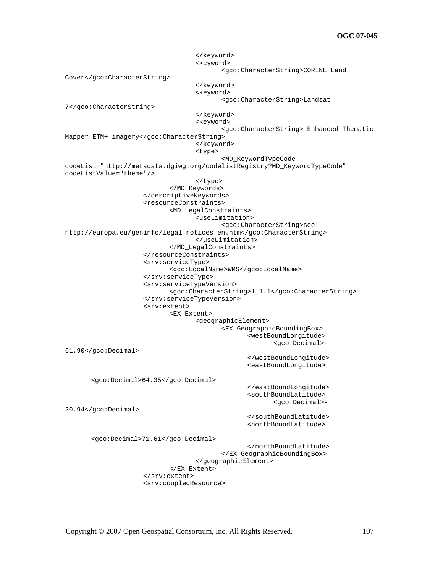</keyword> <keyword> <gco:CharacterString>CORINE Land Cover</gco:CharacterString> </keyword> <keyword> <gco:CharacterString>Landsat 7</gco:CharacterString> </keyword> <keyword> <gco:CharacterString> Enhanced Thematic Mapper ETM+ imagery</gco:CharacterString> </keyword> <type> <MD\_KeywordTypeCode codeList="http://metadata.dgiwg.org/codelistRegistry?MD\_KeywordTypeCode" codeListValue="theme"/> </type> </MD\_Keywords> </descriptiveKeywords> <resourceConstraints> <MD\_LegalConstraints> <useLimitation> <gco:CharacterString>see: http://europa.eu/geninfo/legal\_notices\_en.htm</gco:CharacterString> </useLimitation> </MD\_LegalConstraints> </resourceConstraints> <srv:serviceType> <gco:LocalName>WMS</gco:LocalName> </srv:serviceType> <srv:serviceTypeVersion> <gco:CharacterString>1.1.1</gco:CharacterString> </srv:serviceTypeVersion> <srv:extent> <EX\_Extent> <geographicElement> <EX\_GeographicBoundingBox> <westBoundLongitude> <gco:Decimal>- 61.90</gco:Decimal> </westBoundLongitude> <eastBoundLongitude> <gco:Decimal>64.35</gco:Decimal> </eastBoundLongitude> <southBoundLatitude> <gco:Decimal>- 20.94</gco:Decimal> </southBoundLatitude> <northBoundLatitude> <gco:Decimal>71.61</gco:Decimal> </northBoundLatitude> </EX\_GeographicBoundingBox> </geographicElement> </EX\_Extent> </srv:extent> <srv:coupledResource>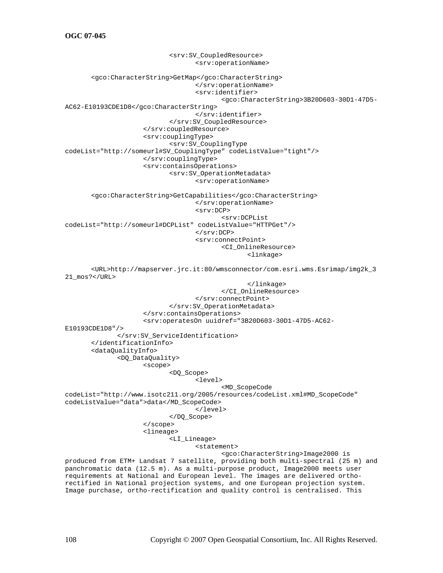<srv:SV\_CoupledResource> <srv:operationName> <gco:CharacterString>GetMap</gco:CharacterString> </srv:operationName> <srv:identifier> <gco:CharacterString>3B20D603-30D1-47D5- AC62-E10193CDE1D8</gco:CharacterString> </srv:identifier> </srv:SV\_CoupledResource> </srv:coupledResource> <srv:couplingType> <srv:SV\_CouplingType codeList="http://someurl#SV\_CouplingType" codeListValue="tight"/> </srv:couplingType> <srv:containsOperations> <srv:SV\_OperationMetadata> <srv:operationName> <gco:CharacterString>GetCapabilities</gco:CharacterString> </srv:operationName> <srv:DCP> <srv:DCPList codeList="http://someurl#DCPList" codeListValue="HTTPGet"/> </srv:DCP> <srv:connectPoint> <CI\_OnlineResource> <linkage> <URL>http://mapserver.jrc.it:80/wmsconnector/com.esri.wms.Esrimap/img2k\_3 21\_mos?</URL> </linkage> </CI\_OnlineResource> </srv:connectPoint> </srv:SV\_OperationMetadata> </srv:containsOperations> <srv:operatesOn uuidref="3B20D603-30D1-47D5-AC62- E10193CDE1D8"/> </srv:SV\_ServiceIdentification> </identificationInfo> <dataQualityInfo> <DQ\_DataQuality> <scope> <DQ\_Scope> <level> <MD\_ScopeCode codeList="http://www.isotc211.org/2005/resources/codeList.xml#MD\_ScopeCode" codeListValue="data">data</MD\_ScopeCode> </level> </DQ\_Scope> </scope> <lineage> <LI\_Lineage> <statement> <gco:CharacterString>Image2000 is produced from ETM+ Landsat 7 satellite, providing both multi-spectral (25 m) and panchromatic data (12.5 m). As a multi-purpose product, Image2000 meets user requirements at National and European level. The images are delivered orthorectified in National projection systems, and one European projection system. Image purchase, ortho-rectification and quality control is centralised. This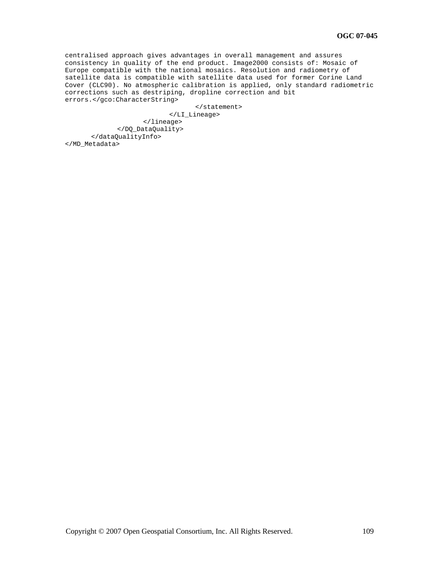centralised approach gives advantages in overall management and assures consistency in quality of the end product. Image2000 consists of: Mosaic of Europe compatible with the national mosaics. Resolution and radiometry of satellite data is compatible with satellite data used for former Corine Land Cover (CLC90). No atmospheric calibration is applied, only standard radiometric corrections such as destriping, dropline correction and bit errors.</gco:CharacterString>

</statement>

 </LI\_Lineage> </lineage> </DQ\_DataQuality> </dataQualityInfo> </MD\_Metadata>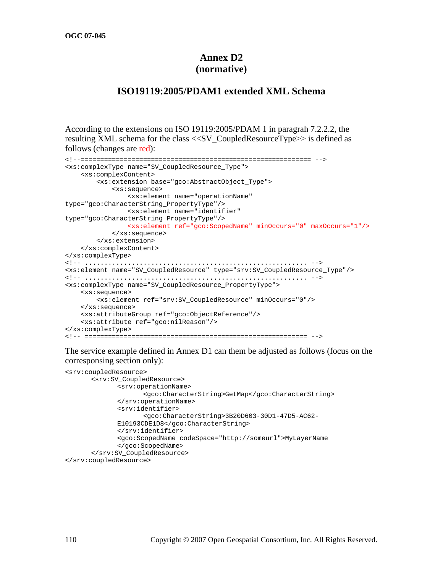## **Annex D2 (normative)**

### **ISO19119:2005/PDAM1 extended XML Schema**

According to the extensions on ISO 19119:2005/PDAM 1 in paragrah 7.2.2.2, the resulting XML schema for the class <<SV\_CoupledResourceType>> is defined as follows (changes are red):

```
<!--=========================================================== --> 
<xs:complexType name="SV_CoupledResource_Type"> 
     <xs:complexContent> 
         <xs:extension base="gco:AbstractObject_Type"> 
             <xs:sequence> 
                 <xs:element name="operationName" 
type="gco:CharacterString_PropertyType"/> 
                 <xs:element name="identifier" 
type="gco:CharacterString_PropertyType"/> 
                 <xs:element ref="gco:ScopedName" minOccurs="0" maxOccurs="1"/> 
             </xs:sequence> 
         </xs:extension> 
     </xs:complexContent> 
</xs:complexType> 
<!-- ......................................................... --> 
<xs:element name="SV_CoupledResource" type="srv:SV_CoupledResource_Type"/> 
<!-- ......................................................... --> 
<xs:complexType name="SV_CoupledResource_PropertyType"> 
     <xs:sequence> 
         <xs:element ref="srv:SV_CoupledResource" minOccurs="0"/> 
     </xs:sequence> 
     <xs:attributeGroup ref="gco:ObjectReference"/> 
     <xs:attribute ref="gco:nilReason"/> 
</xs:complexType> 
<!-- ========================================================= -->
```
The service example defined in Annex D1 can them be adjusted as follows (focus on the corresponsing section only):

```
<srv:coupledResource> 
        <srv:SV_CoupledResource> 
               <srv:operationName> 
                      <gco:CharacterString>GetMap</gco:CharacterString> 
               </srv:operationName> 
               <srv:identifier> 
                     <gco:CharacterString>3B20D603-30D1-47D5-AC62-
              E10193CDE1D8</gco:CharacterString> 
               </srv:identifier> 
               <gco:ScopedName codeSpace="http://someurl">MyLayerName 
              </gco:ScopedName> 
        </srv:SV_CoupledResource> 
</srv:coupledResource>
```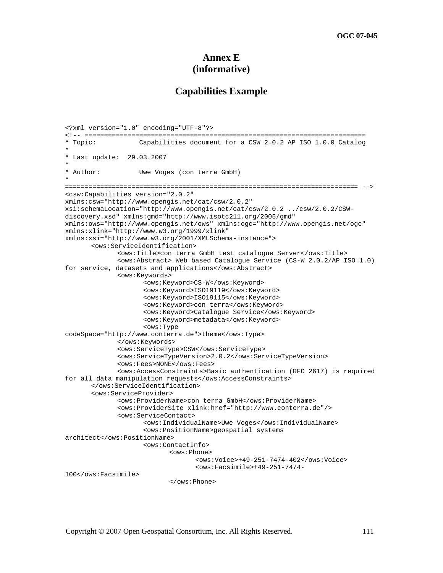### **Annex E (informative)**

### **Capabilities Example**

```
<?xml version="1.0" encoding="UTF-8"?> 
<!-- ======================================================================== 
* Topic: Capabilities document for a CSW 2.0.2 AP ISO 1.0.0 Catalog 
* 
* Last update: 29.03.2007 
* 
* Author: Uwe Voges (con terra GmbH) 
* 
=========================================================================== --> 
<csw:Capabilities version="2.0.2" 
xmlns:csw="http://www.opengis.net/cat/csw/2.0.2" 
xsi:schemaLocation="http://www.opengis.net/cat/csw/2.0.2 ../csw/2.0.2/CSW-
discovery.xsd" xmlns:gmd="http://www.isotc211.org/2005/gmd" 
xmlns:ows="http://www.opengis.net/ows" xmlns:ogc="http://www.opengis.net/ogc" 
xmlns:xlink="http://www.w3.org/1999/xlink" 
xmlns:xsi="http://www.w3.org/2001/XMLSchema-instance"> 
        <ows:ServiceIdentification> 
               <ows:Title>con terra GmbH test catalogue Server</ows:Title> 
               <ows:Abstract> Web based Catalogue Service (CS-W 2.0.2/AP ISO 1.0) 
for service, datasets and applications</ows:Abstract> 
               <ows:Keywords> 
                      <ows:Keyword>CS-W</ows:Keyword> 
                      <ows:Keyword>ISO19119</ows:Keyword> 
                      <ows:Keyword>ISO19115</ows:Keyword> 
                      <ows:Keyword>con terra</ows:Keyword> 
                      <ows:Keyword>Catalogue Service</ows:Keyword> 
                      <ows:Keyword>metadata</ows:Keyword> 
                      <ows:Type 
codeSpace="http://www.conterra.de">theme</ows:Type> 
               </ows:Keywords> 
               <ows:ServiceType>CSW</ows:ServiceType> 
               <ows:ServiceTypeVersion>2.0.2</ows:ServiceTypeVersion> 
               <ows:Fees>NONE</ows:Fees> 
               <ows:AccessConstraints>Basic authentication (RFC 2617) is required 
for all data manipulation requests</ows:AccessConstraints> 
        </ows:ServiceIdentification> 
        <ows:ServiceProvider> 
               <ows:ProviderName>con terra GmbH</ows:ProviderName> 
               <ows:ProviderSite xlink:href="http://www.conterra.de"/> 
               <ows:ServiceContact> 
                      <ows:IndividualName>Uwe Voges</ows:IndividualName> 
                      <ows:PositionName>geospatial systems 
architect</ows:PositionName> 
                      <ows:ContactInfo> 
                            <ows:Phone> 
                                    <ows:Voice>+49-251-7474-402</ows:Voice> 
                                    <ows:Facsimile>+49-251-7474-
100</ows:Facsimile> 
                            </ows:Phone>
```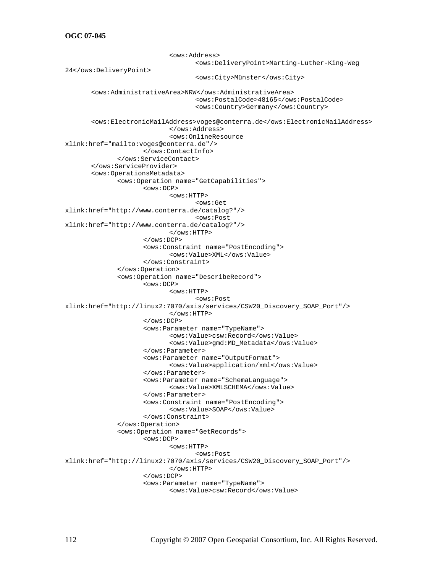<ows:Address> <ows:DeliveryPoint>Marting-Luther-King-Weg 24</ows:DeliveryPoint> <ows:City>Münster</ows:City> <ows:AdministrativeArea>NRW</ows:AdministrativeArea> <ows:PostalCode>48165</ows:PostalCode> <ows:Country>Germany</ows:Country> <ows:ElectronicMailAddress>voges@conterra.de</ows:ElectronicMailAddress> </ows:Address> <ows:OnlineResource xlink:href="mailto:voges@conterra.de"/> </ows:ContactInfo> </ows:ServiceContact> </ows:ServiceProvider> <ows:OperationsMetadata> <ows:Operation name="GetCapabilities"> <ows:DCP> <ows:HTTP> <ows:Get xlink:href="http://www.conterra.de/catalog?"/> <ows:Post xlink:href="http://www.conterra.de/catalog?"/> </ows:HTTP> </ows:DCP> <ows:Constraint name="PostEncoding"> <ows:Value>XML</ows:Value> </ows:Constraint> </ows:Operation> <ows:Operation name="DescribeRecord"> <ows:DCP> <ows:HTTP> <ows:Post xlink:href="http://linux2:7070/axis/services/CSW20\_Discovery\_SOAP\_Port"/> </ows:HTTP> </ows:DCP> <ows:Parameter name="TypeName"> <ows:Value>csw:Record</ows:Value> <ows:Value>gmd:MD\_Metadata</ows:Value> </ows:Parameter> <ows:Parameter name="OutputFormat"> <ows:Value>application/xml</ows:Value> </ows:Parameter> <ows:Parameter name="SchemaLanguage"> <ows:Value>XMLSCHEMA</ows:Value> </ows:Parameter> <ows:Constraint name="PostEncoding"> <ows:Value>SOAP</ows:Value> </ows:Constraint> </ows:Operation> <ows:Operation name="GetRecords"> <ows:DCP>  $<$ ows: $HTTP$ > <ows:Post xlink:href="http://linux2:7070/axis/services/CSW20\_Discovery\_SOAP\_Port"/> </ows:HTTP> </ows:DCP> <ows:Parameter name="TypeName"> <ows:Value>csw:Record</ows:Value>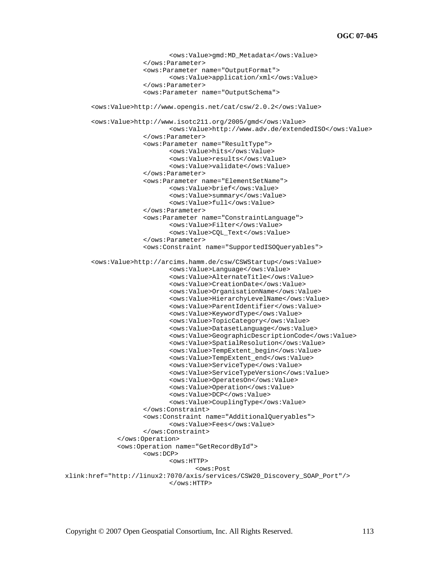```
 <ows:Value>gmd:MD_Metadata</ows:Value> 
                      </ows:Parameter> 
                      <ows:Parameter name="OutputFormat"> 
                             <ows:Value>application/xml</ows:Value> 
                      </ows:Parameter> 
                      <ows:Parameter name="OutputSchema"> 
        <ows:Value>http://www.opengis.net/cat/csw/2.0.2</ows:Value> 
        <ows:Value>http://www.isotc211.org/2005/gmd</ows:Value> 
                             <ows:Value>http://www.adv.de/extendedISO</ows:Value> 
                      </ows:Parameter> 
                      <ows:Parameter name="ResultType"> 
                             <ows:Value>hits</ows:Value> 
                             <ows:Value>results</ows:Value> 
                             <ows:Value>validate</ows:Value> 
                      </ows:Parameter> 
                      <ows:Parameter name="ElementSetName"> 
                             <ows:Value>brief</ows:Value> 
                             <ows:Value>summary</ows:Value> 
                             <ows:Value>full</ows:Value> 
                      </ows:Parameter> 
                      <ows:Parameter name="ConstraintLanguage"> 
                             <ows:Value>Filter</ows:Value> 
                              <ows:Value>CQL_Text</ows:Value> 
                      </ows:Parameter> 
                      <ows:Constraint name="SupportedISOQueryables"> 
        <ows:Value>http://arcims.hamm.de/csw/CSWStartup</ows:Value> 
                             <ows:Value>Language</ows:Value> 
                             <ows:Value>AlternateTitle</ows:Value> 
                             <ows:Value>CreationDate</ows:Value> 
                             <ows:Value>OrganisationName</ows:Value> 
                             <ows:Value>HierarchyLevelName</ows:Value> 
                             <ows:Value>ParentIdentifier</ows:Value> 
                             <ows:Value>KeywordType</ows:Value> 
                             <ows:Value>TopicCategory</ows:Value> 
                             <ows:Value>DatasetLanguage</ows:Value> 
                             <ows:Value>GeographicDescriptionCode</ows:Value> 
                             <ows:Value>SpatialResolution</ows:Value> 
                             <ows:Value>TempExtent_begin</ows:Value> 
                             <ows:Value>TempExtent_end</ows:Value> 
                             <ows:Value>ServiceType</ows:Value> 
                             <ows:Value>ServiceTypeVersion</ows:Value> 
                             <ows:Value>OperatesOn</ows:Value> 
                             <ows:Value>Operation</ows:Value> 
                             <ows:Value>DCP</ows:Value> 
                             <ows:Value>CouplingType</ows:Value> 
                      </ows:Constraint> 
                      <ows:Constraint name="AdditionalQueryables"> 
                             <ows:Value>Fees</ows:Value> 
                      </ows:Constraint> 
               </ows:Operation> 
               <ows:Operation name="GetRecordById"> 
                      <ows:DCP> 
                            <ows:HTTP>
                                     <ows:Post 
xlink:href="http://linux2:7070/axis/services/CSW20_Discovery_SOAP_Port"/> 
                             </ows:HTTP>
```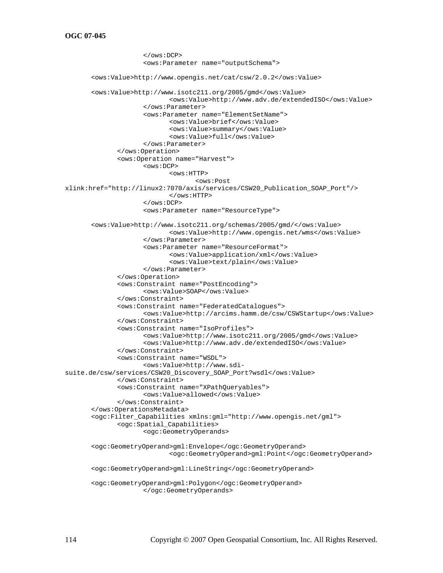```
 </ows:DCP> 
                      <ows:Parameter name="outputSchema"> 
        <ows:Value>http://www.opengis.net/cat/csw/2.0.2</ows:Value> 
        <ows:Value>http://www.isotc211.org/2005/gmd</ows:Value> 
                             <ows:Value>http://www.adv.de/extendedISO</ows:Value> 
                      </ows:Parameter> 
                      <ows:Parameter name="ElementSetName"> 
                             <ows:Value>brief</ows:Value> 
                             <ows:Value>summary</ows:Value> 
                             <ows:Value>full</ows:Value> 
                      </ows:Parameter> 
               </ows:Operation> 
               <ows:Operation name="Harvest"> 
                      <ows:DCP> 
                            <ows:HTTP>
                                    <ows:Post 
xlink:href="http://linux2:7070/axis/services/CSW20_Publication_SOAP_Port"/> 
                             </ows:HTTP> 
                      </ows:DCP> 
                      <ows:Parameter name="ResourceType"> 
        <ows:Value>http://www.isotc211.org/schemas/2005/gmd/</ows:Value> 
                             <ows:Value>http://www.opengis.net/wms</ows:Value> 
                      </ows:Parameter> 
                      <ows:Parameter name="ResourceFormat"> 
                             <ows:Value>application/xml</ows:Value> 
                             <ows:Value>text/plain</ows:Value> 
                      </ows:Parameter> 
               </ows:Operation> 
               <ows:Constraint name="PostEncoding"> 
                      <ows:Value>SOAP</ows:Value> 
               </ows:Constraint> 
               <ows:Constraint name="FederatedCatalogues"> 
                      <ows:Value>http://arcims.hamm.de/csw/CSWStartup</ows:Value> 
               </ows:Constraint> 
               <ows:Constraint name="IsoProfiles"> 
                      <ows:Value>http://www.isotc211.org/2005/gmd</ows:Value> 
                      <ows:Value>http://www.adv.de/extendedISO</ows:Value> 
               </ows:Constraint> 
               <ows:Constraint name="WSDL"> 
                      <ows:Value>http://www.sdi-
suite.de/csw/services/CSW20_Discovery_SOAP_Port?wsdl</ows:Value> 
               </ows:Constraint> 
               <ows:Constraint name="XPathQueryables"> 
                      <ows:Value>allowed</ows:Value> 
               </ows:Constraint> 
        </ows:OperationsMetadata> 
        <ogc:Filter_Capabilities xmlns:gml="http://www.opengis.net/gml"> 
               <ogc:Spatial_Capabilities> 
                      <ogc:GeometryOperands> 
        <ogc:GeometryOperand>gml:Envelope</ogc:GeometryOperand> 
                             <ogc:GeometryOperand>gml:Point</ogc:GeometryOperand> 
        <ogc:GeometryOperand>gml:LineString</ogc:GeometryOperand> 
        <ogc:GeometryOperand>gml:Polygon</ogc:GeometryOperand> 
                      </ogc:GeometryOperands>
```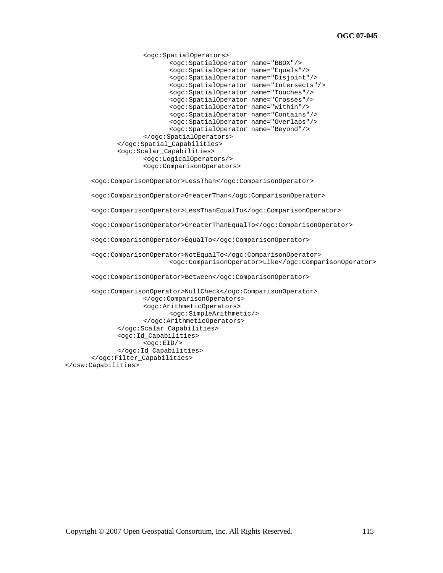```
 <ogc:SpatialOperators> 
               <ogc:SpatialOperator name="BBOX"/> 
               <ogc:SpatialOperator name="Equals"/> 
               <ogc:SpatialOperator name="Disjoint"/> 
               <ogc:SpatialOperator name="Intersects"/> 
               <ogc:SpatialOperator name="Touches"/> 
               <ogc:SpatialOperator name="Crosses"/> 
               <ogc:SpatialOperator name="Within"/> 
               <ogc:SpatialOperator name="Contains"/> 
               <ogc:SpatialOperator name="Overlaps"/> 
               <ogc:SpatialOperator name="Beyond"/> 
        </ogc:SpatialOperators> 
 </ogc:Spatial_Capabilities> 
 <ogc:Scalar_Capabilities> 
        <ogc:LogicalOperators/> 
        <ogc:ComparisonOperators>
```
<ogc:ComparisonOperator>LessThan</ogc:ComparisonOperator>

<ogc:ComparisonOperator>GreaterThan</ogc:ComparisonOperator>

<ogc:ComparisonOperator>LessThanEqualTo</ogc:ComparisonOperator>

<ogc:ComparisonOperator>GreaterThanEqualTo</ogc:ComparisonOperator>

<ogc:ComparisonOperator>EqualTo</ogc:ComparisonOperator>

 <ogc:ComparisonOperator>NotEqualTo</ogc:ComparisonOperator> <ogc:ComparisonOperator>Like</ogc:ComparisonOperator>

<ogc:ComparisonOperator>Between</ogc:ComparisonOperator>

 <ogc:ComparisonOperator>NullCheck</ogc:ComparisonOperator> </ogc:ComparisonOperators> <ogc:ArithmeticOperators> <ogc:SimpleArithmetic/> </ogc:ArithmeticOperators> </ogc:Scalar\_Capabilities> <ogc:Id\_Capabilities>  $<$ ogc: $EID$  $>$  </ogc:Id\_Capabilities> </ogc:Filter\_Capabilities> </csw:Capabilities>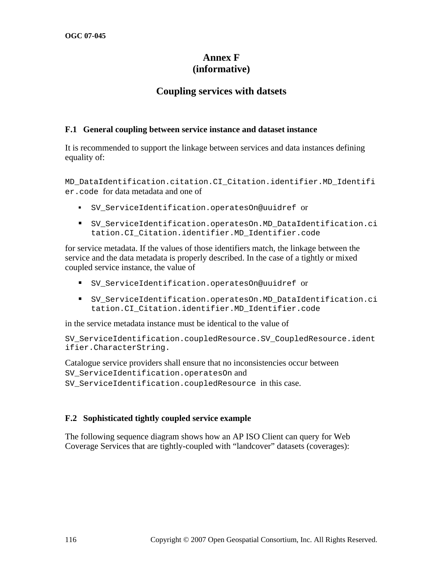## **Annex F (informative)**

## **Coupling services with datsets**

### **F.1 General coupling between service instance and dataset instance**

It is recommended to support the linkage between services and data instances defining equality of:

MD\_DataIdentification.citation.CI\_Citation.identifier.MD\_Identifi er.code for data metadata and one of

- SV\_ServiceIdentification.operatesOn@uuidref or
- SV\_ServiceIdentification.operatesOn.MD\_DataIdentification.ci tation.CI\_Citation.identifier.MD\_Identifier.code

for service metadata. If the values of those identifiers match, the linkage between the service and the data metadata is properly described. In the case of a tightly or mixed coupled service instance, the value of

- SV\_ServiceIdentification.operatesOn@uuidref or
- SV\_ServiceIdentification.operatesOn.MD\_DataIdentification.ci tation.CI\_Citation.identifier.MD\_Identifier.code

in the service metadata instance must be identical to the value of

SV ServiceIdentification.coupledResource.SV CoupledResource.ident ifier.CharacterString.

Catalogue service providers shall ensure that no inconsistencies occur between SV\_ServiceIdentification.operatesOn and SV ServiceIdentification.coupledResource in this case.

### **F.2 Sophisticated tightly coupled service example**

The following sequence diagram shows how an AP ISO Client can query for Web Coverage Services that are tightly-coupled with "landcover" datasets (coverages):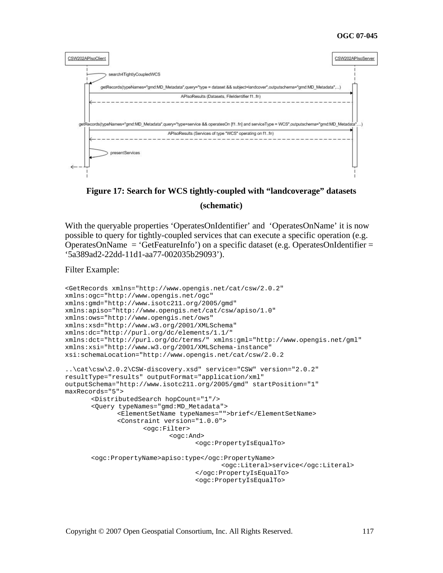

# **Figure 17: Search for WCS tightly-coupled with "landcoverage" datasets (schematic)**

With the queryable properties 'OperatesOnIdentifier' and 'OperatesOnName' it is now possible to query for tightly-coupled services that can execute a specific operation (e.g. OperatesOnName = 'GetFeatureInfo') on a specific dataset (e.g. OperatesOnIdentifier = '5a389ad2-22dd-11d1-aa77-002035b29093').

Filter Example:

```
<GetRecords xmlns="http://www.opengis.net/cat/csw/2.0.2" 
xmlns:ogc="http://www.opengis.net/ogc" 
xmlns:gmd="http://www.isotc211.org/2005/gmd" 
xmlns:apiso="http://www.opengis.net/cat/csw/apiso/1.0" 
xmlns:ows="http://www.opengis.net/ows" 
xmlns:xsd="http://www.w3.org/2001/XMLSchema" 
xmlns:dc="http://purl.org/dc/elements/1.1/" 
xmlns:dct="http://purl.org/dc/terms/" xmlns:gml="http://www.opengis.net/gml" 
xmlns:xsi="http://www.w3.org/2001/XMLSchema-instance" 
xsi:schemaLocation="http://www.opengis.net/cat/csw/2.0.2 
..\cat\csw\2.0.2\CSW-discovery.xsd" service="CSW" version="2.0.2" 
resultType="results" outputFormat="application/xml" 
outputSchema="http://www.isotc211.org/2005/gmd" startPosition="1" 
maxRecords="5"> 
        <DistributedSearch hopCount="1"/> 
        <Query typeNames="gmd:MD_Metadata"> 
               <ElementSetName typeNames="">brief</ElementSetName> 
               <Constraint version="1.0.0"> 
                      <ogc:Filter> 
                             <ogc:And> 
                                    <ogc:PropertyIsEqualTo> 
        <ogc:PropertyName>apiso:type</ogc:PropertyName> 
                                           <ogc:Literal>service</ogc:Literal> 
                                    </ogc:PropertyIsEqualTo> 
                                    <ogc:PropertyIsEqualTo>
```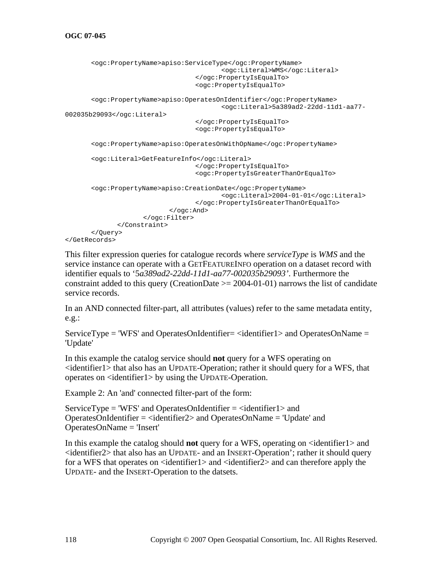```
 <ogc:PropertyName>apiso:ServiceType</ogc:PropertyName> 
                                           <ogc:Literal>WMS</ogc:Literal> 
                                    </ogc:PropertyIsEqualTo> 
                                    <ogc:PropertyIsEqualTo> 
        <ogc:PropertyName>apiso:OperatesOnIdentifier</ogc:PropertyName> 
                                           <ogc:Literal>5a389ad2-22dd-11d1-aa77-
002035b29093</ogc:Literal> 
                                    </ogc:PropertyIsEqualTo> 
                                    <ogc:PropertyIsEqualTo> 
        <ogc:PropertyName>apiso:OperatesOnWithOpName</ogc:PropertyName> 
        <ogc:Literal>GetFeatureInfo</ogc:Literal> 
                                    </ogc:PropertyIsEqualTo> 
                                    <ogc:PropertyIsGreaterThanOrEqualTo> 
        <ogc:PropertyName>apiso:CreationDate</ogc:PropertyName> 
                                           <ogc:Literal>2004-01-01</ogc:Literal> 
                                    </ogc:PropertyIsGreaterThanOrEqualTo> 
                             </ogc:And> 
                      </ogc:Filter> 
               </Constraint> 
        </Query> 
</GetRecords>
```
This filter expression queries for catalogue records where *serviceType* is *WMS* and the service instance can operate with a GETFEATUREINFO operation on a dataset record with identifier equals to '5*a389ad2-22dd-11d1-aa77-002035b29093'*. Furthermore the constraint added to this query (CreationDate  $\geq$  2004-01-01) narrows the list of candidate service records.

In an AND connected filter-part, all attributes (values) refer to the same metadata entity, e.g.:

ServiceType = 'WFS' and OperatesOnIdentifier= <identifier1> and OperatesOnName = 'Update'

In this example the catalog service should **not** query for a WFS operating on  $\le$ identifier1 $>$  that also has an UPDATE-Operation; rather it should query for a WFS, that operates on <identifier1> by using the UPDATE-Operation.

Example 2: An 'and' connected filter-part of the form:

 $ServiceType = 'WFS'$  and OperatesOnIdentifier =  $\langle$ identifier1> and OperatesOnIdentifier = <identifier2> and OperatesOnName = 'Update' and OperatesOnName = 'Insert'

In this example the catalog should **not** query for a WFS, operating on  $\leq$  dentifier1 $>$  and <identifier2> that also has an UPDATE- and an INSERT-Operation'; rather it should query for a WFS that operates on  $\le$  dentifier  $1$  > and  $\le$  dentifier  $2$  > and can therefore apply the UPDATE- and the INSERT-Operation to the datsets.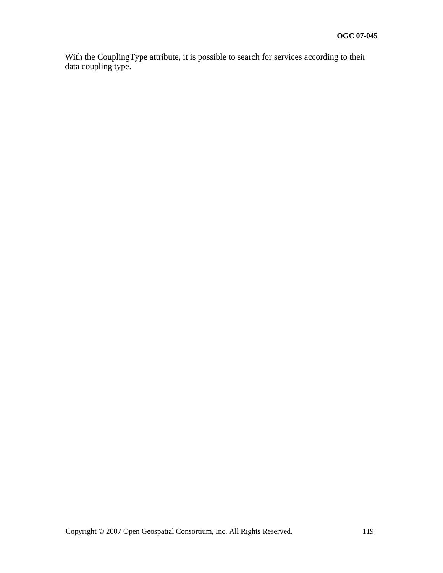With the CouplingType attribute, it is possible to search for services according to their data coupling type.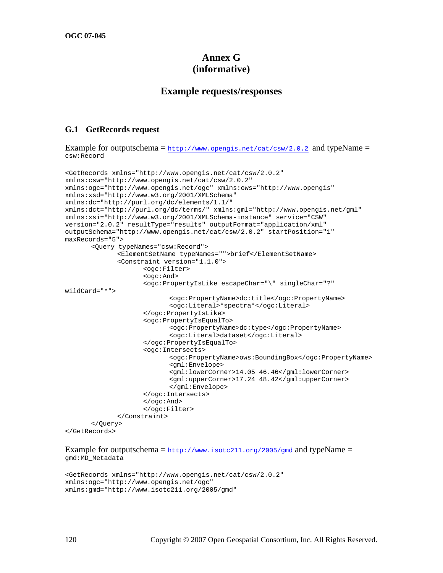## **Annex G (informative)**

### **Example requests/responses**

#### **G.1 GetRecords request**

Example for outputschema =  $h_{\text{t}}$ ://www.opengis.net/cat/csw/2.0.2 and typeName = csw:Record

```
<GetRecords xmlns="http://www.opengis.net/cat/csw/2.0.2" 
xmlns:csw="http://www.opengis.net/cat/csw/2.0.2" 
xmlns:ogc="http://www.opengis.net/ogc" xmlns:ows="http://www.opengis" 
xmlns:xsd="http://www.w3.org/2001/XMLSchema" 
xmlns:dc="http://purl.org/dc/elements/1.1/" 
xmlns:dct="http://purl.org/dc/terms/" xmlns:gml="http://www.opengis.net/gml" 
xmlns:xsi="http://www.w3.org/2001/XMLSchema-instance" service="CSW" 
version="2.0.2" resultType="results" outputFormat="application/xml" 
outputSchema="http://www.opengis.net/cat/csw/2.0.2" startPosition="1" 
maxRecords="5"> 
        <Query typeNames="csw:Record"> 
               <ElementSetName typeNames="">brief</ElementSetName> 
               <Constraint version="1.1.0"> 
                      <ogc:Filter> 
                      <ogc:And> 
                      <ogc:PropertyIsLike escapeChar="\" singleChar="?" 
wildCard="*"> 
                             <ogc:PropertyName>dc:title</ogc:PropertyName> 
                             <ogc:Literal>*spectra*</ogc:Literal> 
                      </ogc:PropertyIsLike> 
                      <ogc:PropertyIsEqualTo> 
                             <ogc:PropertyName>dc:type</ogc:PropertyName> 
                             <ogc:Literal>dataset</ogc:Literal> 
                      </ogc:PropertyIsEqualTo> 
                      <ogc:Intersects> 
                             <ogc:PropertyName>ows:BoundingBox</ogc:PropertyName> 
                             <gml:Envelope> 
                             <gml:lowerCorner>14.05 46.46</gml:lowerCorner> 
                             <gml:upperCorner>17.24 48.42</gml:upperCorner> 
                             </gml:Envelope> 
                      </ogc:Intersects> 
                      </ogc:And> 
                      </ogc:Filter> 
               </Constraint> 
        </Query> 
</GetRecords>
```
Example for outputschema =  $\frac{h_t}{v}$ /www.isotc211.org/2005/gmd and typeName = gmd:MD\_Metadata

```
<GetRecords xmlns="http://www.opengis.net/cat/csw/2.0.2" 
xmlns:ogc="http://www.opengis.net/ogc" 
xmlns:gmd="http://www.isotc211.org/2005/gmd"
```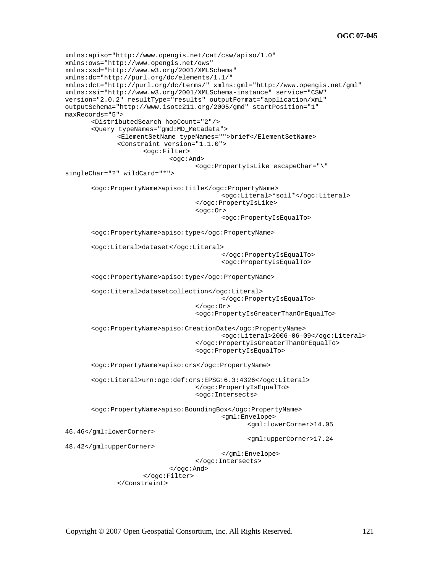```
xmlns:apiso="http://www.opengis.net/cat/csw/apiso/1.0" 
xmlns:ows="http://www.opengis.net/ows" 
xmlns:xsd="http://www.w3.org/2001/XMLSchema" 
xmlns:dc="http://purl.org/dc/elements/1.1/" 
xmlns:dct="http://purl.org/dc/terms/" xmlns:gml="http://www.opengis.net/gml" 
xmlns:xsi="http://www.w3.org/2001/XMLSchema-instance" service="CSW" 
version="2.0.2" resultType="results" outputFormat="application/xml" 
outputSchema="http://www.isotc211.org/2005/gmd" startPosition="1" 
maxRecords="5"> 
        <DistributedSearch hopCount="2"/> 
        <Query typeNames="gmd:MD_Metadata"> 
               <ElementSetName typeNames="">brief</ElementSetName> 
               <Constraint version="1.1.0"> 
                      <ogc:Filter> 
                             <ogc:And> 
                                    <ogc:PropertyIsLike escapeChar="\" 
singleChar="?" wildCard="*"> 
        <ogc:PropertyName>apiso:title</ogc:PropertyName> 
                                            <ogc:Literal>*soil*</ogc:Literal> 
                                    </ogc:PropertyIsLike> 
                                     <ogc:Or> 
                                            <ogc:PropertyIsEqualTo> 
        <ogc:PropertyName>apiso:type</ogc:PropertyName> 
        <ogc:Literal>dataset</ogc:Literal> 
                                            </ogc:PropertyIsEqualTo> 
                                            <ogc:PropertyIsEqualTo> 
        <ogc:PropertyName>apiso:type</ogc:PropertyName> 
        <ogc:Literal>datasetcollection</ogc:Literal> 
                                            </ogc:PropertyIsEqualTo> 
                                     </ogc:Or> 
                                    <ogc:PropertyIsGreaterThanOrEqualTo> 
        <ogc:PropertyName>apiso:CreationDate</ogc:PropertyName> 
                                            <ogc:Literal>2006-06-09</ogc:Literal> 
                                     </ogc:PropertyIsGreaterThanOrEqualTo> 
                                    <ogc:PropertyIsEqualTo> 
        <ogc:PropertyName>apiso:crs</ogc:PropertyName> 
        <ogc:Literal>urn:ogc:def:crs:EPSG:6.3:4326</ogc:Literal> 
                                    </ogc:PropertyIsEqualTo> 
                                    <ogc:Intersects> 
        <ogc:PropertyName>apiso:BoundingBox</ogc:PropertyName> 
                                            <gml:Envelope> 
                                                   <gml:lowerCorner>14.05 
46.46</gml:lowerCorner> 
                                                   <gml:upperCorner>17.24 
48.42</gml:upperCorner> 
                                            </gml:Envelope> 
                                    </ogc:Intersects> 
                             </ogc:And> 
                      </ogc:Filter> 
               </Constraint>
```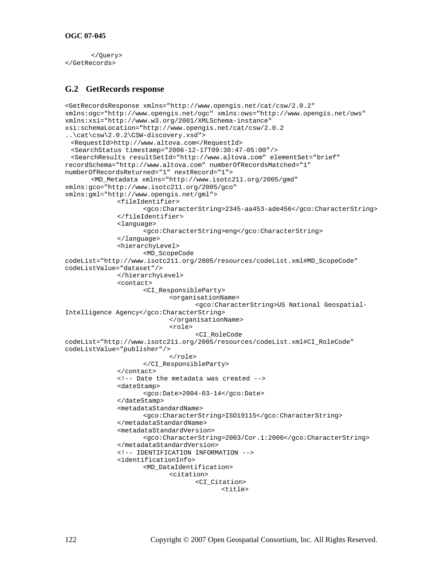#### **OGC 07-045**

```
 </Query> 
</GetRecords>
```
### **G.2 GetRecords response**

```
<GetRecordsResponse xmlns="http://www.opengis.net/cat/csw/2.0.2" 
xmlns:ogc="http://www.opengis.net/ogc" xmlns:ows="http://www.opengis.net/ows" 
xmlns:xsi="http://www.w3.org/2001/XMLSchema-instance" 
xsi:schemaLocation="http://www.opengis.net/cat/csw/2.0.2 
..\cat\csw\2.0.2\CSW-discovery.xsd"> 
  <RequestId>http://www.altova.com</RequestId> 
  <SearchStatus timestamp="2006-12-17T09:30:47-05:00"/> 
  <SearchResults resultSetId="http://www.altova.com" elementSet="brief" 
recordSchema="http://www.altova.com" numberOfRecordsMatched="1" 
numberOfRecordsReturned="1" nextRecord="1"> 
        <MD_Metadata xmlns="http://www.isotc211.org/2005/gmd" 
xmlns:gco="http://www.isotc211.org/2005/gco" 
xmlns:gml="http://www.opengis.net/gml"> 
               <fileIdentifier> 
                      <gco:CharacterString>2345-aa453-ade456</gco:CharacterString> 
               </fileIdentifier> 
               <language> 
                      <gco:CharacterString>eng</gco:CharacterString> 
               </language> 
               <hierarchyLevel> 
                      <MD_ScopeCode 
codeList="http://www.isotc211.org/2005/resources/codeList.xml#MD_ScopeCode" 
codeListValue="dataset"/> 
               </hierarchyLevel> 
               <contact> 
                      <CI_ResponsibleParty> 
                             <organisationName> 
                                    <gco:CharacterString>US National Geospatial-
Intelligence Agency</gco:CharacterString> 
                             </organisationName> 
                             <role> 
                                     <CI_RoleCode 
codeList="http://www.isotc211.org/2005/resources/codeList.xml#CI_RoleCode" 
codeListValue="publisher"/> 
                             </role> 
                      </CI_ResponsibleParty> 
               </contact> 
               <!-- Date the metadata was created --> 
               <dateStamp> 
                      <gco:Date>2004-03-14</gco:Date> 
               </dateStamp> 
               <metadataStandardName> 
                      <gco:CharacterString>ISO19115</gco:CharacterString> 
               </metadataStandardName> 
               <metadataStandardVersion> 
                      <gco:CharacterString>2003/Cor.1:2006</gco:CharacterString> 
               </metadataStandardVersion> 
               <!-- IDENTIFICATION INFORMATION --> 
               <identificationInfo> 
                      <MD_DataIdentification> 
                             <citation> 
                                    <CI_Citation> 
                                            <title>
```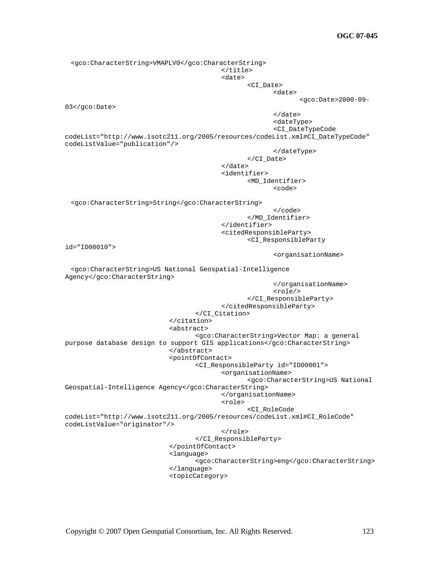**OGC 07-045**

 <gco:CharacterString>VMAPLV0</gco:CharacterString> </title> and the contract of the contract of the contract of the contract of the contract of the contract of the contract of the contract of the contract of the contract of the contract of the contract of the contract of the contra <CI\_Date> where the contract of the contract of the contract of the contract of the contract of the contract of the contract of the contract of the contract of the contract of the contract of the contract of the contract of the cont <gco:Date>2000-09- 03</gco:Date>  $\langle$ date> <dateType> <CI\_DateTypeCode codeList="http://www.isotc211.org/2005/resources/codeList.xml#CI\_DateTypeCode" codeListValue="publication"/> </dateType> </CI\_Date> </date> <identifier> <MD\_Identifier> <code></code> <gco:CharacterString>String</gco:CharacterString>  $\langle \cosh \theta \rangle$  /  $\cosh \theta$  /  $\cosh \theta$  /  $\sinh \theta$  /  $\sinh \theta$  /  $\sinh \theta$  /  $\sinh \theta$  /  $\sinh \theta$  /  $\sinh \theta$  /  $\sinh \theta$  /  $\sinh \theta$  /  $\sinh \theta$  /  $\sinh \theta$  /  $\sinh \theta$  /  $\sinh \theta$  /  $\sinh \theta$  /  $\sinh \theta$  /  $\sinh \theta$  /  $\sinh \theta$  /  $\sinh \theta$  /  $\sinh \theta$  /  $\sinh \theta$  </MD\_Identifier> </identifier> <citedResponsibleParty> <CI\_ResponsibleParty id="ID00010"> <organisationName> <gco:CharacterString>US National Geospatial-Intelligence Agency</gco:CharacterString> </organisationName> <role/> </CI\_ResponsibleParty> </citedResponsibleParty> </CI\_Citation> </citation> <abstract> <gco:CharacterString>Vector Map: a general purpose database design to support GIS applications</gco:CharacterString> </abstract> <pointOfContact> <CI\_ResponsibleParty id="ID00001"> <organisationName> <gco:CharacterString>US National Geospatial-Intelligence Agency</gco:CharacterString> </organisationName> <role> <CI\_RoleCode codeList="http://www.isotc211.org/2005/resources/codeList.xml#CI\_RoleCode" codeListValue="originator"/> </role> </CI\_ResponsibleParty> </pointOfContact> <language> <gco:CharacterString>eng</gco:CharacterString> </language> <topicCategory>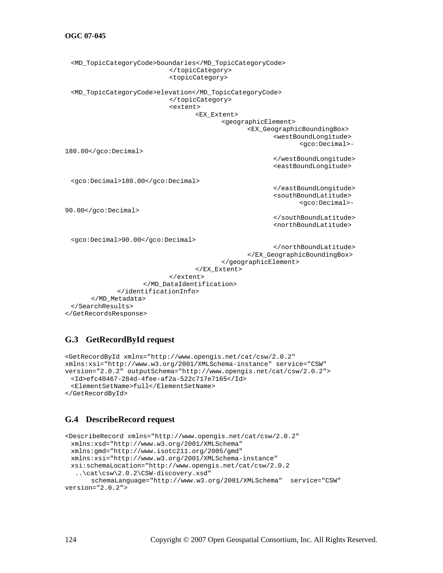### **OGC 07-045**

```
 <MD_TopicCategoryCode>boundaries</MD_TopicCategoryCode> 
                               </topicCategory> 
                              <topicCategory> 
  <MD_TopicCategoryCode>elevation</MD_TopicCategoryCode> 
                              </topicCategory> 
                              <extent> 
                                      <EX_Extent> 
                                             <geographicElement> 
                                                     <EX_GeographicBoundingBox> 
                                                            <westBoundLongitude> 
                                                                    <gco:Decimal>-
180.00</gco:Decimal> 
                                                            </westBoundLongitude> 
                                                            <eastBoundLongitude> 
  <gco:Decimal>180.00</gco:Decimal> 
                                                            </eastBoundLongitude> 
                                                            <southBoundLatitude> 
                                                                    <gco:Decimal>-
90.00</gco:Decimal> 
                                                            </southBoundLatitude> 
                                                            <northBoundLatitude> 
  <gco:Decimal>90.00</gco:Decimal> 
                                                            </northBoundLatitude> 
                                                     </EX_GeographicBoundingBox> 
                                             </geographicElement> 
                                      </EX_Extent> 
                              </extent> 
                       </MD_DataIdentification> 
               </identificationInfo> 
        </MD_Metadata> 
  </SearchResults>
```

```
</GetRecordsResponse>
```
### **G.3 GetRecordById request**

```
<GetRecordById xmlns="http://www.opengis.net/cat/csw/2.0.2" 
xmlns:xsi="http://www.w3.org/2001/XMLSchema-instance" service="CSW" 
version="2.0.2" outputSchema="http://www.opengis.net/cat/csw/2.0.2"> 
  <Id>efc40467-284d-4fee-af2a-522c717e7165</Id> 
  <ElementSetName>full</ElementSetName> 
</GetRecordById>
```
### **G.4 DescribeRecord request**

```
<DescribeRecord xmlns="http://www.opengis.net/cat/csw/2.0.2" 
  xmlns:xsd="http://www.w3.org/2001/XMLSchema" 
  xmlns:gmd="http://www.isotc211.org/2005/gmd" 
  xmlns:xsi="http://www.w3.org/2001/XMLSchema-instance" 
  xsi:schemaLocation="http://www.opengis.net/cat/csw/2.0.2 
   ..\cat\csw\2.0.2\CSW-discovery.xsd" 
       schemaLanguage="http://www.w3.org/2001/XMLSchema" service="CSW" 
version="2.0.2">
```